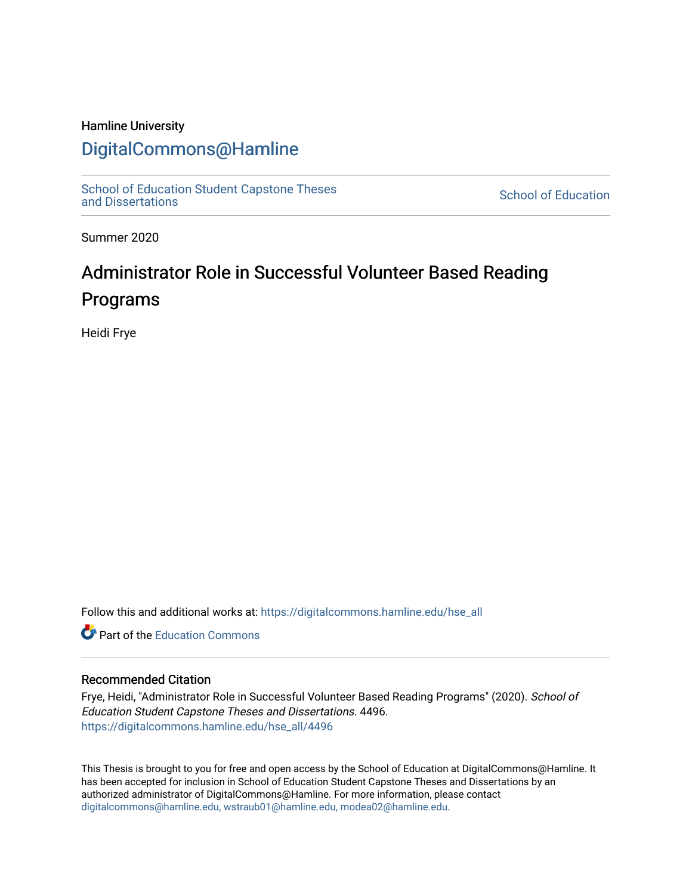# Hamline University

# [DigitalCommons@Hamline](https://digitalcommons.hamline.edu/)

[School of Education Student Capstone Theses](https://digitalcommons.hamline.edu/hse_all) [and Dissertations](https://digitalcommons.hamline.edu/hse_all) [School of Education](https://digitalcommons.hamline.edu/hse) 

Summer 2020

# Administrator Role in Successful Volunteer Based Reading Programs

Heidi Frye

Follow this and additional works at: [https://digitalcommons.hamline.edu/hse\\_all](https://digitalcommons.hamline.edu/hse_all?utm_source=digitalcommons.hamline.edu%2Fhse_all%2F4496&utm_medium=PDF&utm_campaign=PDFCoverPages)

**C** Part of the [Education Commons](http://network.bepress.com/hgg/discipline/784?utm_source=digitalcommons.hamline.edu%2Fhse_all%2F4496&utm_medium=PDF&utm_campaign=PDFCoverPages)

# Recommended Citation

Frye, Heidi, "Administrator Role in Successful Volunteer Based Reading Programs" (2020). School of Education Student Capstone Theses and Dissertations. 4496. [https://digitalcommons.hamline.edu/hse\\_all/4496](https://digitalcommons.hamline.edu/hse_all/4496?utm_source=digitalcommons.hamline.edu%2Fhse_all%2F4496&utm_medium=PDF&utm_campaign=PDFCoverPages) 

This Thesis is brought to you for free and open access by the School of Education at DigitalCommons@Hamline. It has been accepted for inclusion in School of Education Student Capstone Theses and Dissertations by an authorized administrator of DigitalCommons@Hamline. For more information, please contact [digitalcommons@hamline.edu, wstraub01@hamline.edu, modea02@hamline.edu](mailto:digitalcommons@hamline.edu,%20wstraub01@hamline.edu,%20modea02@hamline.edu).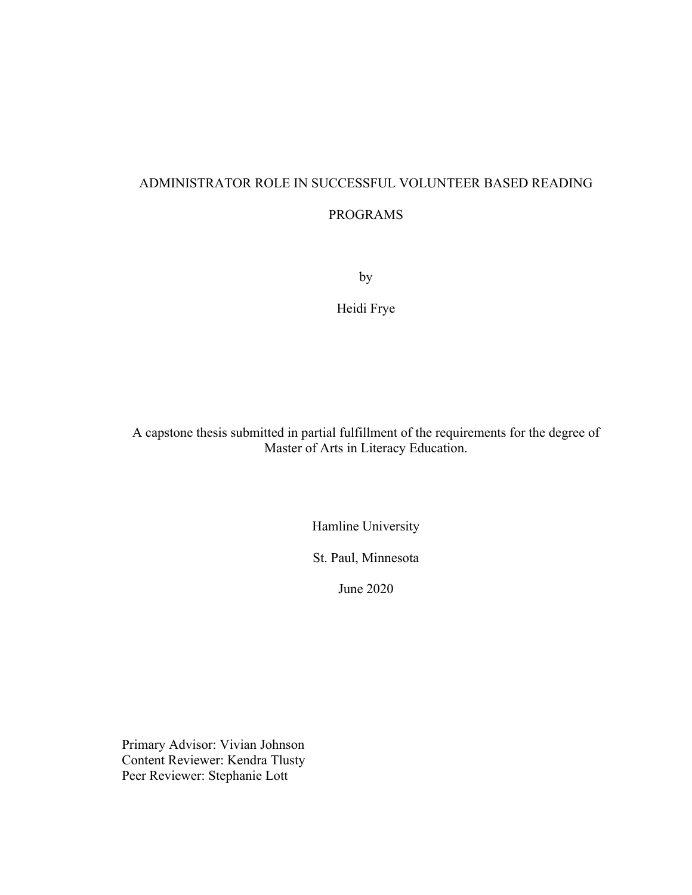# ADMINISTRATOR ROLE IN SUCCESSFUL VOLUNTEER BASED READING

# PROGRAMS

by

Heidi Frye

A capstone thesis submitted in partial fulfillment of the requirements for the degree of Master of Arts in Literacy Education.

Hamline University

St. Paul, Minnesota

June 2020

Primary Advisor: Vivian Johnson Content Reviewer: Kendra Tlusty Peer Reviewer: Stephanie Lott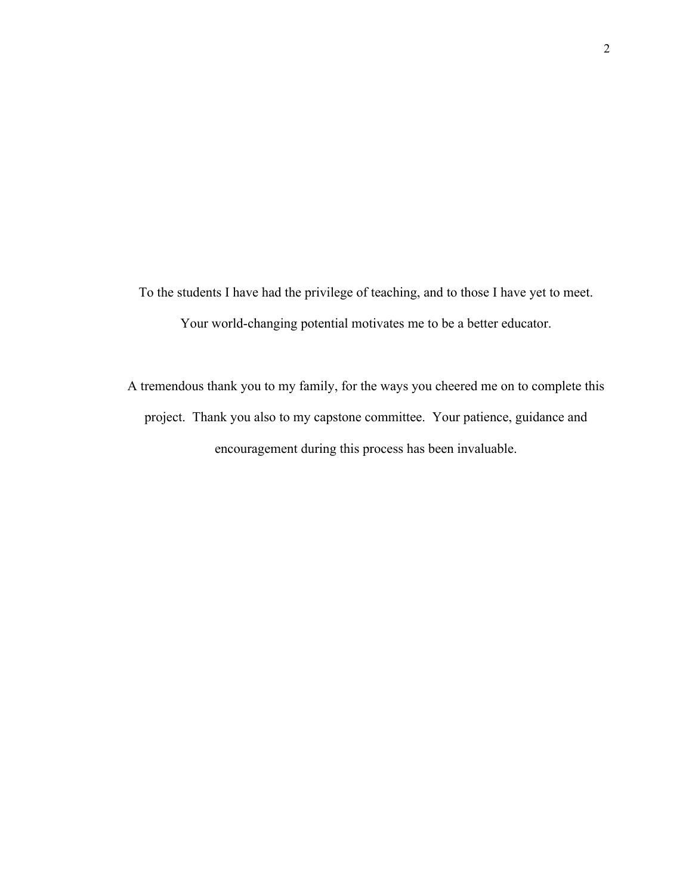To the students I have had the privilege of teaching, and to those I have yet to meet. Your world-changing potential motivates me to be a better educator.

A tremendous thank you to my family, for the ways you cheered me on to complete this project. Thank you also to my capstone committee. Your patience, guidance and encouragement during this process has been invaluable.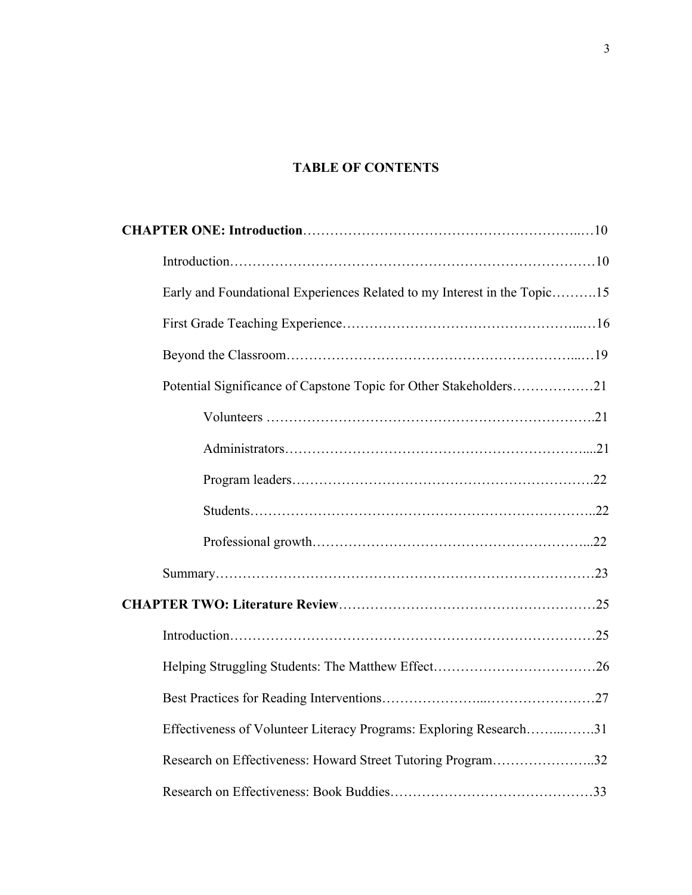# **TABLE OF CONTENTS**

| Early and Foundational Experiences Related to my Interest in the Topic15 |  |
|--------------------------------------------------------------------------|--|
|                                                                          |  |
|                                                                          |  |
| Potential Significance of Capstone Topic for Other Stakeholders21        |  |
|                                                                          |  |
|                                                                          |  |
|                                                                          |  |
|                                                                          |  |
|                                                                          |  |
|                                                                          |  |
|                                                                          |  |
|                                                                          |  |
|                                                                          |  |
|                                                                          |  |
| Effectiveness of Volunteer Literacy Programs: Exploring Research31       |  |
| Research on Effectiveness: Howard Street Tutoring Program32              |  |
|                                                                          |  |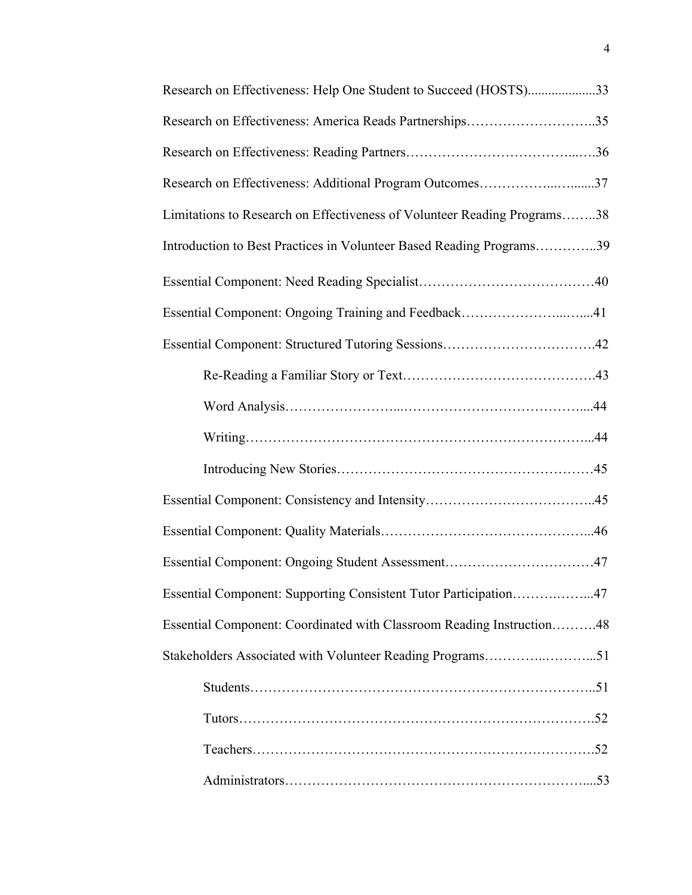| Research on Effectiveness: Help One Student to Succeed (HOSTS)33         |
|--------------------------------------------------------------------------|
| Research on Effectiveness: America Reads Partnerships35                  |
|                                                                          |
| Research on Effectiveness: Additional Program Outcomes37                 |
| Limitations to Research on Effectiveness of Volunteer Reading Programs38 |
| Introduction to Best Practices in Volunteer Based Reading Programs39     |
|                                                                          |
| Essential Component: Ongoing Training and Feedback41                     |
|                                                                          |
|                                                                          |
|                                                                          |
|                                                                          |
|                                                                          |
|                                                                          |
|                                                                          |
| Essential Component: Ongoing Student Assessment47                        |
| Essential Component: Supporting Consistent Tutor Participation47         |
| Essential Component: Coordinated with Classroom Reading Instruction48    |
|                                                                          |
|                                                                          |
|                                                                          |
|                                                                          |
|                                                                          |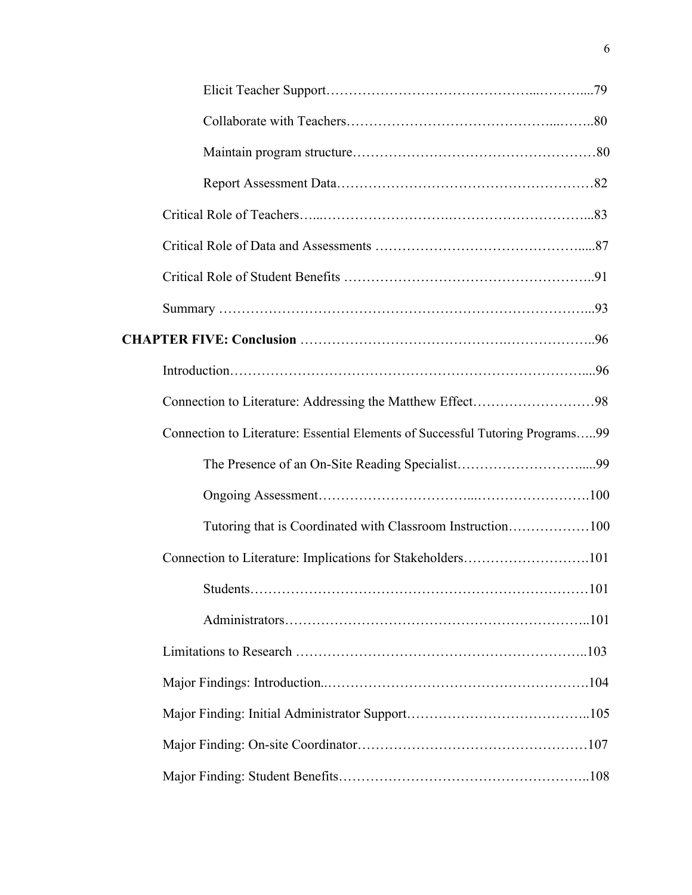| Connection to Literature: Addressing the Matthew Effect98                      |  |
|--------------------------------------------------------------------------------|--|
| Connection to Literature: Essential Elements of Successful Tutoring Programs99 |  |
|                                                                                |  |
|                                                                                |  |
| Tutoring that is Coordinated with Classroom Instruction100                     |  |
| Connection to Literature: Implications for Stakeholders101                     |  |
|                                                                                |  |
|                                                                                |  |
|                                                                                |  |
|                                                                                |  |
|                                                                                |  |
|                                                                                |  |
|                                                                                |  |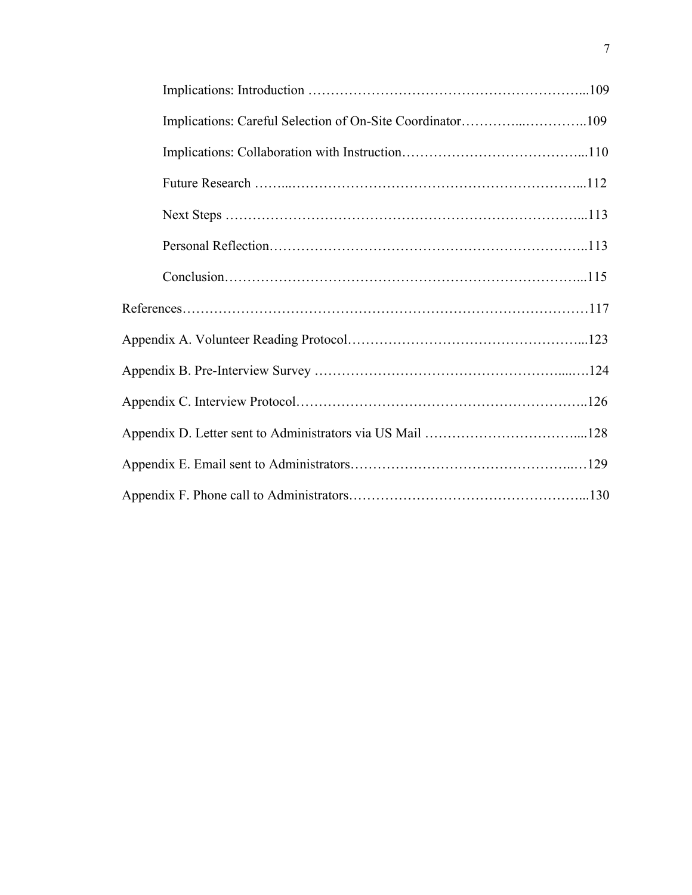| Implications: Careful Selection of On-Site Coordinator109 |  |
|-----------------------------------------------------------|--|
|                                                           |  |
|                                                           |  |
|                                                           |  |
|                                                           |  |
|                                                           |  |
|                                                           |  |
|                                                           |  |
|                                                           |  |
|                                                           |  |
|                                                           |  |
|                                                           |  |
|                                                           |  |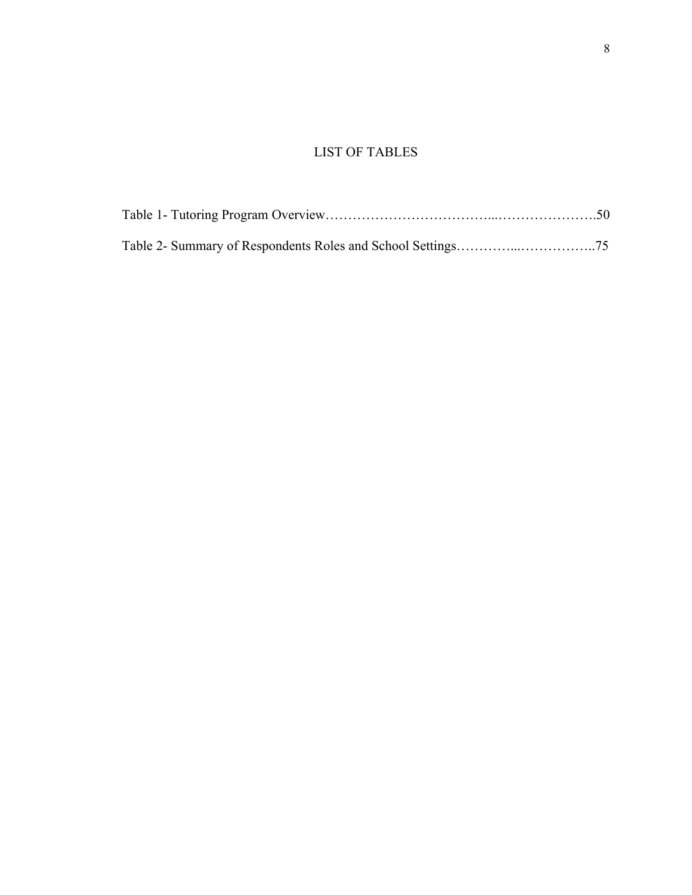# LIST OF TABLES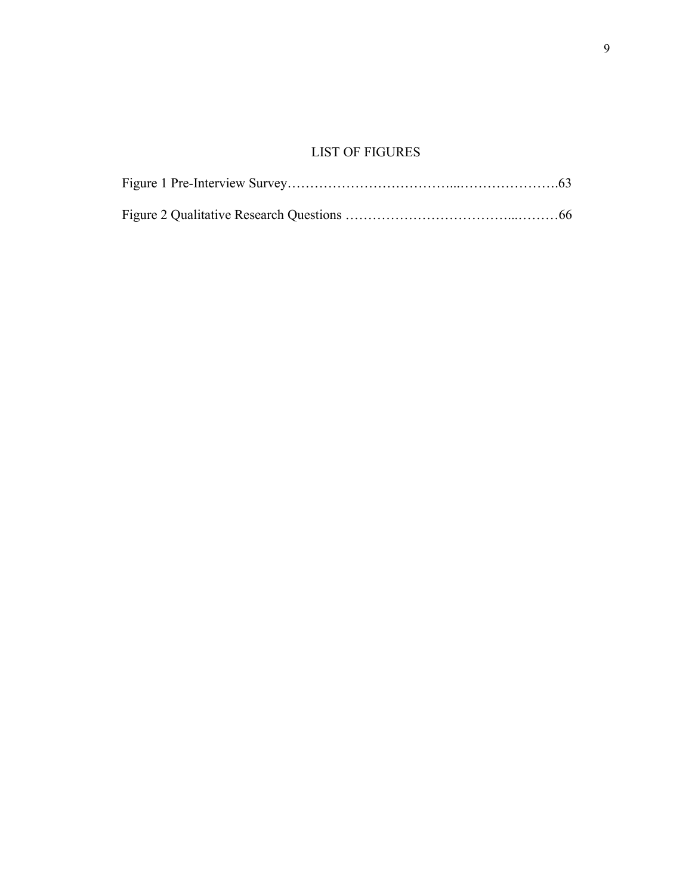# LIST OF FIGURES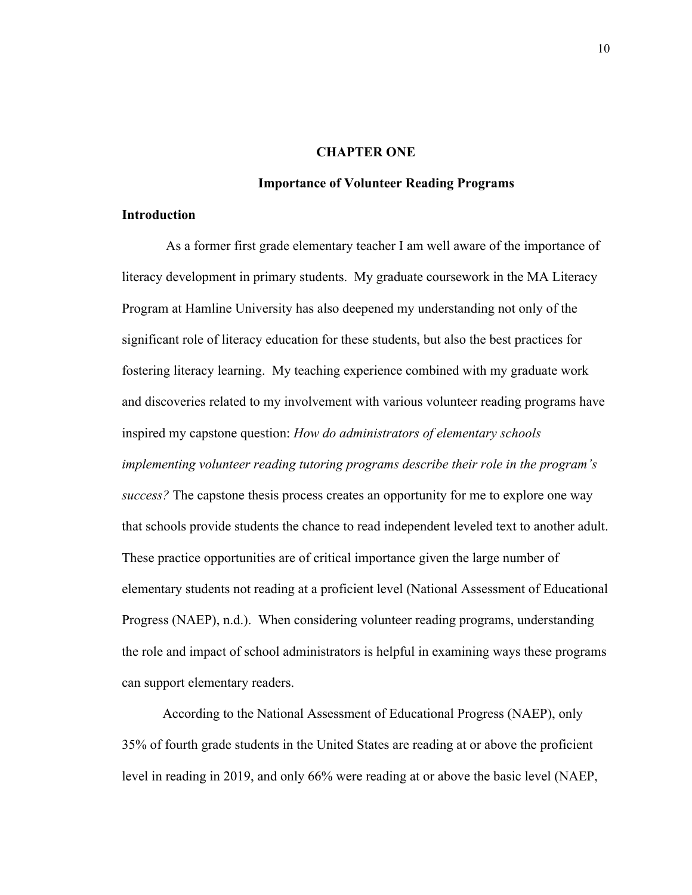### **CHAPTER ONE**

# **Importance of Volunteer Reading Programs**

# **Introduction**

As a former first grade elementary teacher I am well aware of the importance of literacy development in primary students. My graduate coursework in the MA Literacy Program at Hamline University has also deepened my understanding not only of the significant role of literacy education for these students, but also the best practices for fostering literacy learning. My teaching experience combined with my graduate work and discoveries related to my involvement with various volunteer reading programs have inspired my capstone question: *How do administrators of elementary schools implementing volunteer reading tutoring programs describe their role in the program's success?* The capstone thesis process creates an opportunity for me to explore one way that schools provide students the chance to read independent leveled text to another adult. These practice opportunities are of critical importance given the large number of elementary students not reading at a proficient level (National Assessment of Educational Progress (NAEP), n.d.). When considering volunteer reading programs, understanding the role and impact of school administrators is helpful in examining ways these programs can support elementary readers.

According to the National Assessment of Educational Progress (NAEP), only 35% of fourth grade students in the United States are reading at or above the proficient level in reading in 2019, and only 66% were reading at or above the basic level (NAEP,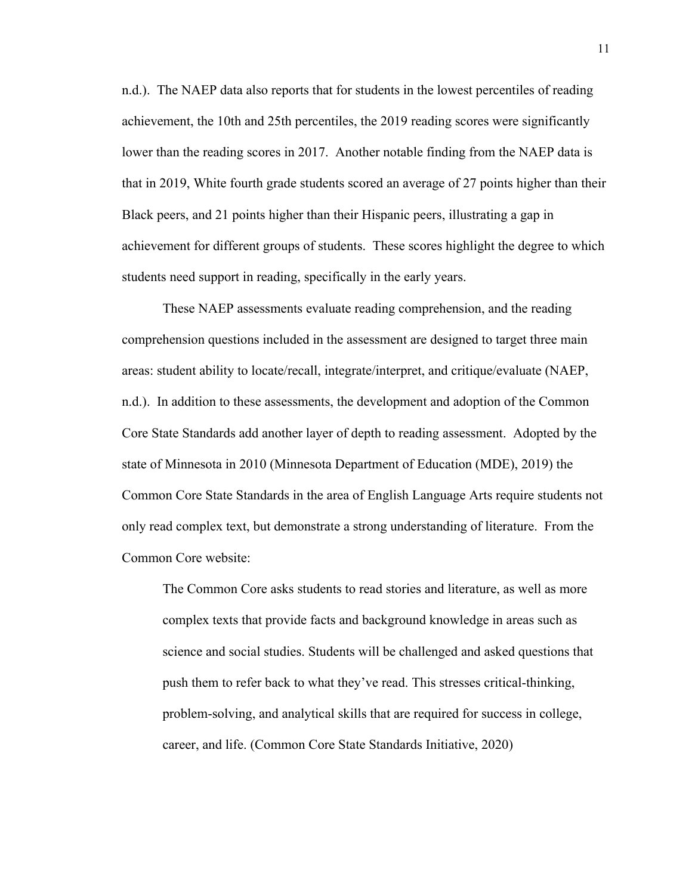n.d.). The NAEP data also reports that for students in the lowest percentiles of reading achievement, the 10th and 25th percentiles, the 2019 reading scores were significantly lower than the reading scores in 2017. Another notable finding from the NAEP data is that in 2019, White fourth grade students scored an average of 27 points higher than their Black peers, and 21 points higher than their Hispanic peers, illustrating a gap in achievement for different groups of students. These scores highlight the degree to which students need support in reading, specifically in the early years.

These NAEP assessments evaluate reading comprehension, and the reading comprehension questions included in the assessment are designed to target three main areas: student ability to locate/recall, integrate/interpret, and critique/evaluate (NAEP, n.d.). In addition to these assessments, the development and adoption of the Common Core State Standards add another layer of depth to reading assessment. Adopted by the state of Minnesota in 2010 (Minnesota Department of Education (MDE), 2019) the Common Core State Standards in the area of English Language Arts require students not only read complex text, but demonstrate a strong understanding of literature. From the Common Core website:

The Common Core asks students to read stories and literature, as well as more complex texts that provide facts and background knowledge in areas such as science and social studies. Students will be challenged and asked questions that push them to refer back to what they've read. This stresses critical-thinking, problem-solving, and analytical skills that are required for success in college, career, and life. (Common Core State Standards Initiative, 2020)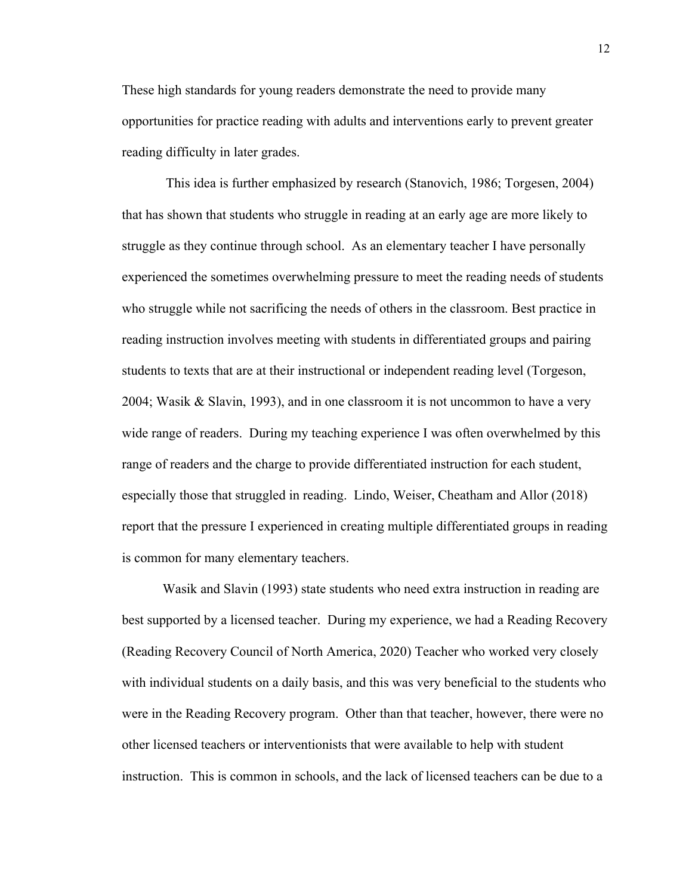These high standards for young readers demonstrate the need to provide many opportunities for practice reading with adults and interventions early to prevent greater reading difficulty in later grades.

This idea is further emphasized by research (Stanovich, 1986; Torgesen, 2004) that has shown that students who struggle in reading at an early age are more likely to struggle as they continue through school. As an elementary teacher I have personally experienced the sometimes overwhelming pressure to meet the reading needs of students who struggle while not sacrificing the needs of others in the classroom. Best practice in reading instruction involves meeting with students in differentiated groups and pairing students to texts that are at their instructional or independent reading level (Torgeson, 2004; Wasik & Slavin, 1993), and in one classroom it is not uncommon to have a very wide range of readers. During my teaching experience I was often overwhelmed by this range of readers and the charge to provide differentiated instruction for each student, especially those that struggled in reading. Lindo, Weiser, Cheatham and Allor (2018) report that the pressure I experienced in creating multiple differentiated groups in reading is common for many elementary teachers.

Wasik and Slavin (1993) state students who need extra instruction in reading are best supported by a licensed teacher. During my experience, we had a Reading Recovery (Reading Recovery Council of North America, 2020) Teacher who worked very closely with individual students on a daily basis, and this was very beneficial to the students who were in the Reading Recovery program. Other than that teacher, however, there were no other licensed teachers or interventionists that were available to help with student instruction. This is common in schools, and the lack of licensed teachers can be due to a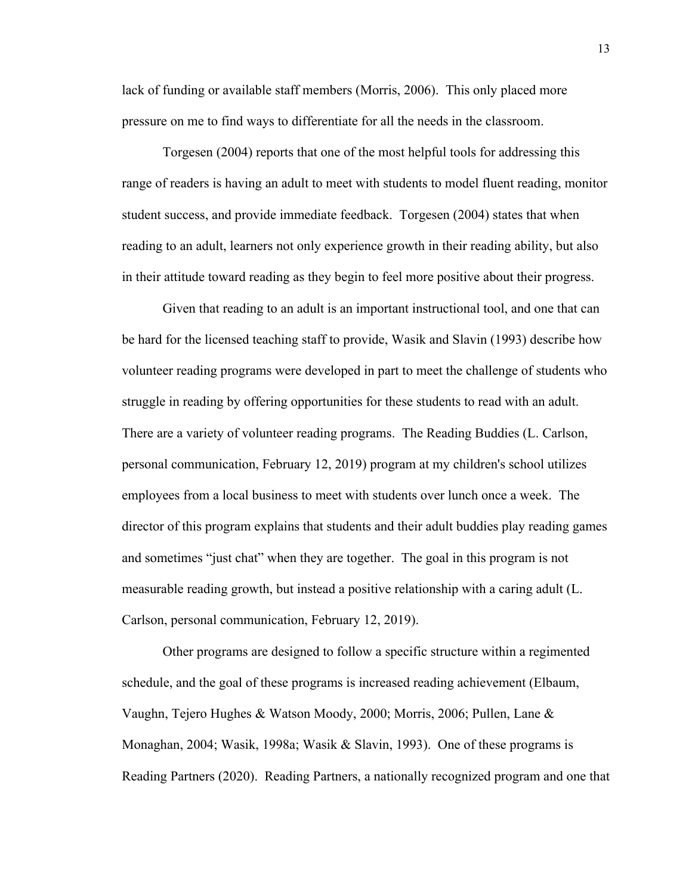lack of funding or available staff members (Morris, 2006). This only placed more pressure on me to find ways to differentiate for all the needs in the classroom.

Torgesen (2004) reports that one of the most helpful tools for addressing this range of readers is having an adult to meet with students to model fluent reading, monitor student success, and provide immediate feedback. Torgesen (2004) states that when reading to an adult, learners not only experience growth in their reading ability, but also in their attitude toward reading as they begin to feel more positive about their progress.

Given that reading to an adult is an important instructional tool, and one that can be hard for the licensed teaching staff to provide, Wasik and Slavin (1993) describe how volunteer reading programs were developed in part to meet the challenge of students who struggle in reading by offering opportunities for these students to read with an adult. There are a variety of volunteer reading programs. The Reading Buddies (L. Carlson, personal communication, February 12, 2019) program at my children's school utilizes employees from a local business to meet with students over lunch once a week. The director of this program explains that students and their adult buddies play reading games and sometimes "just chat" when they are together. The goal in this program is not measurable reading growth, but instead a positive relationship with a caring adult (L. Carlson, personal communication, February 12, 2019).

Other programs are designed to follow a specific structure within a regimented schedule, and the goal of these programs is increased reading achievement (Elbaum, Vaughn, Tejero Hughes & Watson Moody, 2000; Morris, 2006; Pullen, Lane & Monaghan, 2004; Wasik, 1998a; Wasik & Slavin, 1993). One of these programs is Reading Partners (2020). Reading Partners, a nationally recognized program and one that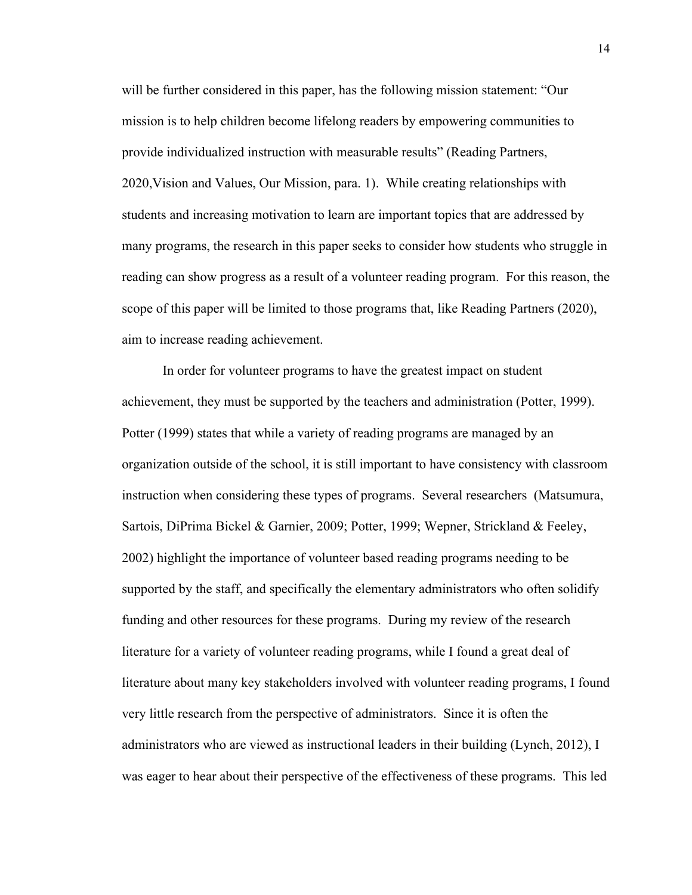will be further considered in this paper, has the following mission statement: "Our mission is to help children become lifelong readers by empowering communities to provide individualized instruction with measurable results" (Reading Partners, 2020,Vision and Values, Our Mission, para. 1). While creating relationships with students and increasing motivation to learn are important topics that are addressed by many programs, the research in this paper seeks to consider how students who struggle in reading can show progress as a result of a volunteer reading program. For this reason, the scope of this paper will be limited to those programs that, like Reading Partners (2020), aim to increase reading achievement.

In order for volunteer programs to have the greatest impact on student achievement, they must be supported by the teachers and administration (Potter, 1999). Potter (1999) states that while a variety of reading programs are managed by an organization outside of the school, it is still important to have consistency with classroom instruction when considering these types of programs. Several researchers (Matsumura, Sartois, DiPrima Bickel & Garnier, 2009; Potter, 1999; Wepner, Strickland & Feeley, 2002) highlight the importance of volunteer based reading programs needing to be supported by the staff, and specifically the elementary administrators who often solidify funding and other resources for these programs. During my review of the research literature for a variety of volunteer reading programs, while I found a great deal of literature about many key stakeholders involved with volunteer reading programs, I found very little research from the perspective of administrators. Since it is often the administrators who are viewed as instructional leaders in their building (Lynch, 2012), I was eager to hear about their perspective of the effectiveness of these programs. This led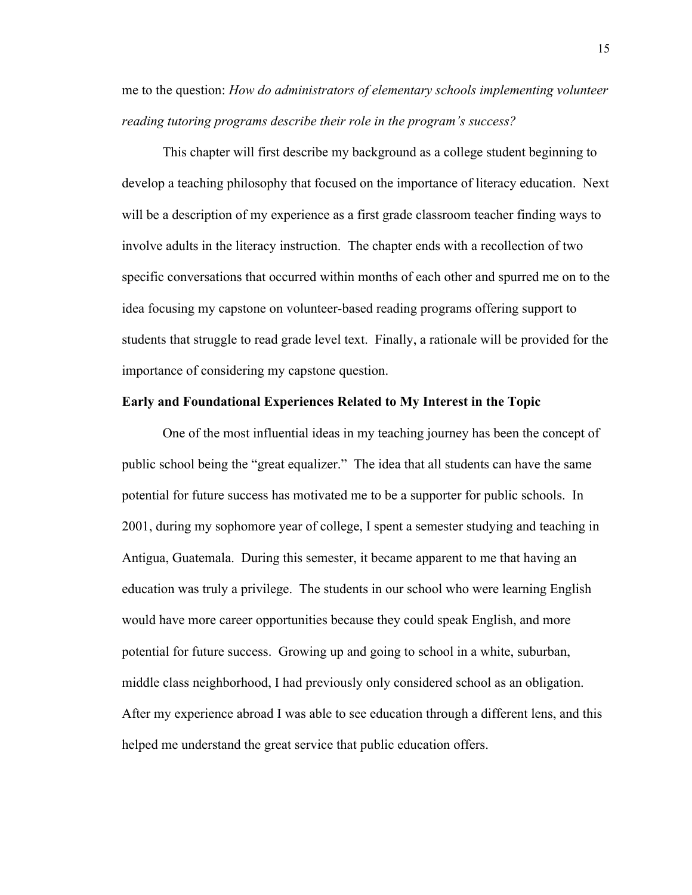me to the question: *How do administrators of elementary schools implementing volunteer reading tutoring programs describe their role in the program's success?*

This chapter will first describe my background as a college student beginning to develop a teaching philosophy that focused on the importance of literacy education. Next will be a description of my experience as a first grade classroom teacher finding ways to involve adults in the literacy instruction. The chapter ends with a recollection of two specific conversations that occurred within months of each other and spurred me on to the idea focusing my capstone on volunteer-based reading programs offering support to students that struggle to read grade level text. Finally, a rationale will be provided for the importance of considering my capstone question.

#### **Early and Foundational Experiences Related to My Interest in the Topic**

One of the most influential ideas in my teaching journey has been the concept of public school being the "great equalizer." The idea that all students can have the same potential for future success has motivated me to be a supporter for public schools. In 2001, during my sophomore year of college, I spent a semester studying and teaching in Antigua, Guatemala. During this semester, it became apparent to me that having an education was truly a privilege. The students in our school who were learning English would have more career opportunities because they could speak English, and more potential for future success. Growing up and going to school in a white, suburban, middle class neighborhood, I had previously only considered school as an obligation. After my experience abroad I was able to see education through a different lens, and this helped me understand the great service that public education offers.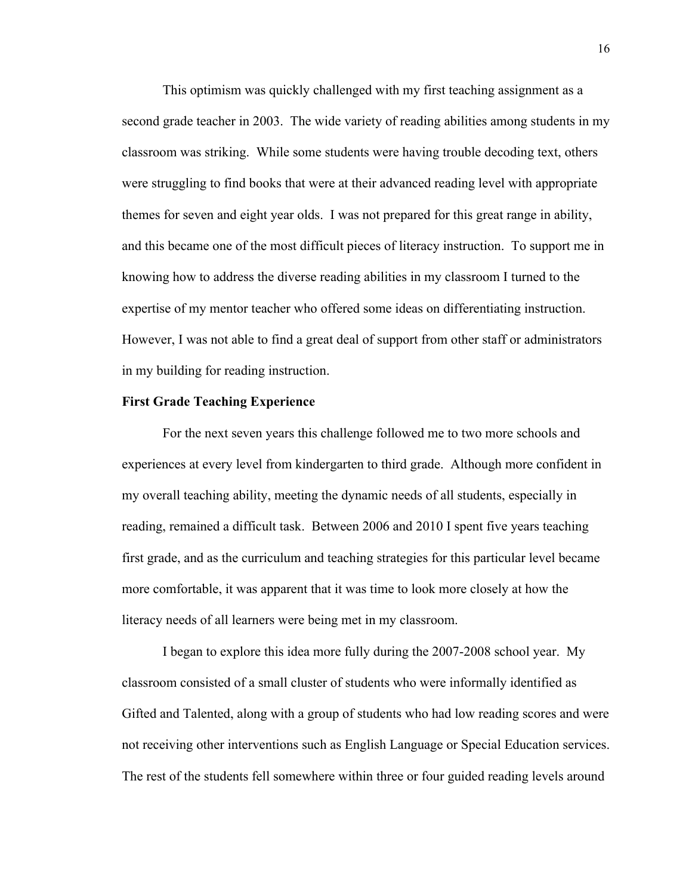This optimism was quickly challenged with my first teaching assignment as a second grade teacher in 2003. The wide variety of reading abilities among students in my classroom was striking. While some students were having trouble decoding text, others were struggling to find books that were at their advanced reading level with appropriate themes for seven and eight year olds. I was not prepared for this great range in ability, and this became one of the most difficult pieces of literacy instruction. To support me in knowing how to address the diverse reading abilities in my classroom I turned to the expertise of my mentor teacher who offered some ideas on differentiating instruction. However, I was not able to find a great deal of support from other staff or administrators in my building for reading instruction.

#### **First Grade Teaching Experience**

For the next seven years this challenge followed me to two more schools and experiences at every level from kindergarten to third grade. Although more confident in my overall teaching ability, meeting the dynamic needs of all students, especially in reading, remained a difficult task. Between 2006 and 2010 I spent five years teaching first grade, and as the curriculum and teaching strategies for this particular level became more comfortable, it was apparent that it was time to look more closely at how the literacy needs of all learners were being met in my classroom.

I began to explore this idea more fully during the 2007-2008 school year. My classroom consisted of a small cluster of students who were informally identified as Gifted and Talented, along with a group of students who had low reading scores and were not receiving other interventions such as English Language or Special Education services. The rest of the students fell somewhere within three or four guided reading levels around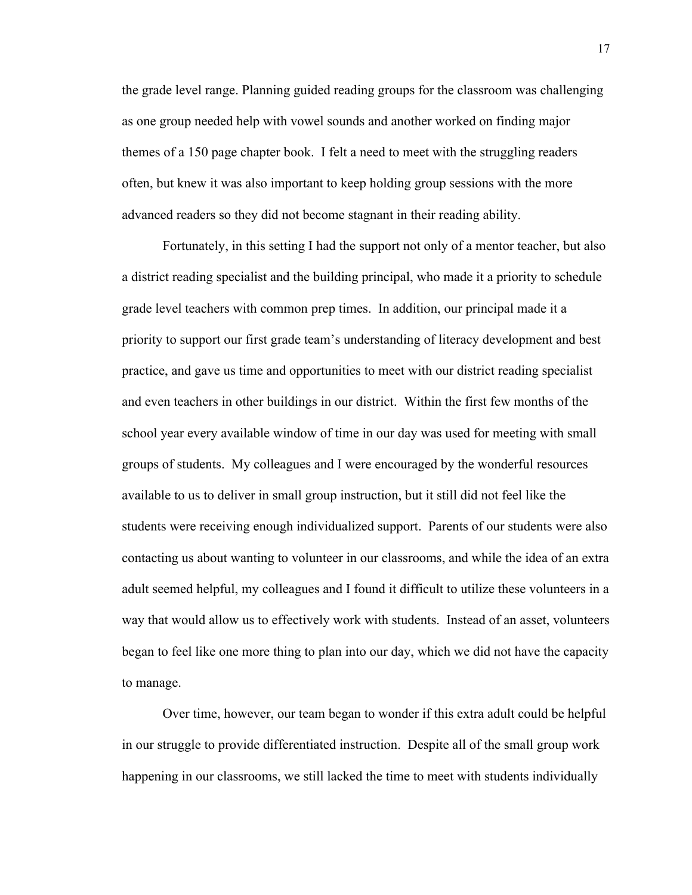the grade level range. Planning guided reading groups for the classroom was challenging as one group needed help with vowel sounds and another worked on finding major themes of a 150 page chapter book. I felt a need to meet with the struggling readers often, but knew it was also important to keep holding group sessions with the more advanced readers so they did not become stagnant in their reading ability.

Fortunately, in this setting I had the support not only of a mentor teacher, but also a district reading specialist and the building principal, who made it a priority to schedule grade level teachers with common prep times. In addition, our principal made it a priority to support our first grade team's understanding of literacy development and best practice, and gave us time and opportunities to meet with our district reading specialist and even teachers in other buildings in our district. Within the first few months of the school year every available window of time in our day was used for meeting with small groups of students. My colleagues and I were encouraged by the wonderful resources available to us to deliver in small group instruction, but it still did not feel like the students were receiving enough individualized support. Parents of our students were also contacting us about wanting to volunteer in our classrooms, and while the idea of an extra adult seemed helpful, my colleagues and I found it difficult to utilize these volunteers in a way that would allow us to effectively work with students. Instead of an asset, volunteers began to feel like one more thing to plan into our day, which we did not have the capacity to manage.

Over time, however, our team began to wonder if this extra adult could be helpful in our struggle to provide differentiated instruction. Despite all of the small group work happening in our classrooms, we still lacked the time to meet with students individually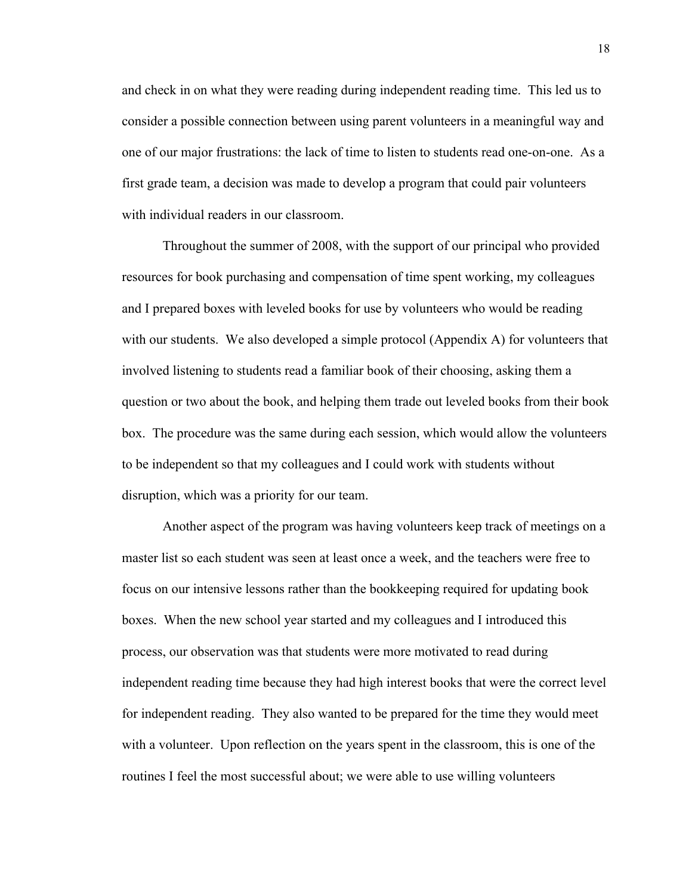and check in on what they were reading during independent reading time. This led us to consider a possible connection between using parent volunteers in a meaningful way and one of our major frustrations: the lack of time to listen to students read one-on-one. As a first grade team, a decision was made to develop a program that could pair volunteers with individual readers in our classroom.

Throughout the summer of 2008, with the support of our principal who provided resources for book purchasing and compensation of time spent working, my colleagues and I prepared boxes with leveled books for use by volunteers who would be reading with our students. We also developed a simple protocol (Appendix A) for volunteers that involved listening to students read a familiar book of their choosing, asking them a question or two about the book, and helping them trade out leveled books from their book box. The procedure was the same during each session, which would allow the volunteers to be independent so that my colleagues and I could work with students without disruption, which was a priority for our team.

Another aspect of the program was having volunteers keep track of meetings on a master list so each student was seen at least once a week, and the teachers were free to focus on our intensive lessons rather than the bookkeeping required for updating book boxes. When the new school year started and my colleagues and I introduced this process, our observation was that students were more motivated to read during independent reading time because they had high interest books that were the correct level for independent reading. They also wanted to be prepared for the time they would meet with a volunteer. Upon reflection on the years spent in the classroom, this is one of the routines I feel the most successful about; we were able to use willing volunteers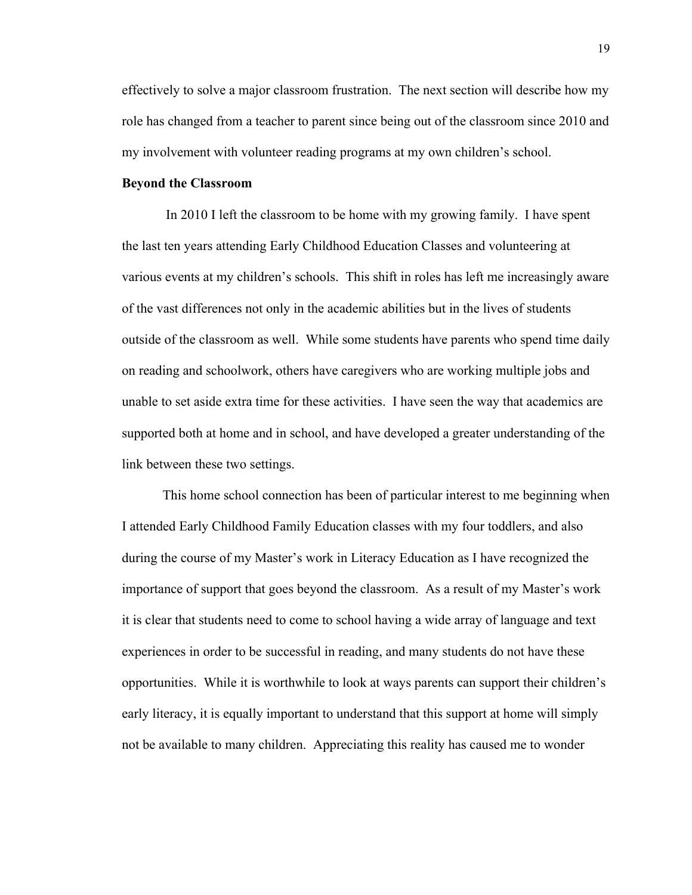effectively to solve a major classroom frustration. The next section will describe how my role has changed from a teacher to parent since being out of the classroom since 2010 and my involvement with volunteer reading programs at my own children's school.

#### **Beyond the Classroom**

In 2010 I left the classroom to be home with my growing family. I have spent the last ten years attending Early Childhood Education Classes and volunteering at various events at my children's schools. This shift in roles has left me increasingly aware of the vast differences not only in the academic abilities but in the lives of students outside of the classroom as well. While some students have parents who spend time daily on reading and schoolwork, others have caregivers who are working multiple jobs and unable to set aside extra time for these activities. I have seen the way that academics are supported both at home and in school, and have developed a greater understanding of the link between these two settings.

This home school connection has been of particular interest to me beginning when I attended Early Childhood Family Education classes with my four toddlers, and also during the course of my Master's work in Literacy Education as I have recognized the importance of support that goes beyond the classroom. As a result of my Master's work it is clear that students need to come to school having a wide array of language and text experiences in order to be successful in reading, and many students do not have these opportunities. While it is worthwhile to look at ways parents can support their children's early literacy, it is equally important to understand that this support at home will simply not be available to many children. Appreciating this reality has caused me to wonder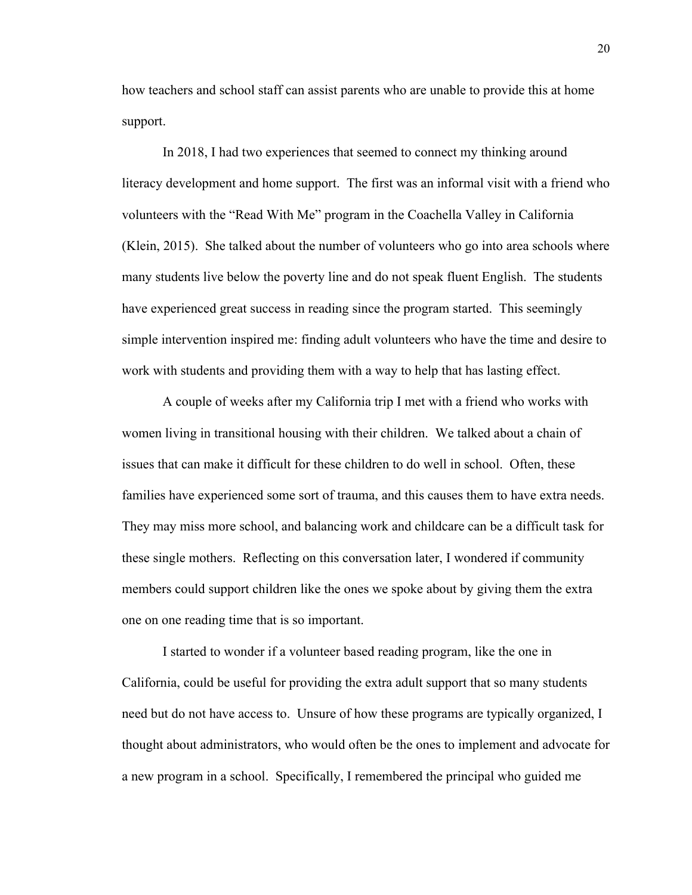how teachers and school staff can assist parents who are unable to provide this at home support.

In 2018, I had two experiences that seemed to connect my thinking around literacy development and home support. The first was an informal visit with a friend who volunteers with the "Read With Me" program in the Coachella Valley in California (Klein, 2015). She talked about the number of volunteers who go into area schools where many students live below the poverty line and do not speak fluent English. The students have experienced great success in reading since the program started. This seemingly simple intervention inspired me: finding adult volunteers who have the time and desire to work with students and providing them with a way to help that has lasting effect.

A couple of weeks after my California trip I met with a friend who works with women living in transitional housing with their children. We talked about a chain of issues that can make it difficult for these children to do well in school. Often, these families have experienced some sort of trauma, and this causes them to have extra needs. They may miss more school, and balancing work and childcare can be a difficult task for these single mothers. Reflecting on this conversation later, I wondered if community members could support children like the ones we spoke about by giving them the extra one on one reading time that is so important.

I started to wonder if a volunteer based reading program, like the one in California, could be useful for providing the extra adult support that so many students need but do not have access to. Unsure of how these programs are typically organized, I thought about administrators, who would often be the ones to implement and advocate for a new program in a school. Specifically, I remembered the principal who guided me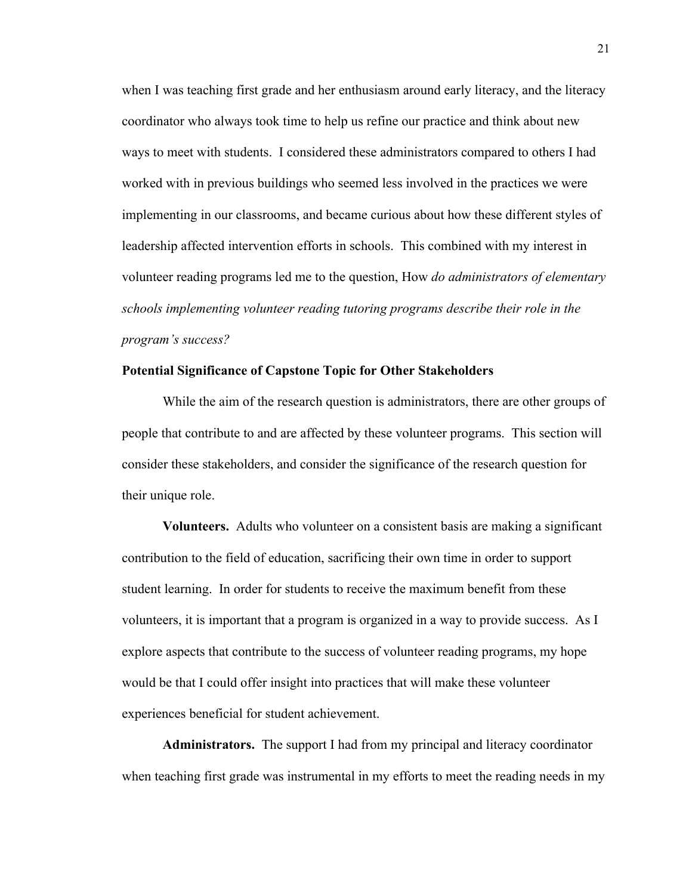when I was teaching first grade and her enthusiasm around early literacy, and the literacy coordinator who always took time to help us refine our practice and think about new ways to meet with students. I considered these administrators compared to others I had worked with in previous buildings who seemed less involved in the practices we were implementing in our classrooms, and became curious about how these different styles of leadership affected intervention efforts in schools. This combined with my interest in volunteer reading programs led me to the question, How *do administrators of elementary schools implementing volunteer reading tutoring programs describe their role in the program's success?*

# **Potential Significance of Capstone Topic for Other Stakeholders**

While the aim of the research question is administrators, there are other groups of people that contribute to and are affected by these volunteer programs. This section will consider these stakeholders, and consider the significance of the research question for their unique role.

**Volunteers.** Adults who volunteer on a consistent basis are making a significant contribution to the field of education, sacrificing their own time in order to support student learning. In order for students to receive the maximum benefit from these volunteers, it is important that a program is organized in a way to provide success. As I explore aspects that contribute to the success of volunteer reading programs, my hope would be that I could offer insight into practices that will make these volunteer experiences beneficial for student achievement.

**Administrators.** The support I had from my principal and literacy coordinator when teaching first grade was instrumental in my efforts to meet the reading needs in my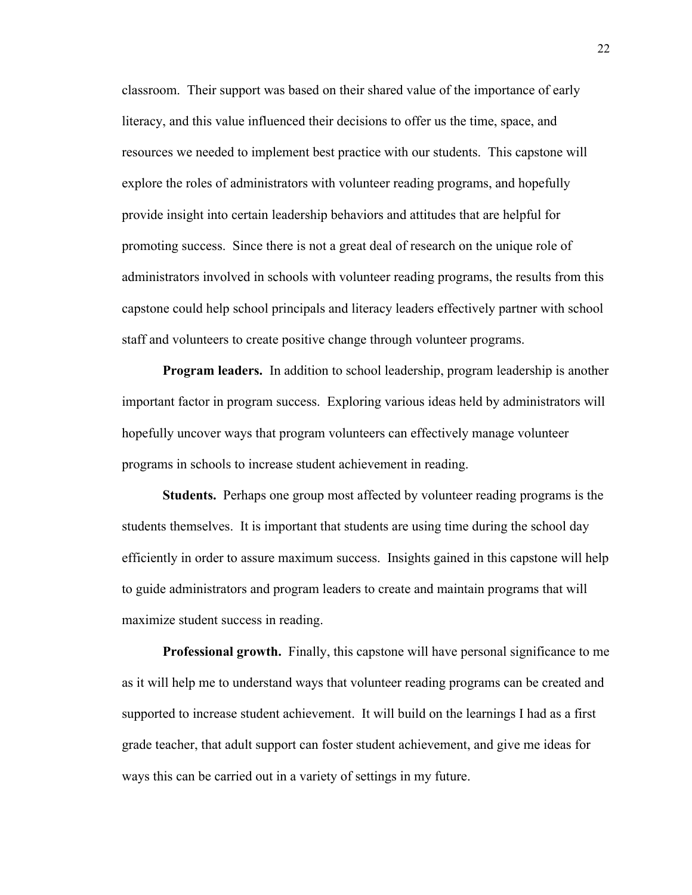classroom. Their support was based on their shared value of the importance of early literacy, and this value influenced their decisions to offer us the time, space, and resources we needed to implement best practice with our students. This capstone will explore the roles of administrators with volunteer reading programs, and hopefully provide insight into certain leadership behaviors and attitudes that are helpful for promoting success. Since there is not a great deal of research on the unique role of administrators involved in schools with volunteer reading programs, the results from this capstone could help school principals and literacy leaders effectively partner with school staff and volunteers to create positive change through volunteer programs.

**Program leaders.** In addition to school leadership, program leadership is another important factor in program success. Exploring various ideas held by administrators will hopefully uncover ways that program volunteers can effectively manage volunteer programs in schools to increase student achievement in reading.

**Students.** Perhaps one group most affected by volunteer reading programs is the students themselves. It is important that students are using time during the school day efficiently in order to assure maximum success. Insights gained in this capstone will help to guide administrators and program leaders to create and maintain programs that will maximize student success in reading.

**Professional growth.** Finally, this capstone will have personal significance to me as it will help me to understand ways that volunteer reading programs can be created and supported to increase student achievement. It will build on the learnings I had as a first grade teacher, that adult support can foster student achievement, and give me ideas for ways this can be carried out in a variety of settings in my future.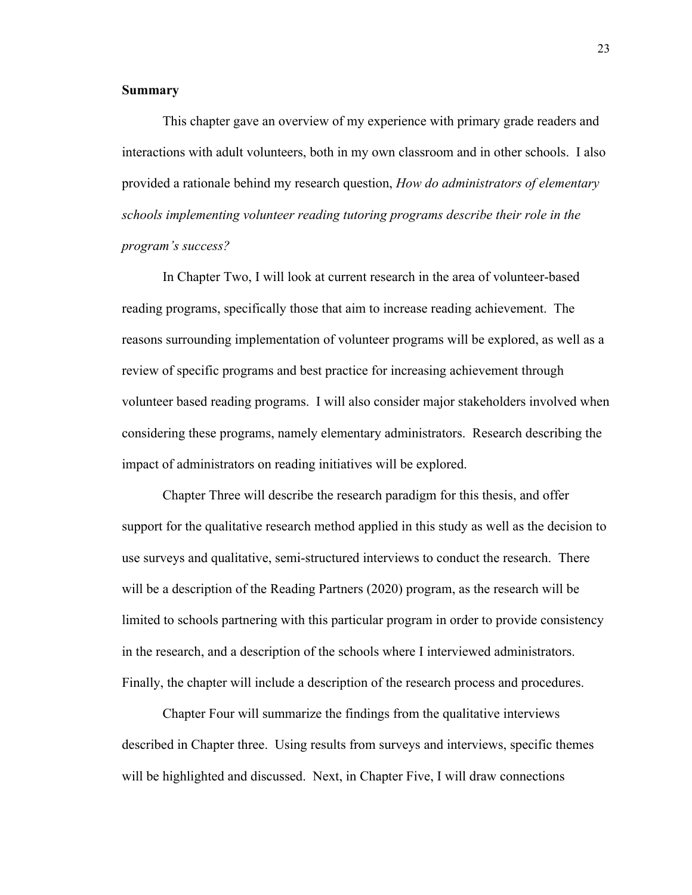# **Summary**

This chapter gave an overview of my experience with primary grade readers and interactions with adult volunteers, both in my own classroom and in other schools. I also provided a rationale behind my research question, *How do administrators of elementary schools implementing volunteer reading tutoring programs describe their role in the program's success?*

In Chapter Two, I will look at current research in the area of volunteer-based reading programs, specifically those that aim to increase reading achievement. The reasons surrounding implementation of volunteer programs will be explored, as well as a review of specific programs and best practice for increasing achievement through volunteer based reading programs. I will also consider major stakeholders involved when considering these programs, namely elementary administrators. Research describing the impact of administrators on reading initiatives will be explored.

Chapter Three will describe the research paradigm for this thesis, and offer support for the qualitative research method applied in this study as well as the decision to use surveys and qualitative, semi-structured interviews to conduct the research. There will be a description of the Reading Partners (2020) program, as the research will be limited to schools partnering with this particular program in order to provide consistency in the research, and a description of the schools where I interviewed administrators. Finally, the chapter will include a description of the research process and procedures.

Chapter Four will summarize the findings from the qualitative interviews described in Chapter three. Using results from surveys and interviews, specific themes will be highlighted and discussed. Next, in Chapter Five, I will draw connections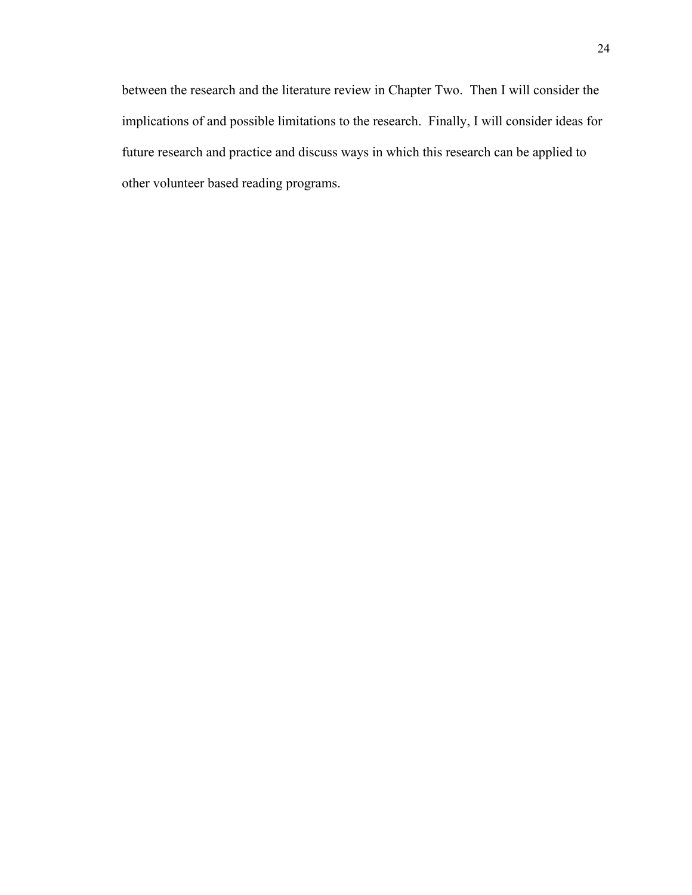between the research and the literature review in Chapter Two. Then I will consider the implications of and possible limitations to the research. Finally, I will consider ideas for future research and practice and discuss ways in which this research can be applied to other volunteer based reading programs.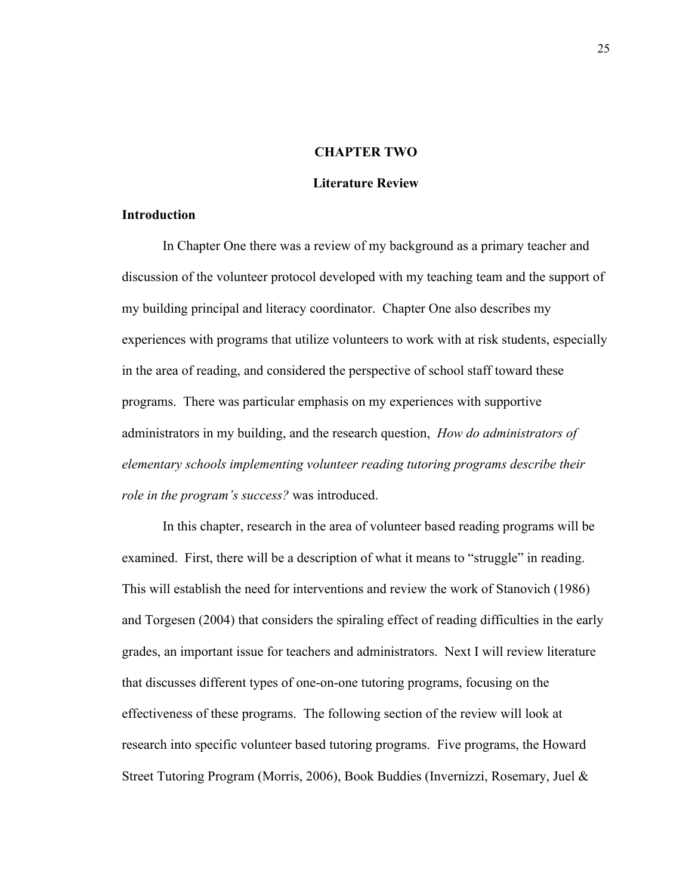## **CHAPTER TWO**

## **Literature Review**

### **Introduction**

In Chapter One there was a review of my background as a primary teacher and discussion of the volunteer protocol developed with my teaching team and the support of my building principal and literacy coordinator. Chapter One also describes my experiences with programs that utilize volunteers to work with at risk students, especially in the area of reading, and considered the perspective of school staff toward these programs. There was particular emphasis on my experiences with supportive administrators in my building, and the research question, *How do administrators of elementary schools implementing volunteer reading tutoring programs describe their role in the program's success?* was introduced.

In this chapter, research in the area of volunteer based reading programs will be examined. First, there will be a description of what it means to "struggle" in reading. This will establish the need for interventions and review the work of Stanovich (1986) and Torgesen (2004) that considers the spiraling effect of reading difficulties in the early grades, an important issue for teachers and administrators. Next I will review literature that discusses different types of one-on-one tutoring programs, focusing on the effectiveness of these programs. The following section of the review will look at research into specific volunteer based tutoring programs. Five programs, the Howard Street Tutoring Program (Morris, 2006), Book Buddies (Invernizzi, Rosemary, Juel &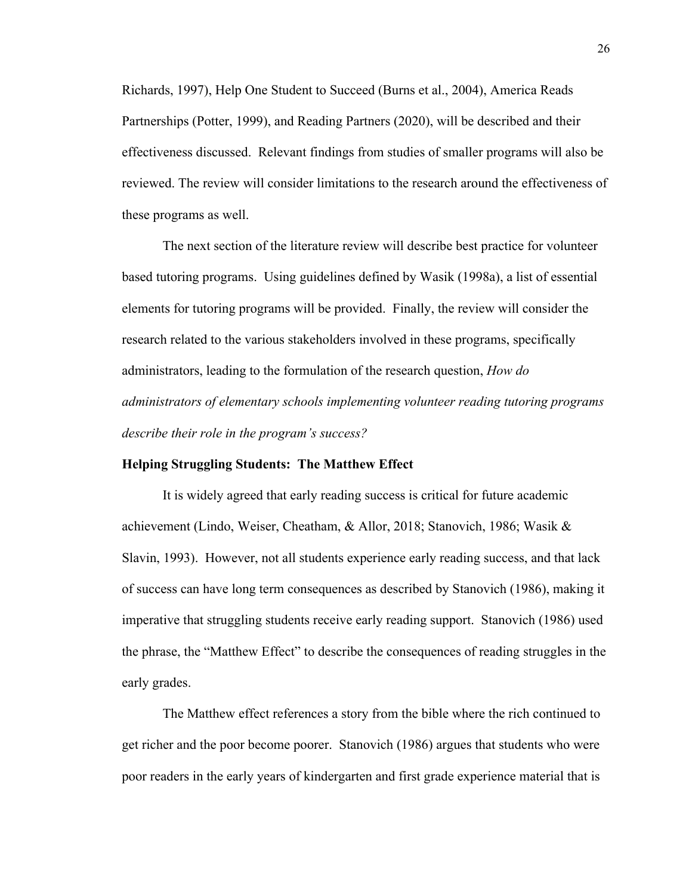Richards, 1997), Help One Student to Succeed (Burns et al., 2004), America Reads Partnerships (Potter, 1999), and Reading Partners (2020), will be described and their effectiveness discussed. Relevant findings from studies of smaller programs will also be reviewed. The review will consider limitations to the research around the effectiveness of these programs as well.

The next section of the literature review will describe best practice for volunteer based tutoring programs. Using guidelines defined by Wasik (1998a), a list of essential elements for tutoring programs will be provided. Finally, the review will consider the research related to the various stakeholders involved in these programs, specifically administrators, leading to the formulation of the research question, *How do administrators of elementary schools implementing volunteer reading tutoring programs describe their role in the program's success?*

# **Helping Struggling Students: The Matthew Effect**

It is widely agreed that early reading success is critical for future academic achievement (Lindo, Weiser, Cheatham, & Allor, 2018; Stanovich, 1986; Wasik & Slavin, 1993). However, not all students experience early reading success, and that lack of success can have long term consequences as described by Stanovich (1986), making it imperative that struggling students receive early reading support. Stanovich (1986) used the phrase, the "Matthew Effect" to describe the consequences of reading struggles in the early grades.

The Matthew effect references a story from the bible where the rich continued to get richer and the poor become poorer. Stanovich (1986) argues that students who were poor readers in the early years of kindergarten and first grade experience material that is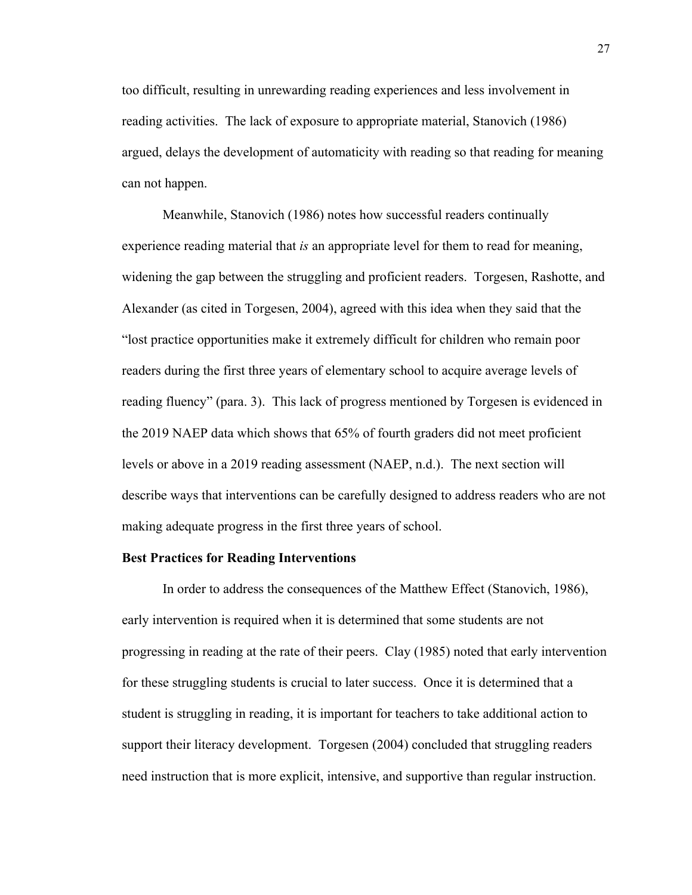too difficult, resulting in unrewarding reading experiences and less involvement in reading activities. The lack of exposure to appropriate material, Stanovich (1986) argued, delays the development of automaticity with reading so that reading for meaning can not happen.

Meanwhile, Stanovich (1986) notes how successful readers continually experience reading material that *is* an appropriate level for them to read for meaning, widening the gap between the struggling and proficient readers. Torgesen, Rashotte, and Alexander (as cited in Torgesen, 2004), agreed with this idea when they said that the "lost practice opportunities make it extremely difficult for children who remain poor readers during the first three years of elementary school to acquire average levels of reading fluency" (para. 3). This lack of progress mentioned by Torgesen is evidenced in the 2019 NAEP data which shows that 65% of fourth graders did not meet proficient levels or above in a 2019 reading assessment (NAEP, n.d.). The next section will describe ways that interventions can be carefully designed to address readers who are not making adequate progress in the first three years of school.

#### **Best Practices for Reading Interventions**

In order to address the consequences of the Matthew Effect (Stanovich, 1986), early intervention is required when it is determined that some students are not progressing in reading at the rate of their peers. Clay (1985) noted that early intervention for these struggling students is crucial to later success. Once it is determined that a student is struggling in reading, it is important for teachers to take additional action to support their literacy development. Torgesen (2004) concluded that struggling readers need instruction that is more explicit, intensive, and supportive than regular instruction.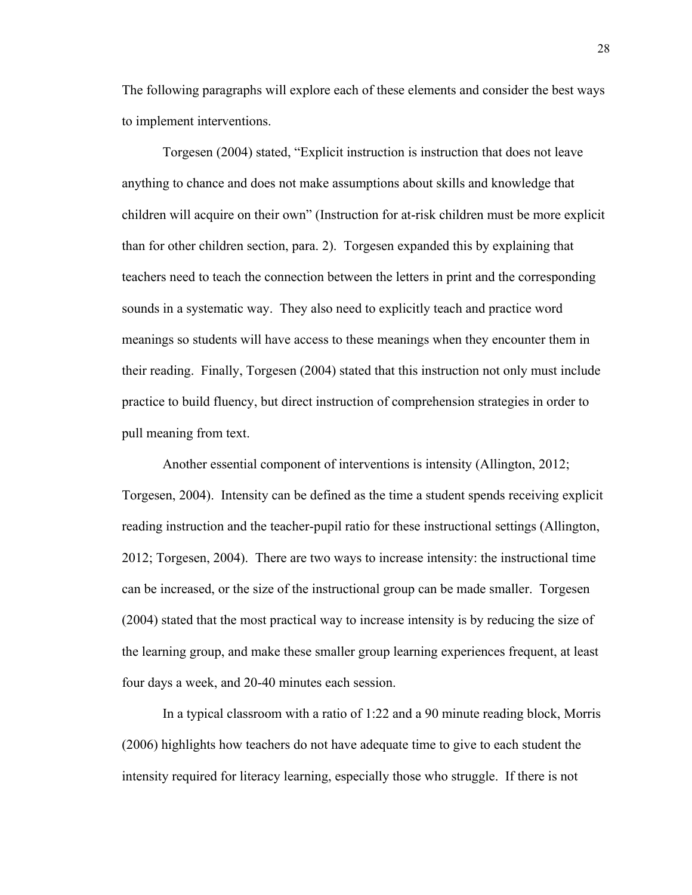The following paragraphs will explore each of these elements and consider the best ways to implement interventions.

Torgesen (2004) stated, "Explicit instruction is instruction that does not leave anything to chance and does not make assumptions about skills and knowledge that children will acquire on their own" (Instruction for at-risk children must be more explicit than for other children section, para. 2). Torgesen expanded this by explaining that teachers need to teach the connection between the letters in print and the corresponding sounds in a systematic way. They also need to explicitly teach and practice word meanings so students will have access to these meanings when they encounter them in their reading. Finally, Torgesen (2004) stated that this instruction not only must include practice to build fluency, but direct instruction of comprehension strategies in order to pull meaning from text.

Another essential component of interventions is intensity (Allington, 2012; Torgesen, 2004). Intensity can be defined as the time a student spends receiving explicit reading instruction and the teacher-pupil ratio for these instructional settings (Allington, 2012; Torgesen, 2004). There are two ways to increase intensity: the instructional time can be increased, or the size of the instructional group can be made smaller. Torgesen (2004) stated that the most practical way to increase intensity is by reducing the size of the learning group, and make these smaller group learning experiences frequent, at least four days a week, and 20-40 minutes each session.

In a typical classroom with a ratio of 1:22 and a 90 minute reading block, Morris (2006) highlights how teachers do not have adequate time to give to each student the intensity required for literacy learning, especially those who struggle. If there is not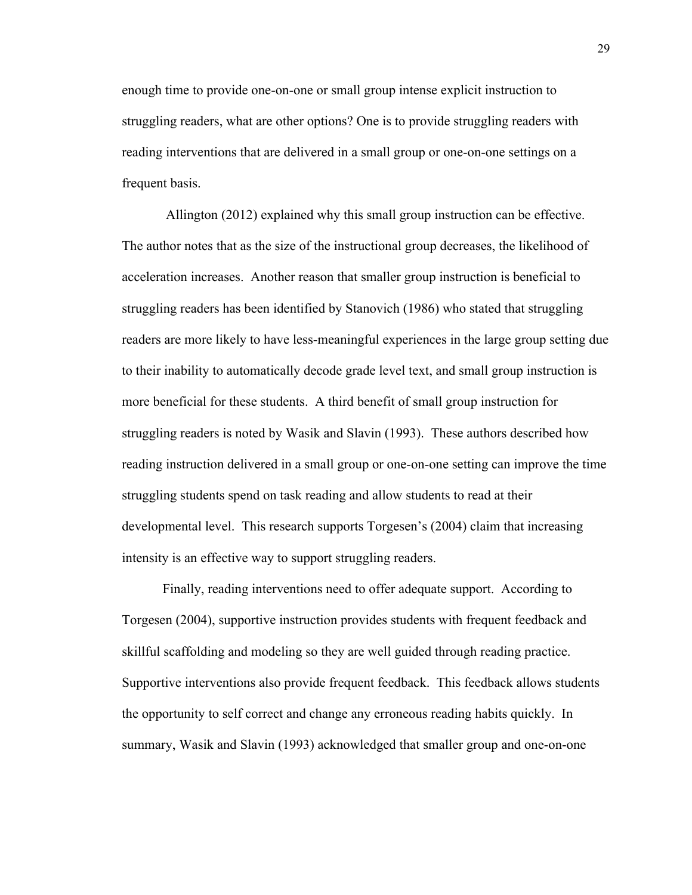enough time to provide one-on-one or small group intense explicit instruction to struggling readers, what are other options? One is to provide struggling readers with reading interventions that are delivered in a small group or one-on-one settings on a frequent basis.

Allington (2012) explained why this small group instruction can be effective. The author notes that as the size of the instructional group decreases, the likelihood of acceleration increases. Another reason that smaller group instruction is beneficial to struggling readers has been identified by Stanovich (1986) who stated that struggling readers are more likely to have less-meaningful experiences in the large group setting due to their inability to automatically decode grade level text, and small group instruction is more beneficial for these students. A third benefit of small group instruction for struggling readers is noted by Wasik and Slavin (1993). These authors described how reading instruction delivered in a small group or one-on-one setting can improve the time struggling students spend on task reading and allow students to read at their developmental level. This research supports Torgesen's (2004) claim that increasing intensity is an effective way to support struggling readers.

Finally, reading interventions need to offer adequate support. According to Torgesen (2004), supportive instruction provides students with frequent feedback and skillful scaffolding and modeling so they are well guided through reading practice. Supportive interventions also provide frequent feedback. This feedback allows students the opportunity to self correct and change any erroneous reading habits quickly. In summary, Wasik and Slavin (1993) acknowledged that smaller group and one-on-one

29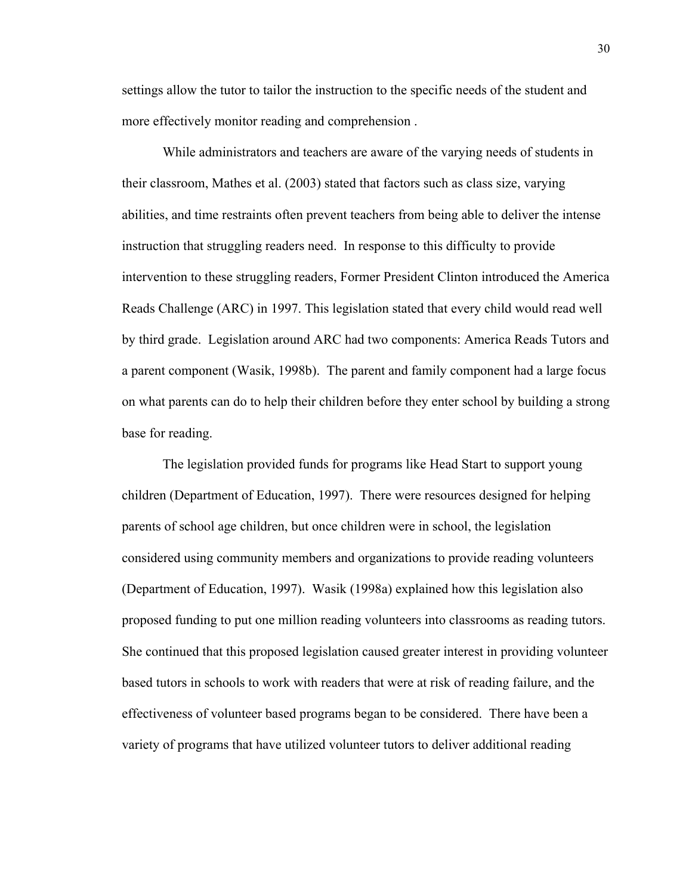settings allow the tutor to tailor the instruction to the specific needs of the student and more effectively monitor reading and comprehension .

While administrators and teachers are aware of the varying needs of students in their classroom, Mathes et al. (2003) stated that factors such as class size, varying abilities, and time restraints often prevent teachers from being able to deliver the intense instruction that struggling readers need. In response to this difficulty to provide intervention to these struggling readers, Former President Clinton introduced the America Reads Challenge (ARC) in 1997. This legislation stated that every child would read well by third grade. Legislation around ARC had two components: America Reads Tutors and a parent component (Wasik, 1998b). The parent and family component had a large focus on what parents can do to help their children before they enter school by building a strong base for reading.

The legislation provided funds for programs like Head Start to support young children (Department of Education, 1997). There were resources designed for helping parents of school age children, but once children were in school, the legislation considered using community members and organizations to provide reading volunteers (Department of Education, 1997). Wasik (1998a) explained how this legislation also proposed funding to put one million reading volunteers into classrooms as reading tutors. She continued that this proposed legislation caused greater interest in providing volunteer based tutors in schools to work with readers that were at risk of reading failure, and the effectiveness of volunteer based programs began to be considered. There have been a variety of programs that have utilized volunteer tutors to deliver additional reading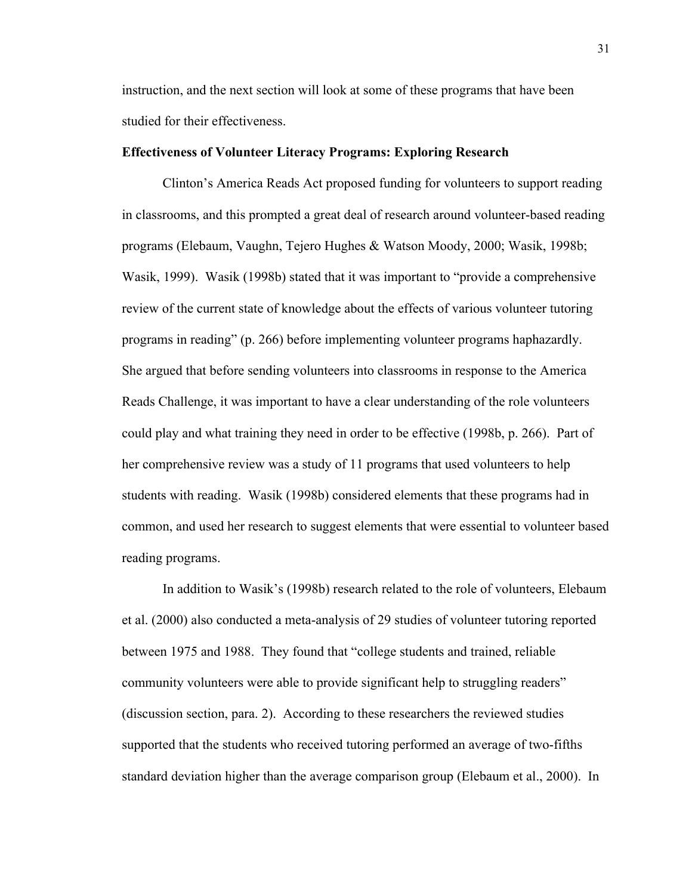instruction, and the next section will look at some of these programs that have been studied for their effectiveness.

# **Effectiveness of Volunteer Literacy Programs: Exploring Research**

Clinton's America Reads Act proposed funding for volunteers to support reading in classrooms, and this prompted a great deal of research around volunteer-based reading programs (Elebaum, Vaughn, Tejero Hughes & Watson Moody, 2000; Wasik, 1998b; Wasik, 1999). Wasik (1998b) stated that it was important to "provide a comprehensive review of the current state of knowledge about the effects of various volunteer tutoring programs in reading" (p. 266) before implementing volunteer programs haphazardly. She argued that before sending volunteers into classrooms in response to the America Reads Challenge, it was important to have a clear understanding of the role volunteers could play and what training they need in order to be effective (1998b, p. 266). Part of her comprehensive review was a study of 11 programs that used volunteers to help students with reading. Wasik (1998b) considered elements that these programs had in common, and used her research to suggest elements that were essential to volunteer based reading programs.

In addition to Wasik's (1998b) research related to the role of volunteers, Elebaum et al. (2000) also conducted a meta-analysis of 29 studies of volunteer tutoring reported between 1975 and 1988. They found that "college students and trained, reliable community volunteers were able to provide significant help to struggling readers" (discussion section, para. 2). According to these researchers the reviewed studies supported that the students who received tutoring performed an average of two-fifths standard deviation higher than the average comparison group (Elebaum et al., 2000). In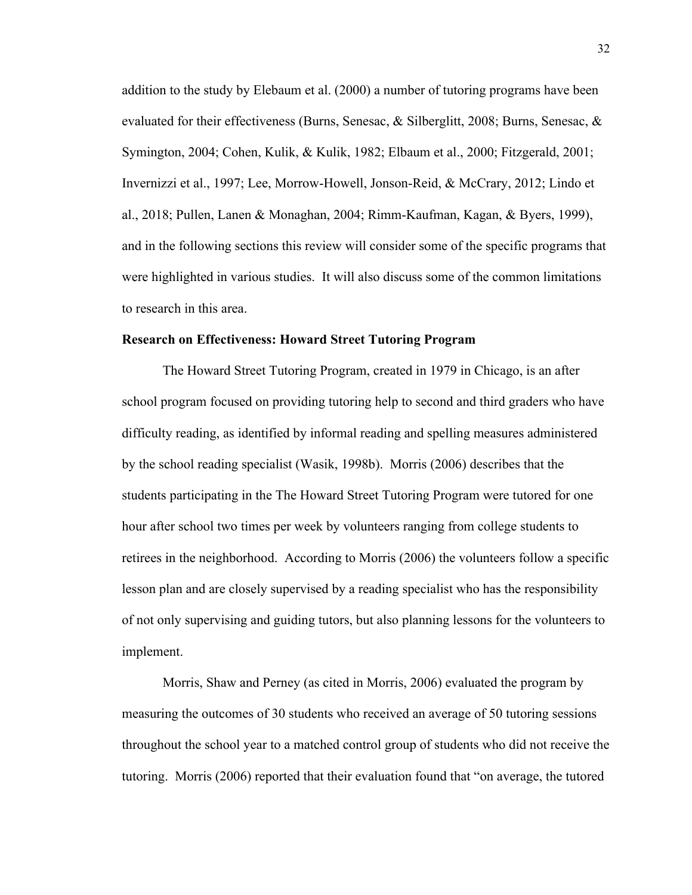addition to the study by Elebaum et al. (2000) a number of tutoring programs have been evaluated for their effectiveness (Burns, Senesac, & Silberglitt, 2008; Burns, Senesac, & Symington, 2004; Cohen, Kulik, & Kulik, 1982; Elbaum et al., 2000; Fitzgerald, 2001; Invernizzi et al., 1997; Lee, Morrow-Howell, Jonson-Reid, & McCrary, 2012; Lindo et al., 2018; Pullen, Lanen & Monaghan, 2004; Rimm-Kaufman, Kagan, & Byers, 1999), and in the following sections this review will consider some of the specific programs that were highlighted in various studies. It will also discuss some of the common limitations to research in this area.

## **Research on Effectiveness: Howard Street Tutoring Program**

The Howard Street Tutoring Program, created in 1979 in Chicago, is an after school program focused on providing tutoring help to second and third graders who have difficulty reading, as identified by informal reading and spelling measures administered by the school reading specialist (Wasik, 1998b). Morris (2006) describes that the students participating in the The Howard Street Tutoring Program were tutored for one hour after school two times per week by volunteers ranging from college students to retirees in the neighborhood. According to Morris (2006) the volunteers follow a specific lesson plan and are closely supervised by a reading specialist who has the responsibility of not only supervising and guiding tutors, but also planning lessons for the volunteers to implement.

Morris, Shaw and Perney (as cited in Morris, 2006) evaluated the program by measuring the outcomes of 30 students who received an average of 50 tutoring sessions throughout the school year to a matched control group of students who did not receive the tutoring. Morris (2006) reported that their evaluation found that "on average, the tutored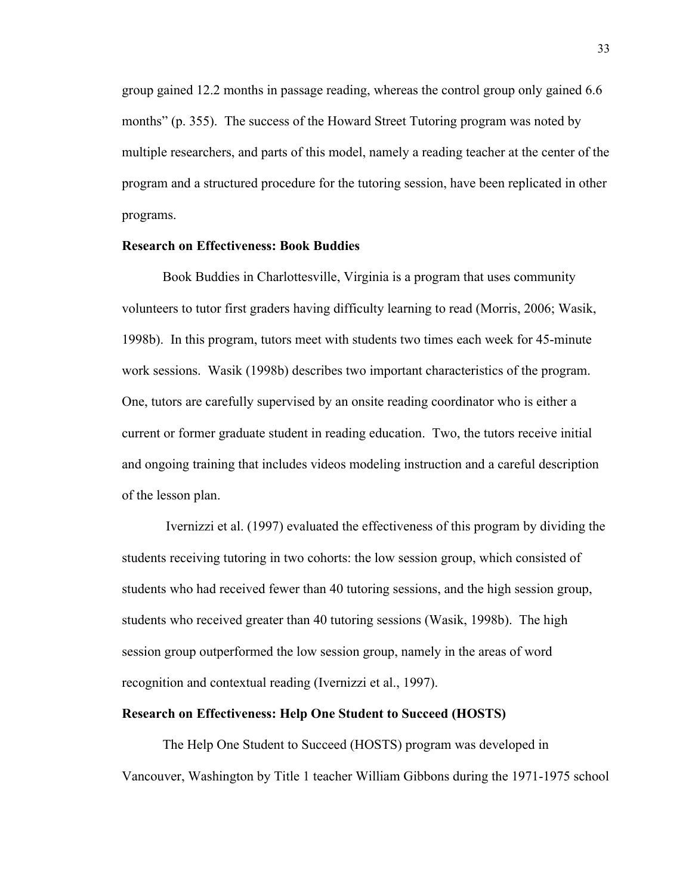group gained 12.2 months in passage reading, whereas the control group only gained 6.6 months" (p. 355). The success of the Howard Street Tutoring program was noted by multiple researchers, and parts of this model, namely a reading teacher at the center of the program and a structured procedure for the tutoring session, have been replicated in other programs.

### **Research on Effectiveness: Book Buddies**

Book Buddies in Charlottesville, Virginia is a program that uses community volunteers to tutor first graders having difficulty learning to read (Morris, 2006; Wasik, 1998b). In this program, tutors meet with students two times each week for 45-minute work sessions. Wasik (1998b) describes two important characteristics of the program. One, tutors are carefully supervised by an onsite reading coordinator who is either a current or former graduate student in reading education. Two, the tutors receive initial and ongoing training that includes videos modeling instruction and a careful description of the lesson plan.

Ivernizzi et al. (1997) evaluated the effectiveness of this program by dividing the students receiving tutoring in two cohorts: the low session group, which consisted of students who had received fewer than 40 tutoring sessions, and the high session group, students who received greater than 40 tutoring sessions (Wasik, 1998b). The high session group outperformed the low session group, namely in the areas of word recognition and contextual reading (Ivernizzi et al., 1997).

### **Research on Effectiveness: Help One Student to Succeed (HOSTS)**

The Help One Student to Succeed (HOSTS) program was developed in Vancouver, Washington by Title 1 teacher William Gibbons during the 1971-1975 school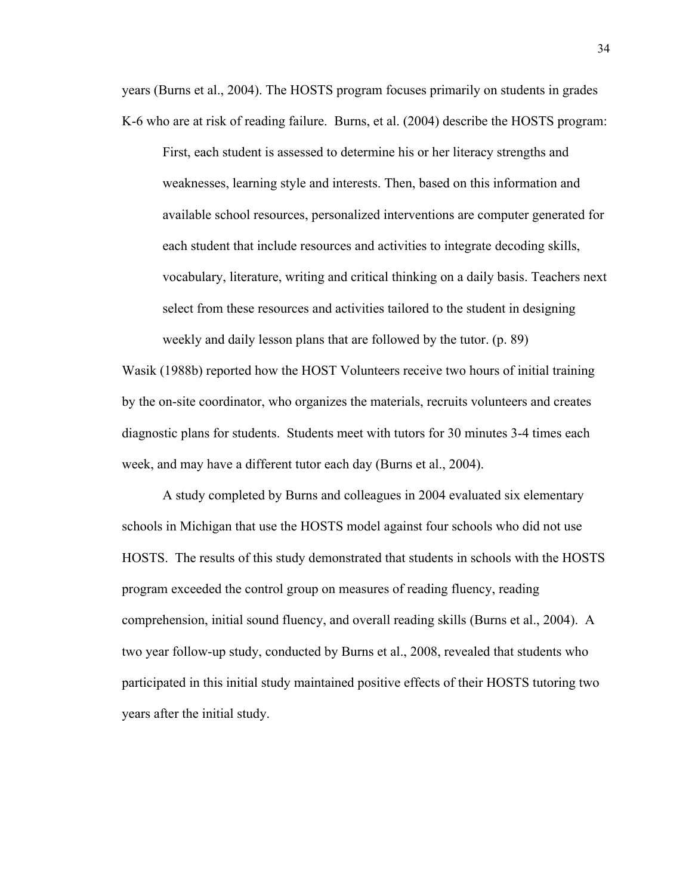years (Burns et al., 2004). The HOSTS program focuses primarily on students in grades K-6 who are at risk of reading failure. Burns, et al. (2004) describe the HOSTS program:

First, each student is assessed to determine his or her literacy strengths and weaknesses, learning style and interests. Then, based on this information and available school resources, personalized interventions are computer generated for each student that include resources and activities to integrate decoding skills, vocabulary, literature, writing and critical thinking on a daily basis. Teachers next select from these resources and activities tailored to the student in designing weekly and daily lesson plans that are followed by the tutor. (p. 89)

Wasik (1988b) reported how the HOST Volunteers receive two hours of initial training by the on-site coordinator, who organizes the materials, recruits volunteers and creates diagnostic plans for students. Students meet with tutors for 30 minutes 3-4 times each week, and may have a different tutor each day (Burns et al., 2004).

A study completed by Burns and colleagues in 2004 evaluated six elementary schools in Michigan that use the HOSTS model against four schools who did not use HOSTS. The results of this study demonstrated that students in schools with the HOSTS program exceeded the control group on measures of reading fluency, reading comprehension, initial sound fluency, and overall reading skills (Burns et al., 2004). A two year follow-up study, conducted by Burns et al., 2008, revealed that students who participated in this initial study maintained positive effects of their HOSTS tutoring two years after the initial study.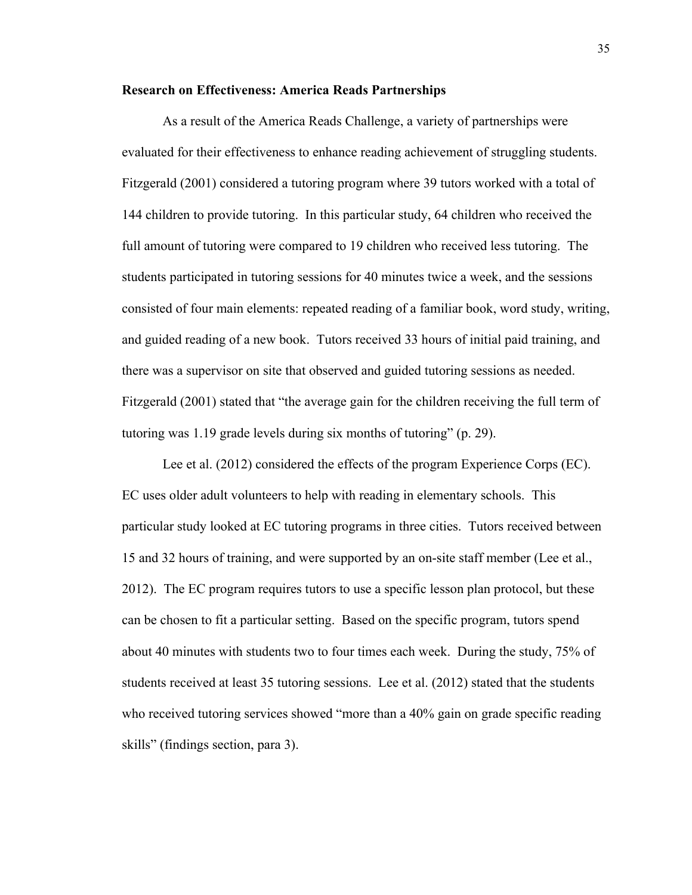## **Research on Effectiveness: America Reads Partnerships**

As a result of the America Reads Challenge, a variety of partnerships were evaluated for their effectiveness to enhance reading achievement of struggling students. Fitzgerald (2001) considered a tutoring program where 39 tutors worked with a total of 144 children to provide tutoring. In this particular study, 64 children who received the full amount of tutoring were compared to 19 children who received less tutoring. The students participated in tutoring sessions for 40 minutes twice a week, and the sessions consisted of four main elements: repeated reading of a familiar book, word study, writing, and guided reading of a new book. Tutors received 33 hours of initial paid training, and there was a supervisor on site that observed and guided tutoring sessions as needed. Fitzgerald (2001) stated that "the average gain for the children receiving the full term of tutoring was 1.19 grade levels during six months of tutoring" (p. 29).

Lee et al. (2012) considered the effects of the program Experience Corps (EC). EC uses older adult volunteers to help with reading in elementary schools. This particular study looked at EC tutoring programs in three cities. Tutors received between 15 and 32 hours of training, and were supported by an on-site staff member (Lee et al., 2012). The EC program requires tutors to use a specific lesson plan protocol, but these can be chosen to fit a particular setting. Based on the specific program, tutors spend about 40 minutes with students two to four times each week. During the study, 75% of students received at least 35 tutoring sessions. Lee et al. (2012) stated that the students who received tutoring services showed "more than a 40% gain on grade specific reading skills" (findings section, para 3).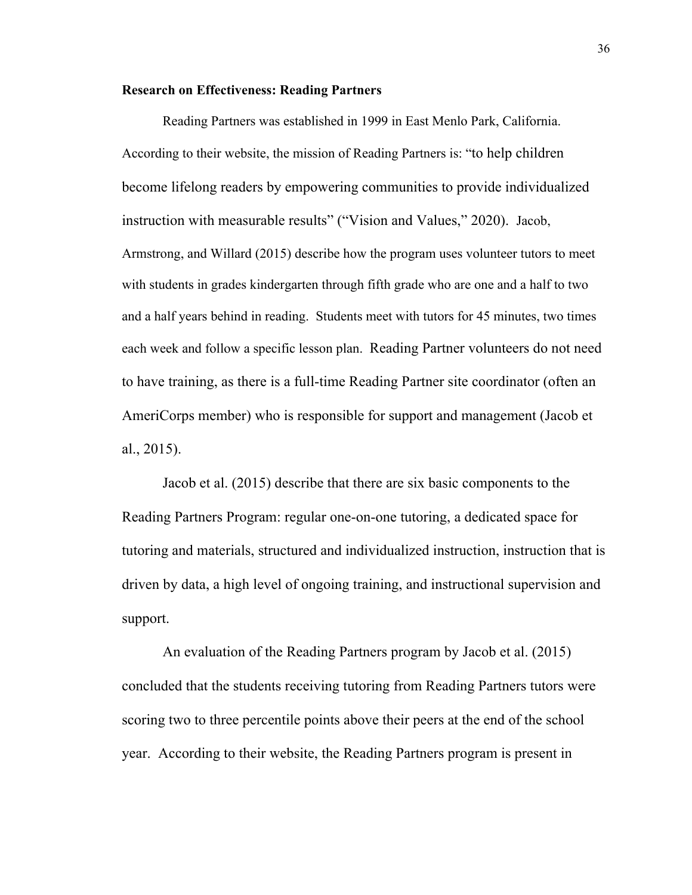# **Research on Effectiveness: Reading Partners**

Reading Partners was established in 1999 in East Menlo Park, California. According to their website, the mission of Reading Partners is: "to help children become lifelong readers by empowering communities to provide individualized instruction with measurable results" ("Vision and Values," 2020). Jacob, Armstrong, and Willard (2015) describe how the program uses volunteer tutors to meet with students in grades kindergarten through fifth grade who are one and a half to two and a half years behind in reading. Students meet with tutors for 45 minutes, two times each week and follow a specific lesson plan. Reading Partner volunteers do not need to have training, as there is a full-time Reading Partner site coordinator (often an AmeriCorps member) who is responsible for support and management (Jacob et al., 2015).

Jacob et al. (2015) describe that there are six basic components to the Reading Partners Program: regular one-on-one tutoring, a dedicated space for tutoring and materials, structured and individualized instruction, instruction that is driven by data, a high level of ongoing training, and instructional supervision and support.

An evaluation of the Reading Partners program by Jacob et al. (2015) concluded that the students receiving tutoring from Reading Partners tutors were scoring two to three percentile points above their peers at the end of the school year. According to their website, the Reading Partners program is present in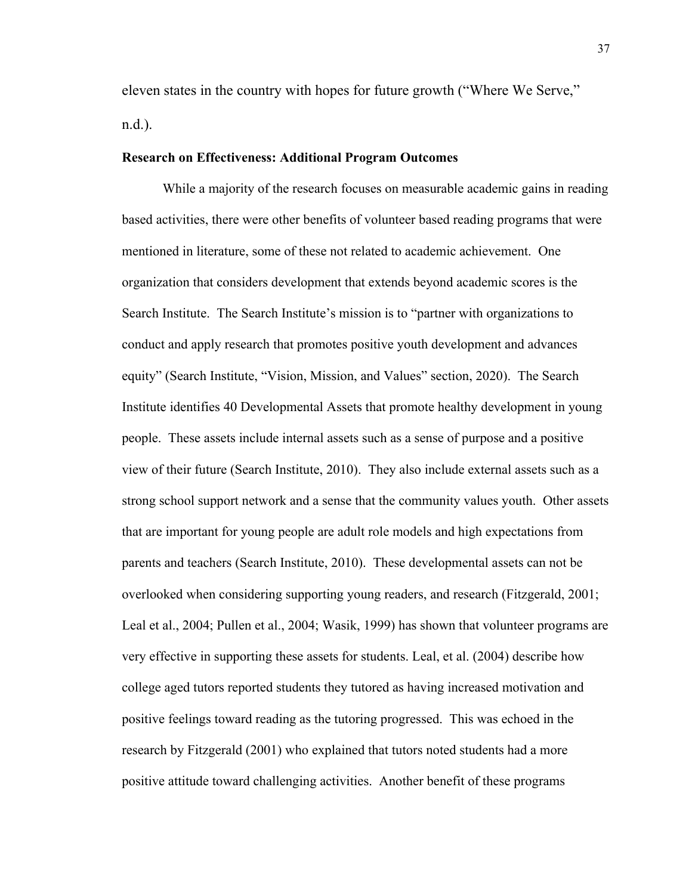eleven states in the country with hopes for future growth ("Where We Serve," n.d.).

## **Research on Effectiveness: Additional Program Outcomes**

While a majority of the research focuses on measurable academic gains in reading based activities, there were other benefits of volunteer based reading programs that were mentioned in literature, some of these not related to academic achievement. One organization that considers development that extends beyond academic scores is the Search Institute. The Search Institute's mission is to "partner with organizations to conduct and apply research that promotes positive youth development and advances equity" (Search Institute, "Vision, Mission, and Values" section, 2020). The Search Institute identifies 40 Developmental Assets that promote healthy development in young people. These assets include internal assets such as a sense of purpose and a positive view of their future (Search Institute, 2010). They also include external assets such as a strong school support network and a sense that the community values youth. Other assets that are important for young people are adult role models and high expectations from parents and teachers (Search Institute, 2010). These developmental assets can not be overlooked when considering supporting young readers, and research (Fitzgerald, 2001; Leal et al., 2004; Pullen et al., 2004; Wasik, 1999) has shown that volunteer programs are very effective in supporting these assets for students. Leal, et al. (2004) describe how college aged tutors reported students they tutored as having increased motivation and positive feelings toward reading as the tutoring progressed. This was echoed in the research by Fitzgerald (2001) who explained that tutors noted students had a more positive attitude toward challenging activities. Another benefit of these programs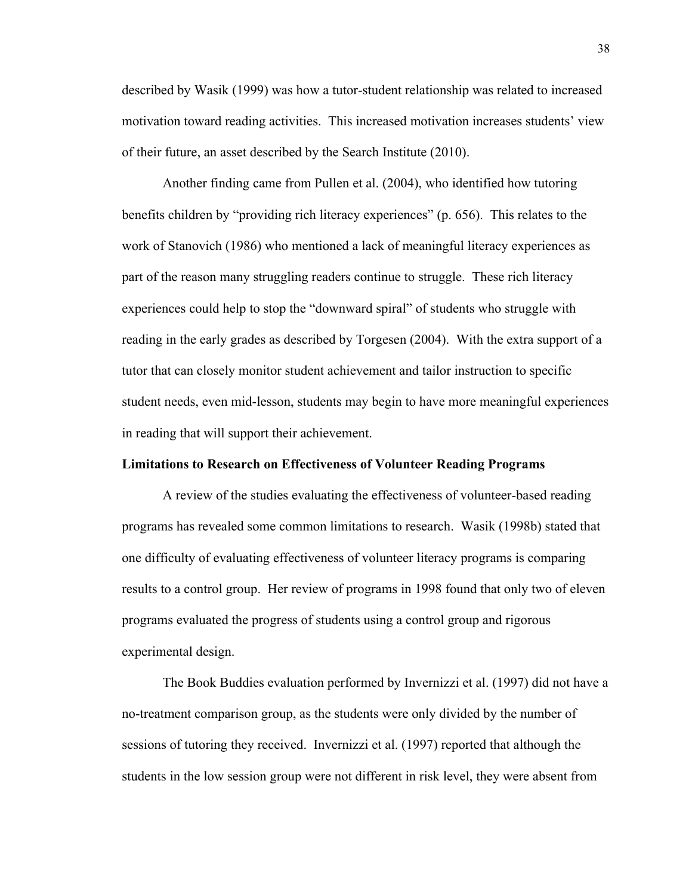described by Wasik (1999) was how a tutor-student relationship was related to increased motivation toward reading activities. This increased motivation increases students' view of their future, an asset described by the Search Institute (2010).

Another finding came from Pullen et al. (2004), who identified how tutoring benefits children by "providing rich literacy experiences" (p. 656). This relates to the work of Stanovich (1986) who mentioned a lack of meaningful literacy experiences as part of the reason many struggling readers continue to struggle. These rich literacy experiences could help to stop the "downward spiral" of students who struggle with reading in the early grades as described by Torgesen (2004). With the extra support of a tutor that can closely monitor student achievement and tailor instruction to specific student needs, even mid-lesson, students may begin to have more meaningful experiences in reading that will support their achievement.

#### **Limitations to Research on Effectiveness of Volunteer Reading Programs**

A review of the studies evaluating the effectiveness of volunteer-based reading programs has revealed some common limitations to research. Wasik (1998b) stated that one difficulty of evaluating effectiveness of volunteer literacy programs is comparing results to a control group. Her review of programs in 1998 found that only two of eleven programs evaluated the progress of students using a control group and rigorous experimental design.

The Book Buddies evaluation performed by Invernizzi et al. (1997) did not have a no-treatment comparison group, as the students were only divided by the number of sessions of tutoring they received. Invernizzi et al. (1997) reported that although the students in the low session group were not different in risk level, they were absent from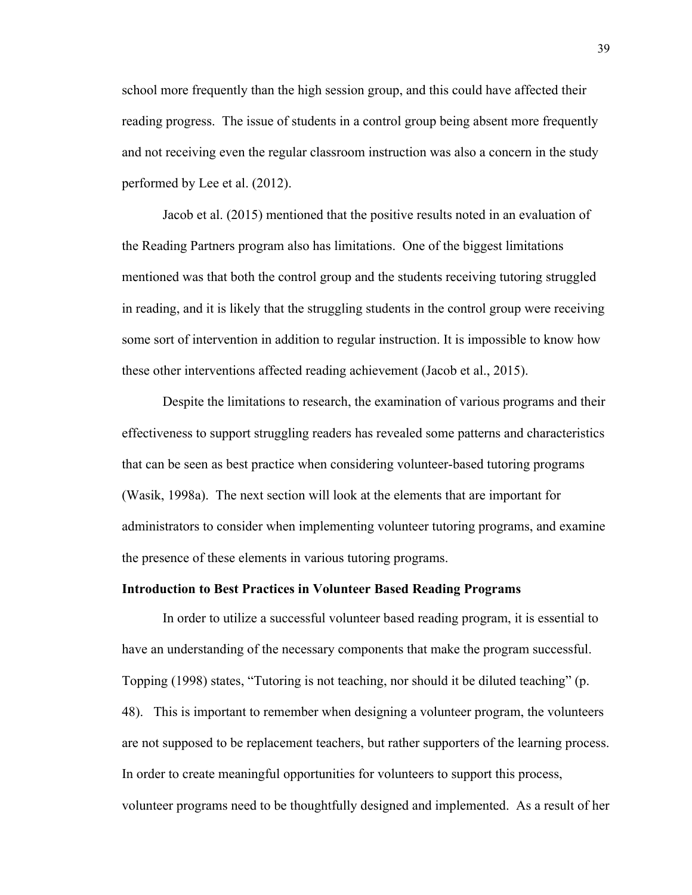school more frequently than the high session group, and this could have affected their reading progress. The issue of students in a control group being absent more frequently and not receiving even the regular classroom instruction was also a concern in the study performed by Lee et al. (2012).

Jacob et al. (2015) mentioned that the positive results noted in an evaluation of the Reading Partners program also has limitations. One of the biggest limitations mentioned was that both the control group and the students receiving tutoring struggled in reading, and it is likely that the struggling students in the control group were receiving some sort of intervention in addition to regular instruction. It is impossible to know how these other interventions affected reading achievement (Jacob et al., 2015).

Despite the limitations to research, the examination of various programs and their effectiveness to support struggling readers has revealed some patterns and characteristics that can be seen as best practice when considering volunteer-based tutoring programs (Wasik, 1998a). The next section will look at the elements that are important for administrators to consider when implementing volunteer tutoring programs, and examine the presence of these elements in various tutoring programs.

# **Introduction to Best Practices in Volunteer Based Reading Programs**

In order to utilize a successful volunteer based reading program, it is essential to have an understanding of the necessary components that make the program successful. Topping (1998) states, "Tutoring is not teaching, nor should it be diluted teaching" (p. 48). This is important to remember when designing a volunteer program, the volunteers are not supposed to be replacement teachers, but rather supporters of the learning process. In order to create meaningful opportunities for volunteers to support this process, volunteer programs need to be thoughtfully designed and implemented. As a result of her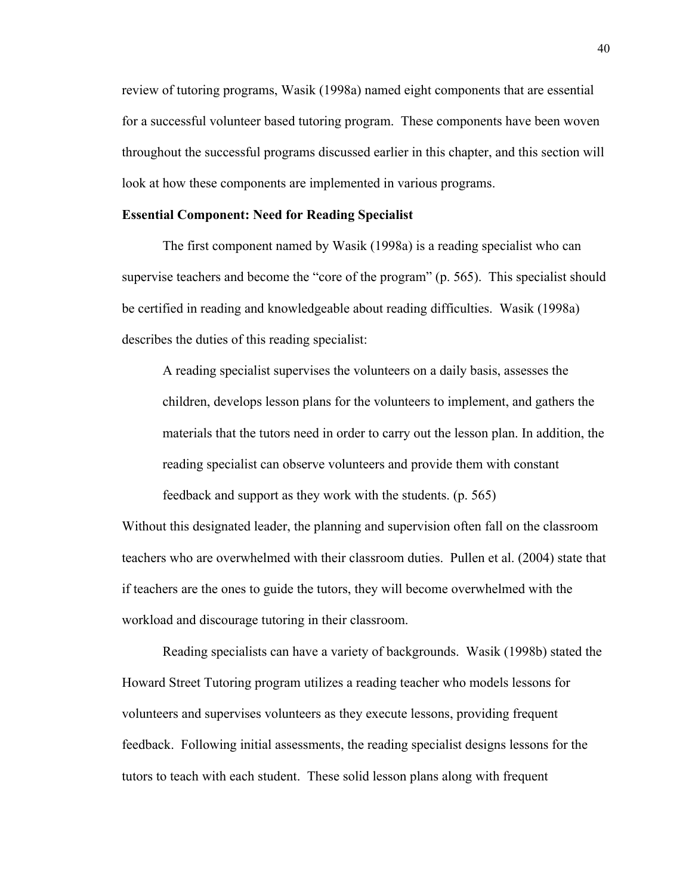review of tutoring programs, Wasik (1998a) named eight components that are essential for a successful volunteer based tutoring program. These components have been woven throughout the successful programs discussed earlier in this chapter, and this section will look at how these components are implemented in various programs.

# **Essential Component: Need for Reading Specialist**

The first component named by Wasik (1998a) is a reading specialist who can supervise teachers and become the "core of the program" (p. 565). This specialist should be certified in reading and knowledgeable about reading difficulties. Wasik (1998a) describes the duties of this reading specialist:

A reading specialist supervises the volunteers on a daily basis, assesses the children, develops lesson plans for the volunteers to implement, and gathers the materials that the tutors need in order to carry out the lesson plan. In addition, the reading specialist can observe volunteers and provide them with constant feedback and support as they work with the students. (p. 565)

Without this designated leader, the planning and supervision often fall on the classroom teachers who are overwhelmed with their classroom duties. Pullen et al. (2004) state that if teachers are the ones to guide the tutors, they will become overwhelmed with the workload and discourage tutoring in their classroom.

Reading specialists can have a variety of backgrounds. Wasik (1998b) stated the Howard Street Tutoring program utilizes a reading teacher who models lessons for volunteers and supervises volunteers as they execute lessons, providing frequent feedback. Following initial assessments, the reading specialist designs lessons for the tutors to teach with each student. These solid lesson plans along with frequent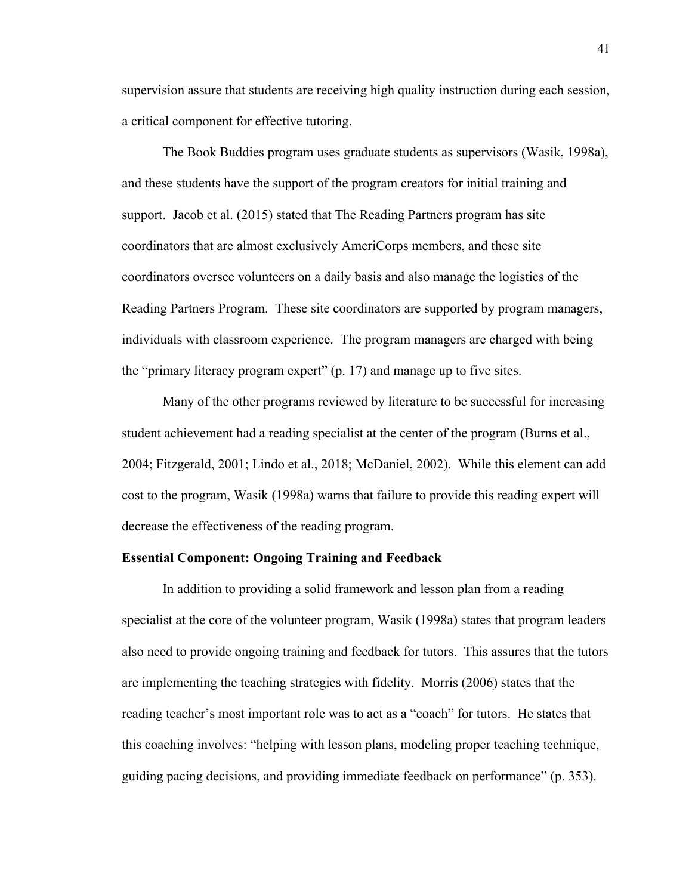supervision assure that students are receiving high quality instruction during each session, a critical component for effective tutoring.

The Book Buddies program uses graduate students as supervisors (Wasik, 1998a), and these students have the support of the program creators for initial training and support. Jacob et al. (2015) stated that The Reading Partners program has site coordinators that are almost exclusively AmeriCorps members, and these site coordinators oversee volunteers on a daily basis and also manage the logistics of the Reading Partners Program. These site coordinators are supported by program managers, individuals with classroom experience. The program managers are charged with being the "primary literacy program expert" (p. 17) and manage up to five sites.

Many of the other programs reviewed by literature to be successful for increasing student achievement had a reading specialist at the center of the program (Burns et al., 2004; Fitzgerald, 2001; Lindo et al., 2018; McDaniel, 2002). While this element can add cost to the program, Wasik (1998a) warns that failure to provide this reading expert will decrease the effectiveness of the reading program.

## **Essential Component: Ongoing Training and Feedback**

In addition to providing a solid framework and lesson plan from a reading specialist at the core of the volunteer program, Wasik (1998a) states that program leaders also need to provide ongoing training and feedback for tutors. This assures that the tutors are implementing the teaching strategies with fidelity. Morris (2006) states that the reading teacher's most important role was to act as a "coach" for tutors. He states that this coaching involves: "helping with lesson plans, modeling proper teaching technique, guiding pacing decisions, and providing immediate feedback on performance" (p. 353).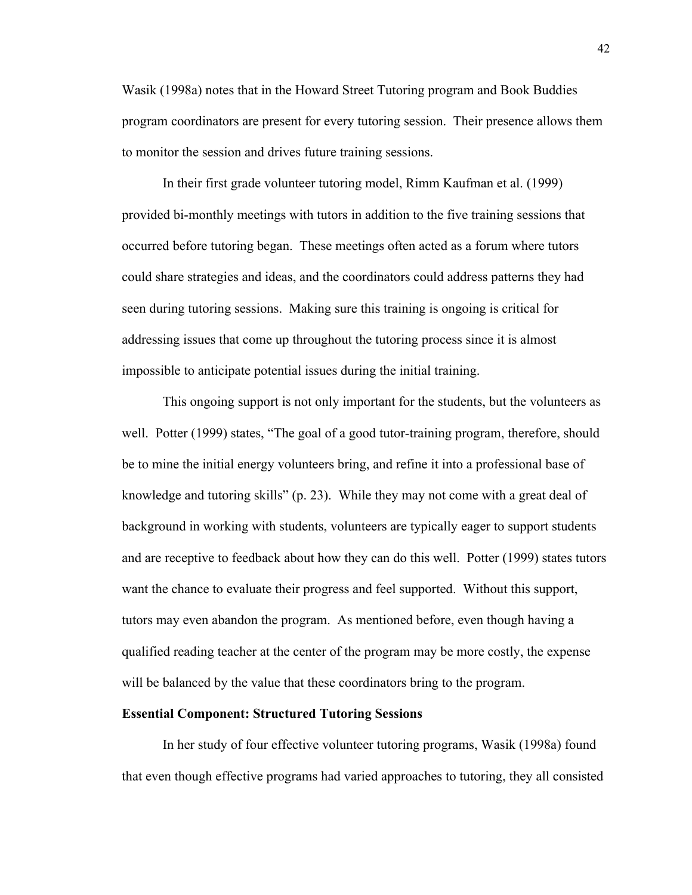Wasik (1998a) notes that in the Howard Street Tutoring program and Book Buddies program coordinators are present for every tutoring session. Their presence allows them to monitor the session and drives future training sessions.

In their first grade volunteer tutoring model, Rimm Kaufman et al. (1999) provided bi-monthly meetings with tutors in addition to the five training sessions that occurred before tutoring began. These meetings often acted as a forum where tutors could share strategies and ideas, and the coordinators could address patterns they had seen during tutoring sessions. Making sure this training is ongoing is critical for addressing issues that come up throughout the tutoring process since it is almost impossible to anticipate potential issues during the initial training.

This ongoing support is not only important for the students, but the volunteers as well. Potter (1999) states, "The goal of a good tutor-training program, therefore, should be to mine the initial energy volunteers bring, and refine it into a professional base of knowledge and tutoring skills" (p. 23). While they may not come with a great deal of background in working with students, volunteers are typically eager to support students and are receptive to feedback about how they can do this well. Potter (1999) states tutors want the chance to evaluate their progress and feel supported. Without this support, tutors may even abandon the program. As mentioned before, even though having a qualified reading teacher at the center of the program may be more costly, the expense will be balanced by the value that these coordinators bring to the program.

## **Essential Component: Structured Tutoring Sessions**

In her study of four effective volunteer tutoring programs, Wasik (1998a) found that even though effective programs had varied approaches to tutoring, they all consisted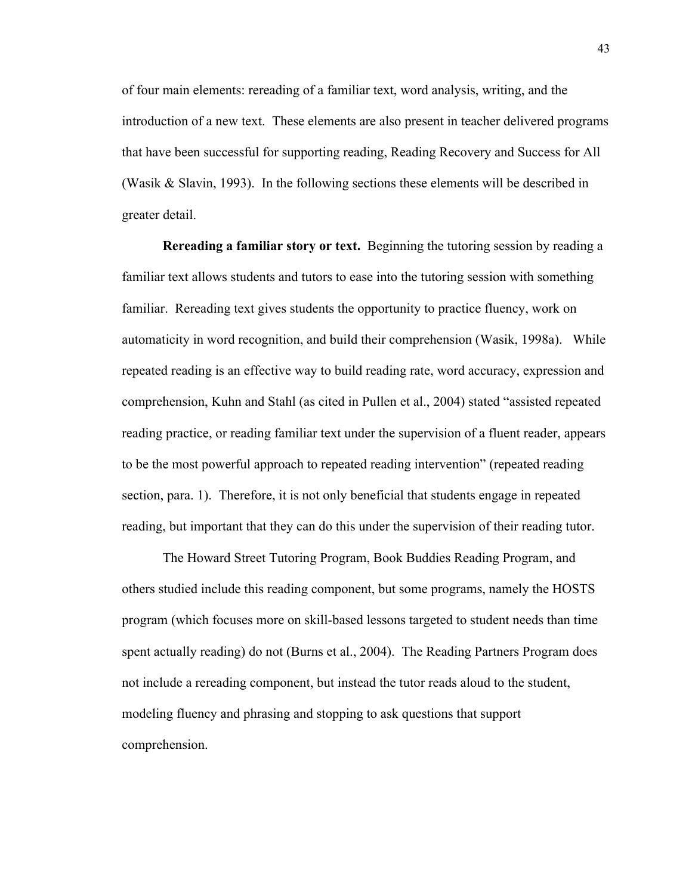of four main elements: rereading of a familiar text, word analysis, writing, and the introduction of a new text. These elements are also present in teacher delivered programs that have been successful for supporting reading, Reading Recovery and Success for All (Wasik & Slavin, 1993). In the following sections these elements will be described in greater detail.

**Rereading a familiar story or text.** Beginning the tutoring session by reading a familiar text allows students and tutors to ease into the tutoring session with something familiar. Rereading text gives students the opportunity to practice fluency, work on automaticity in word recognition, and build their comprehension (Wasik, 1998a). While repeated reading is an effective way to build reading rate, word accuracy, expression and comprehension, Kuhn and Stahl (as cited in Pullen et al., 2004) stated "assisted repeated reading practice, or reading familiar text under the supervision of a fluent reader, appears to be the most powerful approach to repeated reading intervention" (repeated reading section, para. 1). Therefore, it is not only beneficial that students engage in repeated reading, but important that they can do this under the supervision of their reading tutor.

The Howard Street Tutoring Program, Book Buddies Reading Program, and others studied include this reading component, but some programs, namely the HOSTS program (which focuses more on skill-based lessons targeted to student needs than time spent actually reading) do not (Burns et al., 2004). The Reading Partners Program does not include a rereading component, but instead the tutor reads aloud to the student, modeling fluency and phrasing and stopping to ask questions that support comprehension.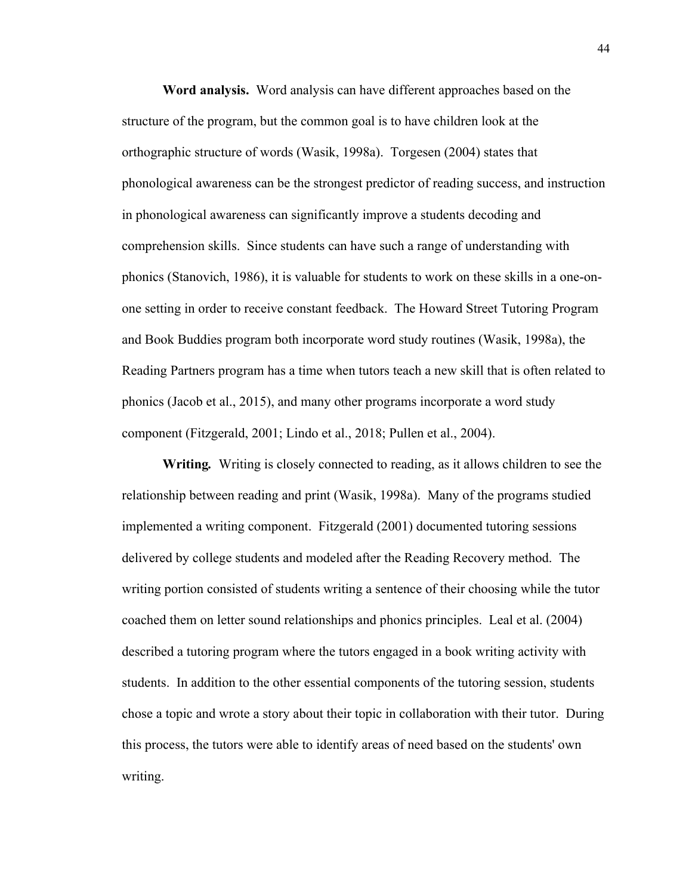**Word analysis.** Word analysis can have different approaches based on the structure of the program, but the common goal is to have children look at the orthographic structure of words (Wasik, 1998a). Torgesen (2004) states that phonological awareness can be the strongest predictor of reading success, and instruction in phonological awareness can significantly improve a students decoding and comprehension skills. Since students can have such a range of understanding with phonics (Stanovich, 1986), it is valuable for students to work on these skills in a one-onone setting in order to receive constant feedback. The Howard Street Tutoring Program and Book Buddies program both incorporate word study routines (Wasik, 1998a), the Reading Partners program has a time when tutors teach a new skill that is often related to phonics (Jacob et al., 2015), and many other programs incorporate a word study component (Fitzgerald, 2001; Lindo et al., 2018; Pullen et al., 2004).

**Writing***.* Writing is closely connected to reading, as it allows children to see the relationship between reading and print (Wasik, 1998a). Many of the programs studied implemented a writing component. Fitzgerald (2001) documented tutoring sessions delivered by college students and modeled after the Reading Recovery method. The writing portion consisted of students writing a sentence of their choosing while the tutor coached them on letter sound relationships and phonics principles. Leal et al. (2004) described a tutoring program where the tutors engaged in a book writing activity with students. In addition to the other essential components of the tutoring session, students chose a topic and wrote a story about their topic in collaboration with their tutor. During this process, the tutors were able to identify areas of need based on the students' own writing.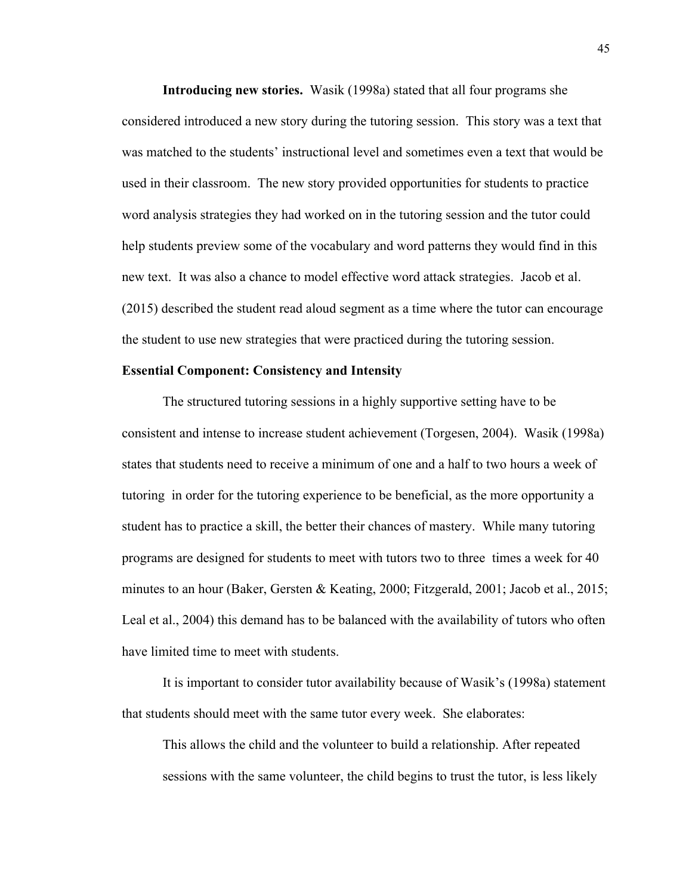**Introducing new stories.** Wasik (1998a) stated that all four programs she considered introduced a new story during the tutoring session. This story was a text that was matched to the students' instructional level and sometimes even a text that would be used in their classroom. The new story provided opportunities for students to practice word analysis strategies they had worked on in the tutoring session and the tutor could help students preview some of the vocabulary and word patterns they would find in this new text. It was also a chance to model effective word attack strategies. Jacob et al. (2015) described the student read aloud segment as a time where the tutor can encourage the student to use new strategies that were practiced during the tutoring session.

## **Essential Component: Consistency and Intensity**

The structured tutoring sessions in a highly supportive setting have to be consistent and intense to increase student achievement (Torgesen, 2004). Wasik (1998a) states that students need to receive a minimum of one and a half to two hours a week of tutoring in order for the tutoring experience to be beneficial, as the more opportunity a student has to practice a skill, the better their chances of mastery. While many tutoring programs are designed for students to meet with tutors two to three times a week for 40 minutes to an hour (Baker, Gersten & Keating, 2000; Fitzgerald, 2001; Jacob et al., 2015; Leal et al., 2004) this demand has to be balanced with the availability of tutors who often have limited time to meet with students.

It is important to consider tutor availability because of Wasik's (1998a) statement that students should meet with the same tutor every week. She elaborates:

This allows the child and the volunteer to build a relationship. After repeated sessions with the same volunteer, the child begins to trust the tutor, is less likely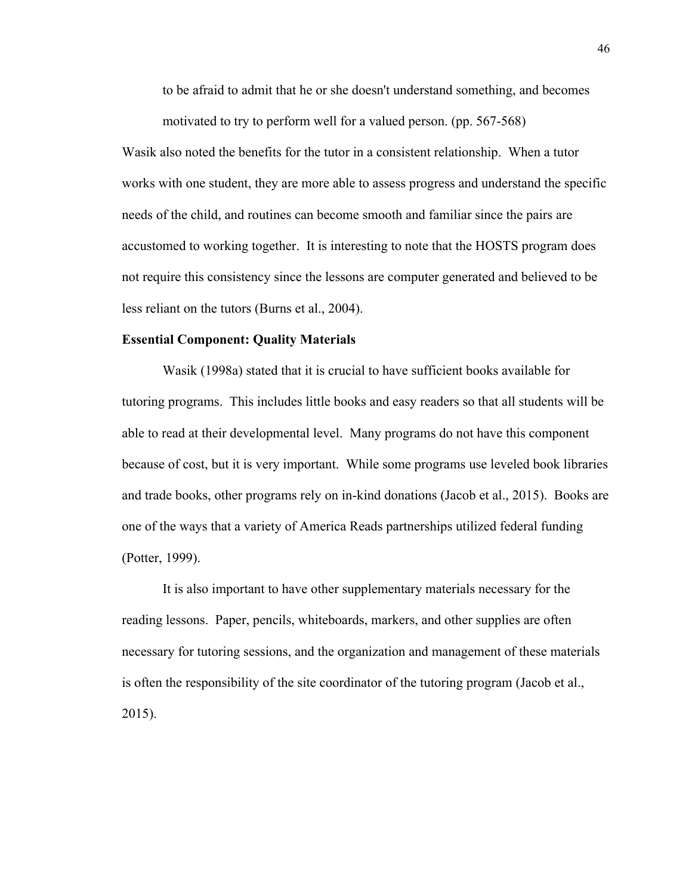to be afraid to admit that he or she doesn't understand something, and becomes motivated to try to perform well for a valued person. (pp. 567-568)

Wasik also noted the benefits for the tutor in a consistent relationship. When a tutor works with one student, they are more able to assess progress and understand the specific needs of the child, and routines can become smooth and familiar since the pairs are accustomed to working together. It is interesting to note that the HOSTS program does not require this consistency since the lessons are computer generated and believed to be less reliant on the tutors (Burns et al., 2004).

### **Essential Component: Quality Materials**

Wasik (1998a) stated that it is crucial to have sufficient books available for tutoring programs. This includes little books and easy readers so that all students will be able to read at their developmental level. Many programs do not have this component because of cost, but it is very important. While some programs use leveled book libraries and trade books, other programs rely on in-kind donations (Jacob et al., 2015). Books are one of the ways that a variety of America Reads partnerships utilized federal funding (Potter, 1999).

It is also important to have other supplementary materials necessary for the reading lessons. Paper, pencils, whiteboards, markers, and other supplies are often necessary for tutoring sessions, and the organization and management of these materials is often the responsibility of the site coordinator of the tutoring program (Jacob et al., 2015).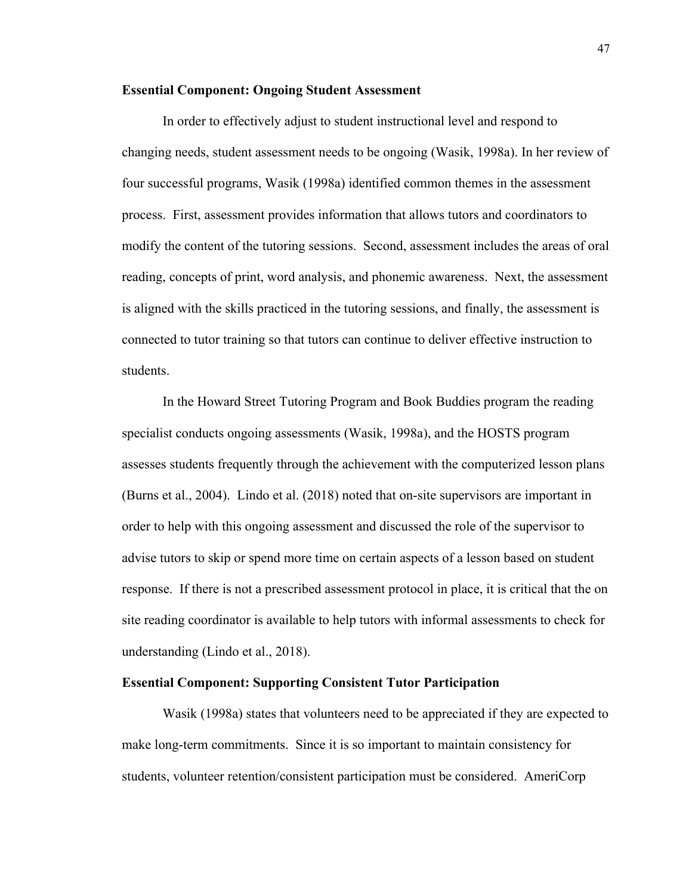## **Essential Component: Ongoing Student Assessment**

In order to effectively adjust to student instructional level and respond to changing needs, student assessment needs to be ongoing (Wasik, 1998a). In her review of four successful programs, Wasik (1998a) identified common themes in the assessment process. First, assessment provides information that allows tutors and coordinators to modify the content of the tutoring sessions. Second, assessment includes the areas of oral reading, concepts of print, word analysis, and phonemic awareness. Next, the assessment is aligned with the skills practiced in the tutoring sessions, and finally, the assessment is connected to tutor training so that tutors can continue to deliver effective instruction to students.

In the Howard Street Tutoring Program and Book Buddies program the reading specialist conducts ongoing assessments (Wasik, 1998a), and the HOSTS program assesses students frequently through the achievement with the computerized lesson plans (Burns et al., 2004). Lindo et al. (2018) noted that on-site supervisors are important in order to help with this ongoing assessment and discussed the role of the supervisor to advise tutors to skip or spend more time on certain aspects of a lesson based on student response. If there is not a prescribed assessment protocol in place, it is critical that the on site reading coordinator is available to help tutors with informal assessments to check for understanding (Lindo et al., 2018).

# **Essential Component: Supporting Consistent Tutor Participation**

Wasik (1998a) states that volunteers need to be appreciated if they are expected to make long-term commitments. Since it is so important to maintain consistency for students, volunteer retention/consistent participation must be considered. AmeriCorp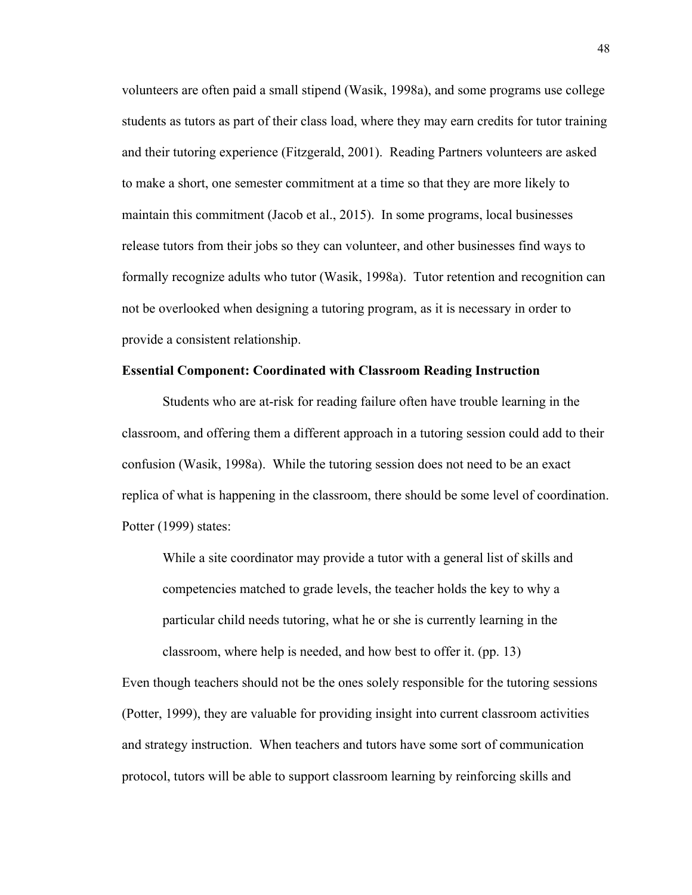volunteers are often paid a small stipend (Wasik, 1998a), and some programs use college students as tutors as part of their class load, where they may earn credits for tutor training and their tutoring experience (Fitzgerald, 2001). Reading Partners volunteers are asked to make a short, one semester commitment at a time so that they are more likely to maintain this commitment (Jacob et al., 2015). In some programs, local businesses release tutors from their jobs so they can volunteer, and other businesses find ways to formally recognize adults who tutor (Wasik, 1998a). Tutor retention and recognition can not be overlooked when designing a tutoring program, as it is necessary in order to provide a consistent relationship.

# **Essential Component: Coordinated with Classroom Reading Instruction**

Students who are at-risk for reading failure often have trouble learning in the classroom, and offering them a different approach in a tutoring session could add to their confusion (Wasik, 1998a). While the tutoring session does not need to be an exact replica of what is happening in the classroom, there should be some level of coordination. Potter (1999) states:

While a site coordinator may provide a tutor with a general list of skills and competencies matched to grade levels, the teacher holds the key to why a particular child needs tutoring, what he or she is currently learning in the classroom, where help is needed, and how best to offer it. (pp. 13)

Even though teachers should not be the ones solely responsible for the tutoring sessions (Potter, 1999), they are valuable for providing insight into current classroom activities and strategy instruction. When teachers and tutors have some sort of communication protocol, tutors will be able to support classroom learning by reinforcing skills and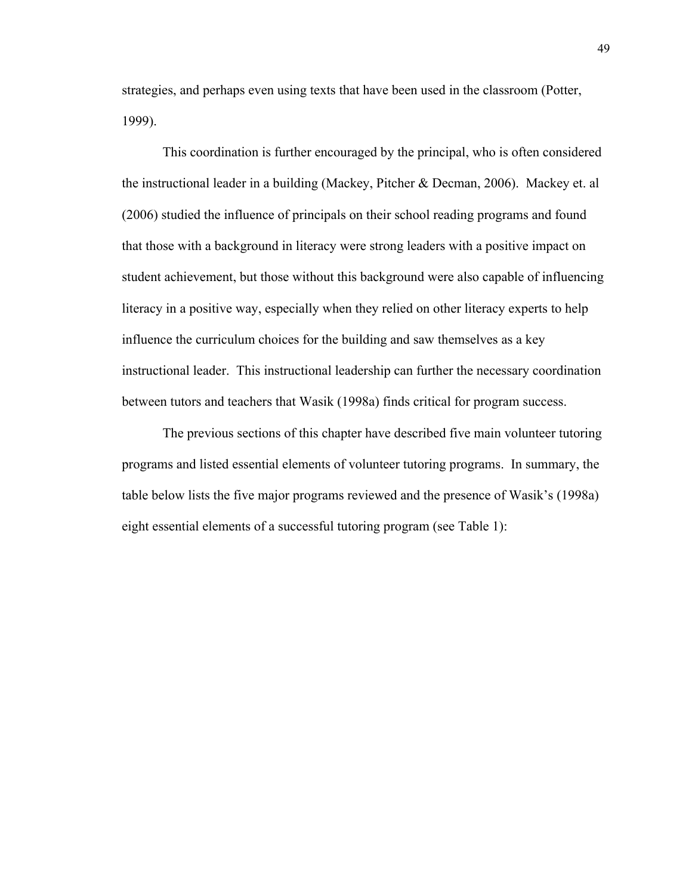strategies, and perhaps even using texts that have been used in the classroom (Potter, 1999).

This coordination is further encouraged by the principal, who is often considered the instructional leader in a building (Mackey, Pitcher & Decman, 2006). Mackey et. al (2006) studied the influence of principals on their school reading programs and found that those with a background in literacy were strong leaders with a positive impact on student achievement, but those without this background were also capable of influencing literacy in a positive way, especially when they relied on other literacy experts to help influence the curriculum choices for the building and saw themselves as a key instructional leader. This instructional leadership can further the necessary coordination between tutors and teachers that Wasik (1998a) finds critical for program success.

The previous sections of this chapter have described five main volunteer tutoring programs and listed essential elements of volunteer tutoring programs. In summary, the table below lists the five major programs reviewed and the presence of Wasik's (1998a) eight essential elements of a successful tutoring program (see Table 1):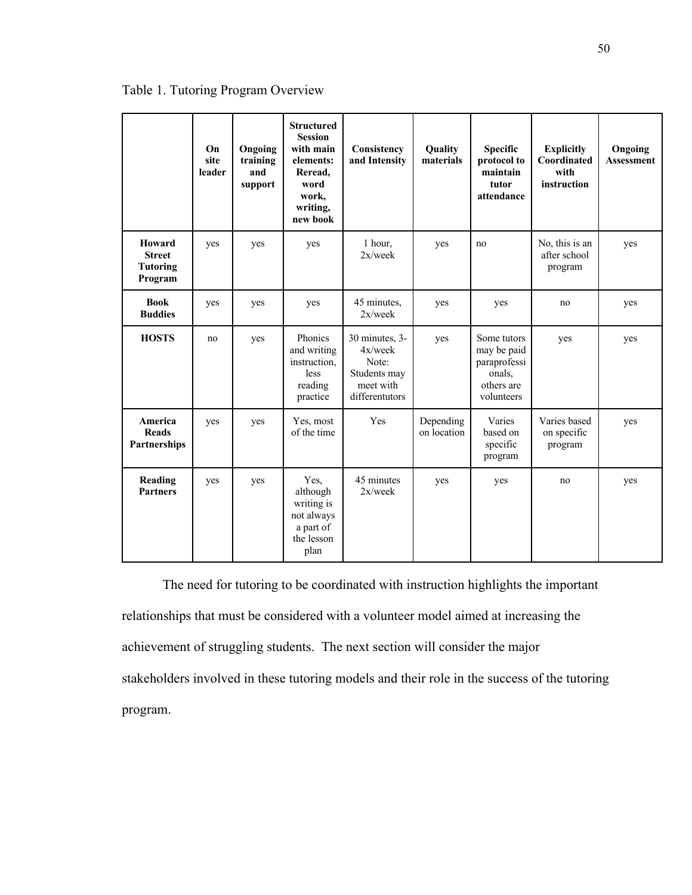|                                                       | On<br>site<br>leader | Ongoing<br>training<br>and<br>support | <b>Structured</b><br><b>Session</b><br>with main<br>elements:<br>Reread.<br>word<br>work,<br>writing,<br>new book | Consistency<br>and Intensity                                                      | Quality<br>materials     | <b>Specific</b><br>protocol to<br>maintain<br>tutor<br>attendance                | <b>Explicitly</b><br>Coordinated<br>with<br>instruction | Ongoing<br><b>Assessment</b> |
|-------------------------------------------------------|----------------------|---------------------------------------|-------------------------------------------------------------------------------------------------------------------|-----------------------------------------------------------------------------------|--------------------------|----------------------------------------------------------------------------------|---------------------------------------------------------|------------------------------|
| Howard<br><b>Street</b><br><b>Tutoring</b><br>Program | yes                  | yes                                   | yes                                                                                                               | 1 hour,<br>$2x$ /week                                                             | yes                      | no                                                                               | No, this is an<br>after school<br>program               | yes                          |
| <b>Book</b><br><b>Buddies</b>                         | yes                  | yes                                   | yes                                                                                                               | 45 minutes,<br>$2x$ /week                                                         | yes                      | yes                                                                              | no                                                      | yes                          |
| <b>HOSTS</b>                                          | no                   | yes                                   | Phonics<br>and writing<br>instruction,<br>less<br>reading<br>practice                                             | 30 minutes, 3-<br>4x/week<br>Note:<br>Students may<br>meet with<br>differentutors | yes                      | Some tutors<br>may be paid<br>paraprofessi<br>onals.<br>others are<br>volunteers | yes                                                     | yes                          |
| America<br><b>Reads</b><br>Partnerships               | yes                  | yes                                   | Yes, most<br>of the time                                                                                          | Yes                                                                               | Depending<br>on location | Varies<br>based on<br>specific<br>program                                        | Varies based<br>on specific<br>program                  | yes                          |
| Reading<br><b>Partners</b>                            | yes                  | yes                                   | Yes,<br>although<br>writing is<br>not always<br>a part of<br>the lesson<br>plan                                   | 45 minutes<br>$2x$ /week                                                          | yes                      | yes                                                                              | no                                                      | yes                          |

Table 1. Tutoring Program Overview

The need for tutoring to be coordinated with instruction highlights the important relationships that must be considered with a volunteer model aimed at increasing the achievement of struggling students. The next section will consider the major stakeholders involved in these tutoring models and their role in the success of the tutoring program.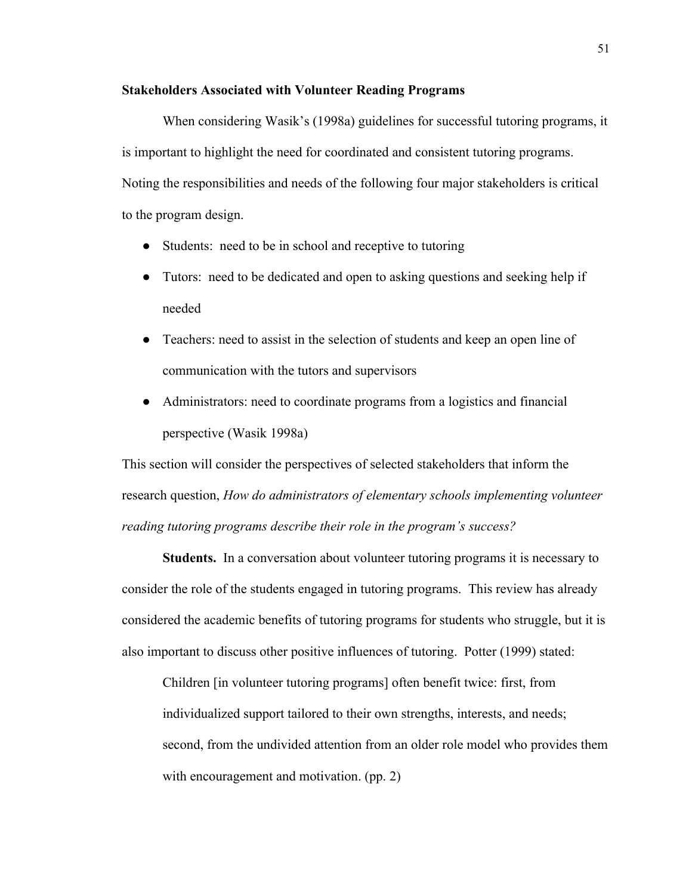## **Stakeholders Associated with Volunteer Reading Programs**

When considering Wasik's (1998a) guidelines for successful tutoring programs, it is important to highlight the need for coordinated and consistent tutoring programs. Noting the responsibilities and needs of the following four major stakeholders is critical to the program design.

- Students: need to be in school and receptive to tutoring
- Tutors: need to be dedicated and open to asking questions and seeking help if needed
- Teachers: need to assist in the selection of students and keep an open line of communication with the tutors and supervisors
- Administrators: need to coordinate programs from a logistics and financial perspective (Wasik 1998a)

This section will consider the perspectives of selected stakeholders that inform the research question, *How do administrators of elementary schools implementing volunteer reading tutoring programs describe their role in the program's success?*

**Students.** In a conversation about volunteer tutoring programs it is necessary to consider the role of the students engaged in tutoring programs. This review has already considered the academic benefits of tutoring programs for students who struggle, but it is also important to discuss other positive influences of tutoring. Potter (1999) stated:

Children [in volunteer tutoring programs] often benefit twice: first, from individualized support tailored to their own strengths, interests, and needs; second, from the undivided attention from an older role model who provides them with encouragement and motivation. (pp. 2)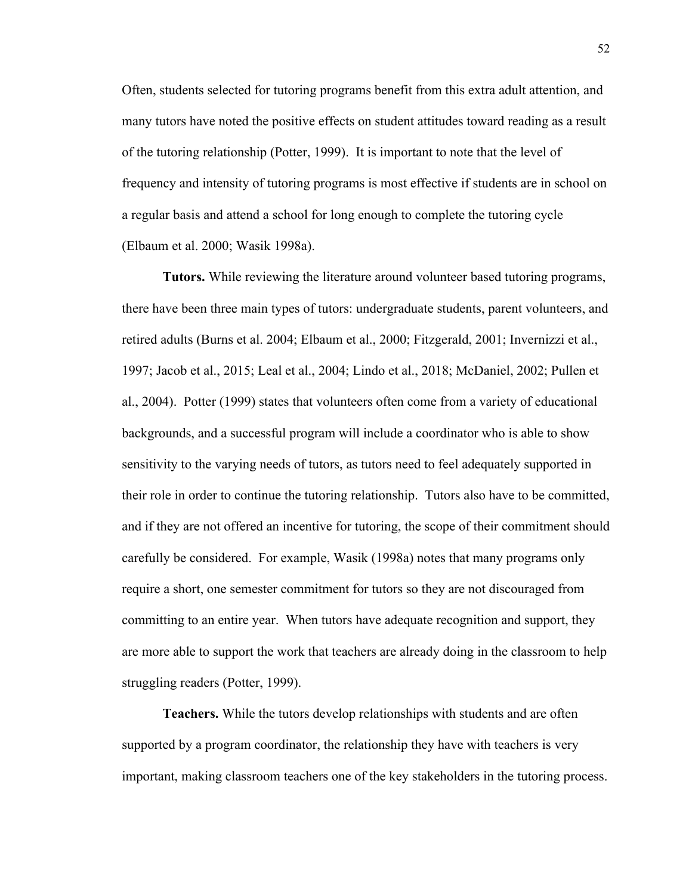Often, students selected for tutoring programs benefit from this extra adult attention, and many tutors have noted the positive effects on student attitudes toward reading as a result of the tutoring relationship (Potter, 1999). It is important to note that the level of frequency and intensity of tutoring programs is most effective if students are in school on a regular basis and attend a school for long enough to complete the tutoring cycle (Elbaum et al. 2000; Wasik 1998a).

**Tutors.** While reviewing the literature around volunteer based tutoring programs, there have been three main types of tutors: undergraduate students, parent volunteers, and retired adults (Burns et al. 2004; Elbaum et al., 2000; Fitzgerald, 2001; Invernizzi et al., 1997; Jacob et al., 2015; Leal et al., 2004; Lindo et al., 2018; McDaniel, 2002; Pullen et al., 2004). Potter (1999) states that volunteers often come from a variety of educational backgrounds, and a successful program will include a coordinator who is able to show sensitivity to the varying needs of tutors, as tutors need to feel adequately supported in their role in order to continue the tutoring relationship. Tutors also have to be committed, and if they are not offered an incentive for tutoring, the scope of their commitment should carefully be considered. For example, Wasik (1998a) notes that many programs only require a short, one semester commitment for tutors so they are not discouraged from committing to an entire year. When tutors have adequate recognition and support, they are more able to support the work that teachers are already doing in the classroom to help struggling readers (Potter, 1999).

**Teachers.** While the tutors develop relationships with students and are often supported by a program coordinator, the relationship they have with teachers is very important, making classroom teachers one of the key stakeholders in the tutoring process.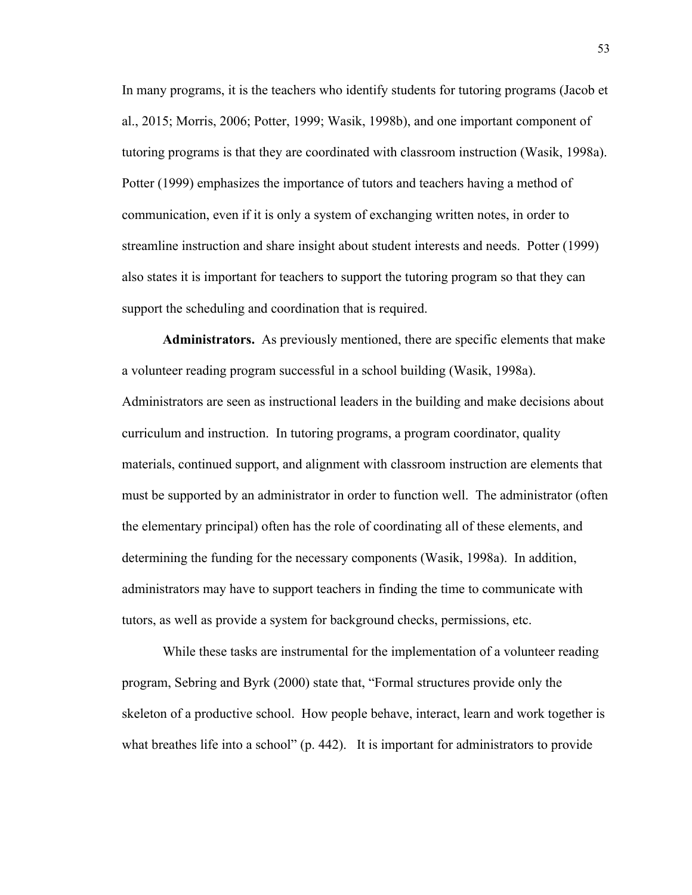In many programs, it is the teachers who identify students for tutoring programs (Jacob et al., 2015; Morris, 2006; Potter, 1999; Wasik, 1998b), and one important component of tutoring programs is that they are coordinated with classroom instruction (Wasik, 1998a). Potter (1999) emphasizes the importance of tutors and teachers having a method of communication, even if it is only a system of exchanging written notes, in order to streamline instruction and share insight about student interests and needs. Potter (1999) also states it is important for teachers to support the tutoring program so that they can support the scheduling and coordination that is required.

**Administrators.** As previously mentioned, there are specific elements that make a volunteer reading program successful in a school building (Wasik, 1998a). Administrators are seen as instructional leaders in the building and make decisions about curriculum and instruction. In tutoring programs, a program coordinator, quality materials, continued support, and alignment with classroom instruction are elements that must be supported by an administrator in order to function well. The administrator (often the elementary principal) often has the role of coordinating all of these elements, and determining the funding for the necessary components (Wasik, 1998a). In addition, administrators may have to support teachers in finding the time to communicate with tutors, as well as provide a system for background checks, permissions, etc.

While these tasks are instrumental for the implementation of a volunteer reading program, Sebring and Byrk (2000) state that, "Formal structures provide only the skeleton of a productive school. How people behave, interact, learn and work together is what breathes life into a school" (p. 442). It is important for administrators to provide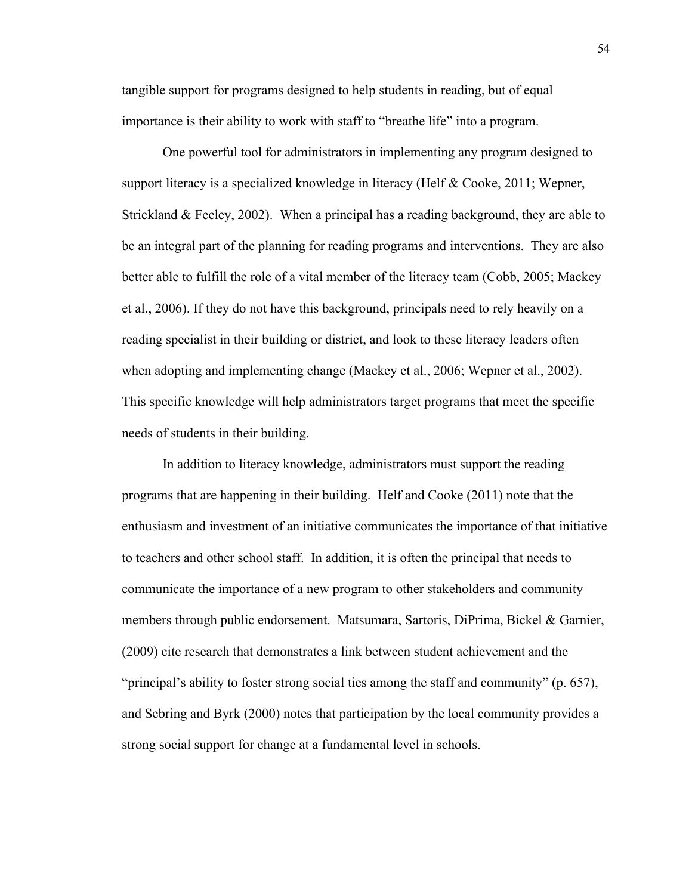tangible support for programs designed to help students in reading, but of equal importance is their ability to work with staff to "breathe life" into a program.

One powerful tool for administrators in implementing any program designed to support literacy is a specialized knowledge in literacy (Helf & Cooke, 2011; Wepner, Strickland & Feeley, 2002). When a principal has a reading background, they are able to be an integral part of the planning for reading programs and interventions. They are also better able to fulfill the role of a vital member of the literacy team (Cobb, 2005; Mackey et al., 2006). If they do not have this background, principals need to rely heavily on a reading specialist in their building or district, and look to these literacy leaders often when adopting and implementing change (Mackey et al., 2006; Wepner et al., 2002). This specific knowledge will help administrators target programs that meet the specific needs of students in their building.

In addition to literacy knowledge, administrators must support the reading programs that are happening in their building. Helf and Cooke (2011) note that the enthusiasm and investment of an initiative communicates the importance of that initiative to teachers and other school staff. In addition, it is often the principal that needs to communicate the importance of a new program to other stakeholders and community members through public endorsement. Matsumara, Sartoris, DiPrima, Bickel & Garnier, (2009) cite research that demonstrates a link between student achievement and the "principal's ability to foster strong social ties among the staff and community" (p. 657), and Sebring and Byrk (2000) notes that participation by the local community provides a strong social support for change at a fundamental level in schools.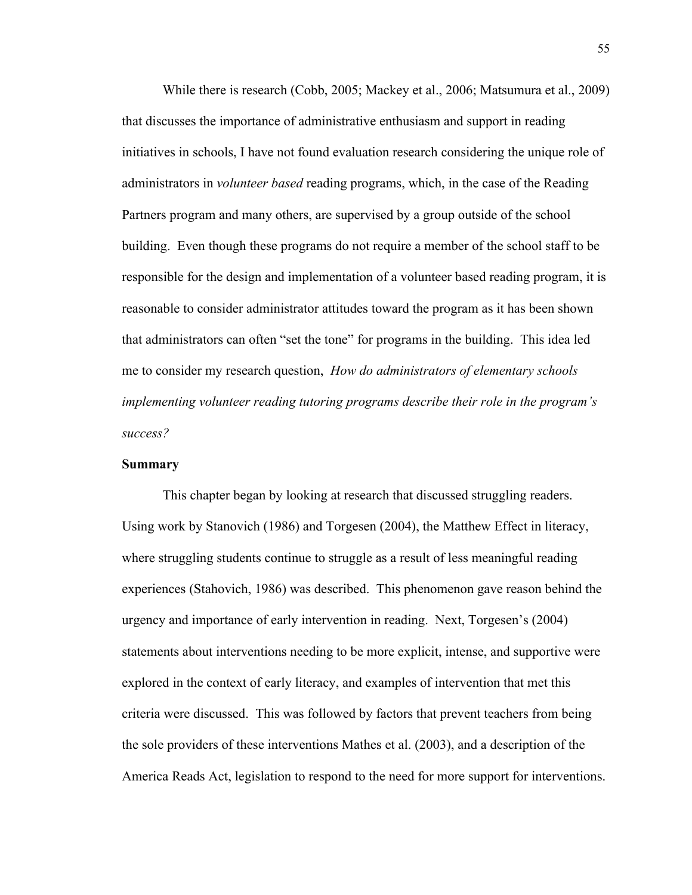While there is research (Cobb, 2005; Mackey et al., 2006; Matsumura et al., 2009) that discusses the importance of administrative enthusiasm and support in reading initiatives in schools, I have not found evaluation research considering the unique role of administrators in *volunteer based* reading programs, which, in the case of the Reading Partners program and many others, are supervised by a group outside of the school building. Even though these programs do not require a member of the school staff to be responsible for the design and implementation of a volunteer based reading program, it is reasonable to consider administrator attitudes toward the program as it has been shown that administrators can often "set the tone" for programs in the building. This idea led me to consider my research question, *How do administrators of elementary schools implementing volunteer reading tutoring programs describe their role in the program's success?*

# **Summary**

This chapter began by looking at research that discussed struggling readers. Using work by Stanovich (1986) and Torgesen (2004), the Matthew Effect in literacy, where struggling students continue to struggle as a result of less meaningful reading experiences (Stahovich, 1986) was described. This phenomenon gave reason behind the urgency and importance of early intervention in reading. Next, Torgesen's (2004) statements about interventions needing to be more explicit, intense, and supportive were explored in the context of early literacy, and examples of intervention that met this criteria were discussed. This was followed by factors that prevent teachers from being the sole providers of these interventions Mathes et al. (2003), and a description of the America Reads Act, legislation to respond to the need for more support for interventions.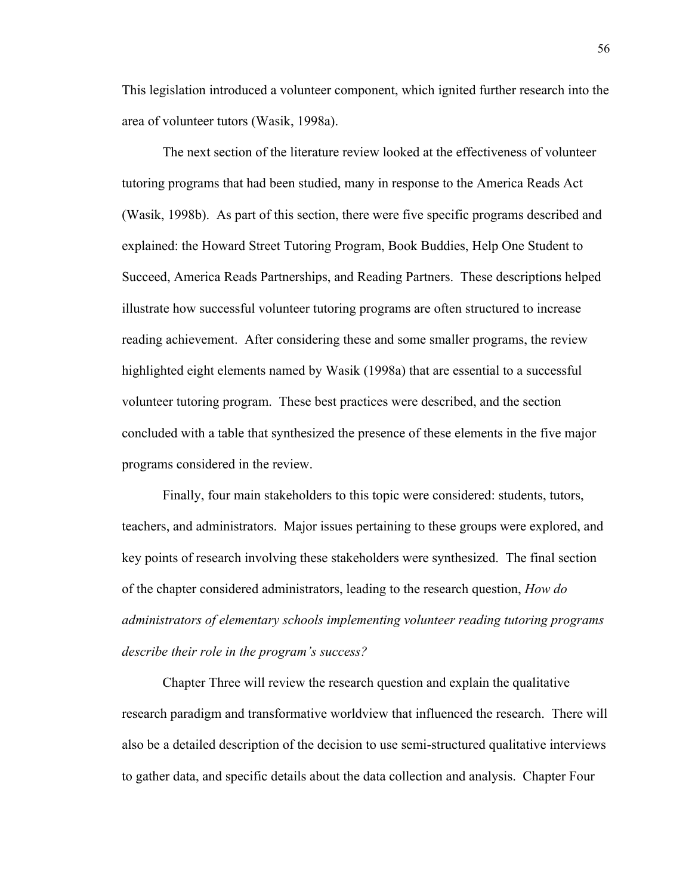This legislation introduced a volunteer component, which ignited further research into the area of volunteer tutors (Wasik, 1998a).

The next section of the literature review looked at the effectiveness of volunteer tutoring programs that had been studied, many in response to the America Reads Act (Wasik, 1998b). As part of this section, there were five specific programs described and explained: the Howard Street Tutoring Program, Book Buddies, Help One Student to Succeed, America Reads Partnerships, and Reading Partners. These descriptions helped illustrate how successful volunteer tutoring programs are often structured to increase reading achievement. After considering these and some smaller programs, the review highlighted eight elements named by Wasik (1998a) that are essential to a successful volunteer tutoring program. These best practices were described, and the section concluded with a table that synthesized the presence of these elements in the five major programs considered in the review.

Finally, four main stakeholders to this topic were considered: students, tutors, teachers, and administrators. Major issues pertaining to these groups were explored, and key points of research involving these stakeholders were synthesized. The final section of the chapter considered administrators, leading to the research question, *How do administrators of elementary schools implementing volunteer reading tutoring programs describe their role in the program's success?*

Chapter Three will review the research question and explain the qualitative research paradigm and transformative worldview that influenced the research. There will also be a detailed description of the decision to use semi-structured qualitative interviews to gather data, and specific details about the data collection and analysis. Chapter Four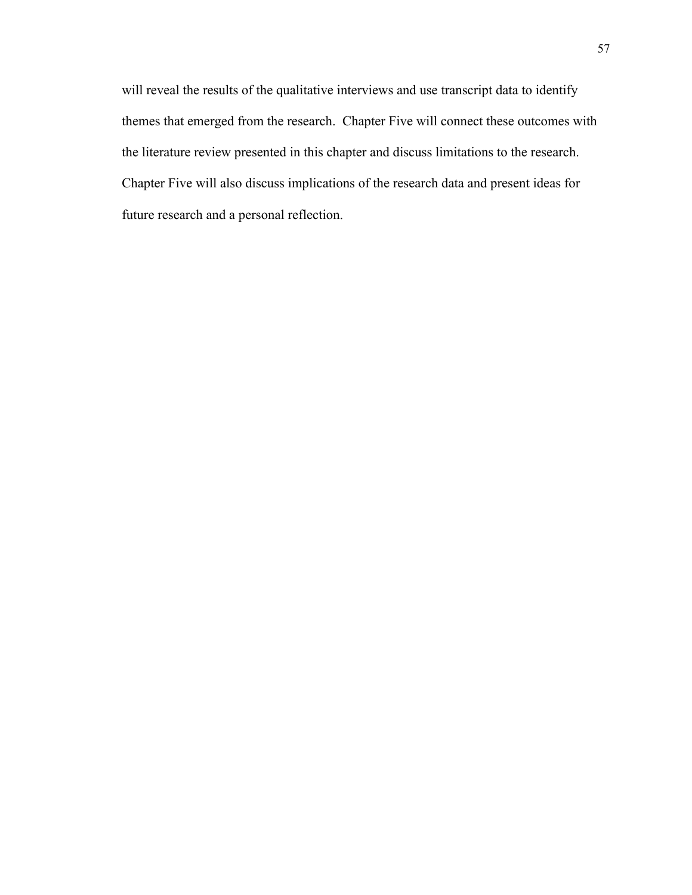will reveal the results of the qualitative interviews and use transcript data to identify themes that emerged from the research. Chapter Five will connect these outcomes with the literature review presented in this chapter and discuss limitations to the research. Chapter Five will also discuss implications of the research data and present ideas for future research and a personal reflection.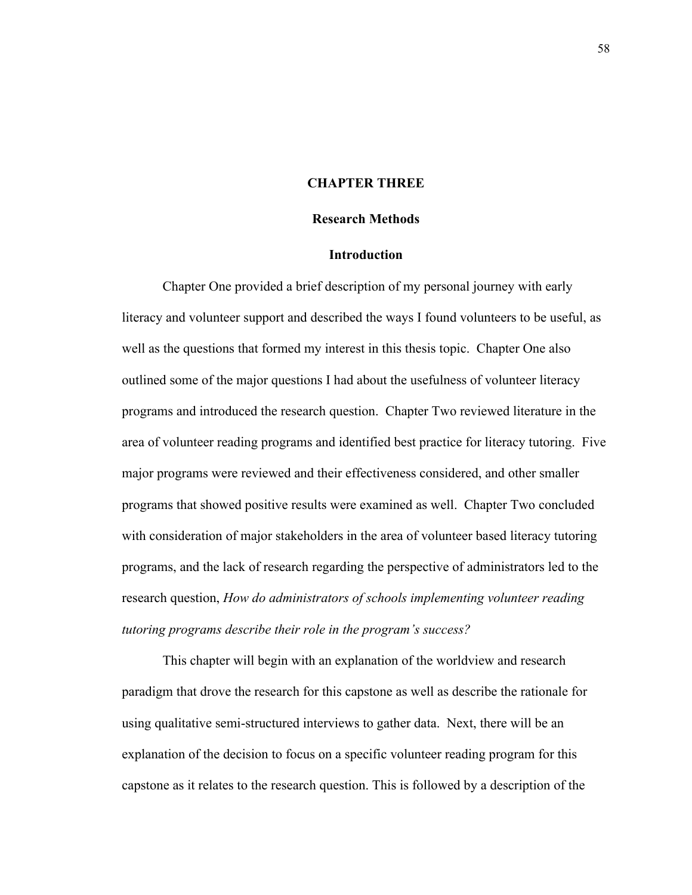## **CHAPTER THREE**

## **Research Methods**

# **Introduction**

Chapter One provided a brief description of my personal journey with early literacy and volunteer support and described the ways I found volunteers to be useful, as well as the questions that formed my interest in this thesis topic. Chapter One also outlined some of the major questions I had about the usefulness of volunteer literacy programs and introduced the research question. Chapter Two reviewed literature in the area of volunteer reading programs and identified best practice for literacy tutoring. Five major programs were reviewed and their effectiveness considered, and other smaller programs that showed positive results were examined as well. Chapter Two concluded with consideration of major stakeholders in the area of volunteer based literacy tutoring programs, and the lack of research regarding the perspective of administrators led to the research question, *How do administrators of schools implementing volunteer reading tutoring programs describe their role in the program's success?* 

This chapter will begin with an explanation of the worldview and research paradigm that drove the research for this capstone as well as describe the rationale for using qualitative semi-structured interviews to gather data. Next, there will be an explanation of the decision to focus on a specific volunteer reading program for this capstone as it relates to the research question. This is followed by a description of the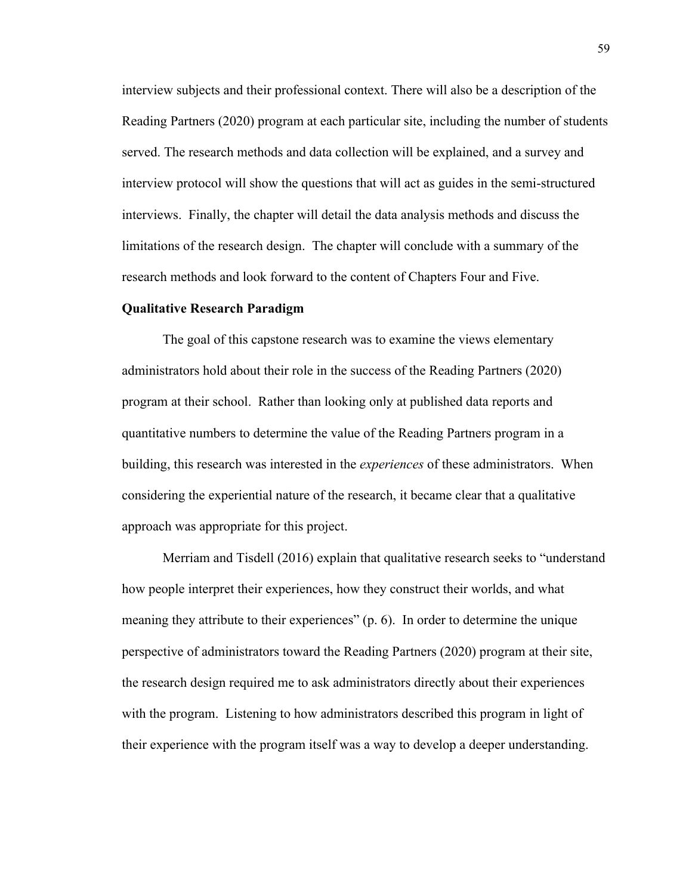interview subjects and their professional context. There will also be a description of the Reading Partners (2020) program at each particular site, including the number of students served. The research methods and data collection will be explained, and a survey and interview protocol will show the questions that will act as guides in the semi-structured interviews. Finally, the chapter will detail the data analysis methods and discuss the limitations of the research design. The chapter will conclude with a summary of the research methods and look forward to the content of Chapters Four and Five.

## **Qualitative Research Paradigm**

The goal of this capstone research was to examine the views elementary administrators hold about their role in the success of the Reading Partners (2020) program at their school. Rather than looking only at published data reports and quantitative numbers to determine the value of the Reading Partners program in a building, this research was interested in the *experiences* of these administrators. When considering the experiential nature of the research, it became clear that a qualitative approach was appropriate for this project.

Merriam and Tisdell (2016) explain that qualitative research seeks to "understand how people interpret their experiences, how they construct their worlds, and what meaning they attribute to their experiences" (p. 6). In order to determine the unique perspective of administrators toward the Reading Partners (2020) program at their site, the research design required me to ask administrators directly about their experiences with the program. Listening to how administrators described this program in light of their experience with the program itself was a way to develop a deeper understanding.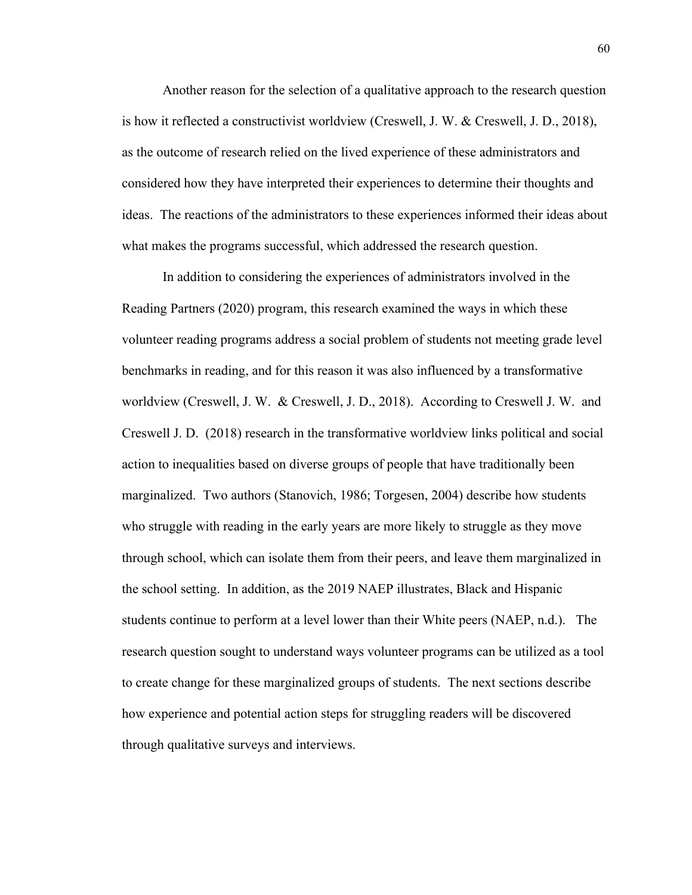Another reason for the selection of a qualitative approach to the research question is how it reflected a constructivist worldview (Creswell, J. W. & Creswell, J. D., 2018), as the outcome of research relied on the lived experience of these administrators and considered how they have interpreted their experiences to determine their thoughts and ideas. The reactions of the administrators to these experiences informed their ideas about what makes the programs successful, which addressed the research question.

In addition to considering the experiences of administrators involved in the Reading Partners (2020) program, this research examined the ways in which these volunteer reading programs address a social problem of students not meeting grade level benchmarks in reading, and for this reason it was also influenced by a transformative worldview (Creswell, J. W. & Creswell, J. D., 2018). According to Creswell J. W. and Creswell J. D. (2018) research in the transformative worldview links political and social action to inequalities based on diverse groups of people that have traditionally been marginalized. Two authors (Stanovich, 1986; Torgesen, 2004) describe how students who struggle with reading in the early years are more likely to struggle as they move through school, which can isolate them from their peers, and leave them marginalized in the school setting. In addition, as the 2019 NAEP illustrates, Black and Hispanic students continue to perform at a level lower than their White peers (NAEP, n.d.). The research question sought to understand ways volunteer programs can be utilized as a tool to create change for these marginalized groups of students. The next sections describe how experience and potential action steps for struggling readers will be discovered through qualitative surveys and interviews.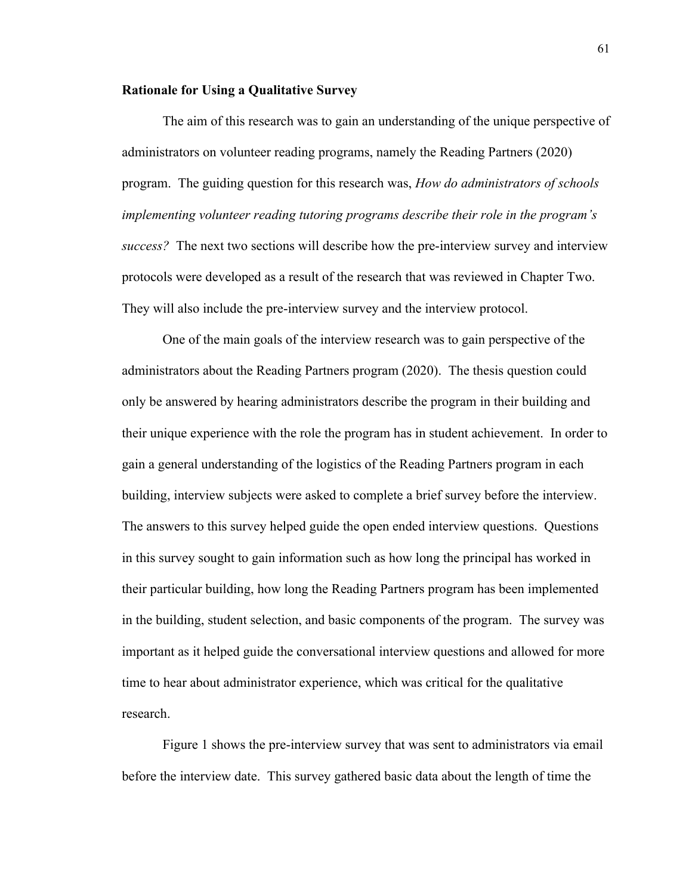## **Rationale for Using a Qualitative Survey**

The aim of this research was to gain an understanding of the unique perspective of administrators on volunteer reading programs, namely the Reading Partners (2020) program. The guiding question for this research was, *How do administrators of schools implementing volunteer reading tutoring programs describe their role in the program's success?* The next two sections will describe how the pre-interview survey and interview protocols were developed as a result of the research that was reviewed in Chapter Two. They will also include the pre-interview survey and the interview protocol.

One of the main goals of the interview research was to gain perspective of the administrators about the Reading Partners program (2020). The thesis question could only be answered by hearing administrators describe the program in their building and their unique experience with the role the program has in student achievement. In order to gain a general understanding of the logistics of the Reading Partners program in each building, interview subjects were asked to complete a brief survey before the interview. The answers to this survey helped guide the open ended interview questions. Questions in this survey sought to gain information such as how long the principal has worked in their particular building, how long the Reading Partners program has been implemented in the building, student selection, and basic components of the program. The survey was important as it helped guide the conversational interview questions and allowed for more time to hear about administrator experience, which was critical for the qualitative research.

Figure 1 shows the pre-interview survey that was sent to administrators via email before the interview date. This survey gathered basic data about the length of time the

61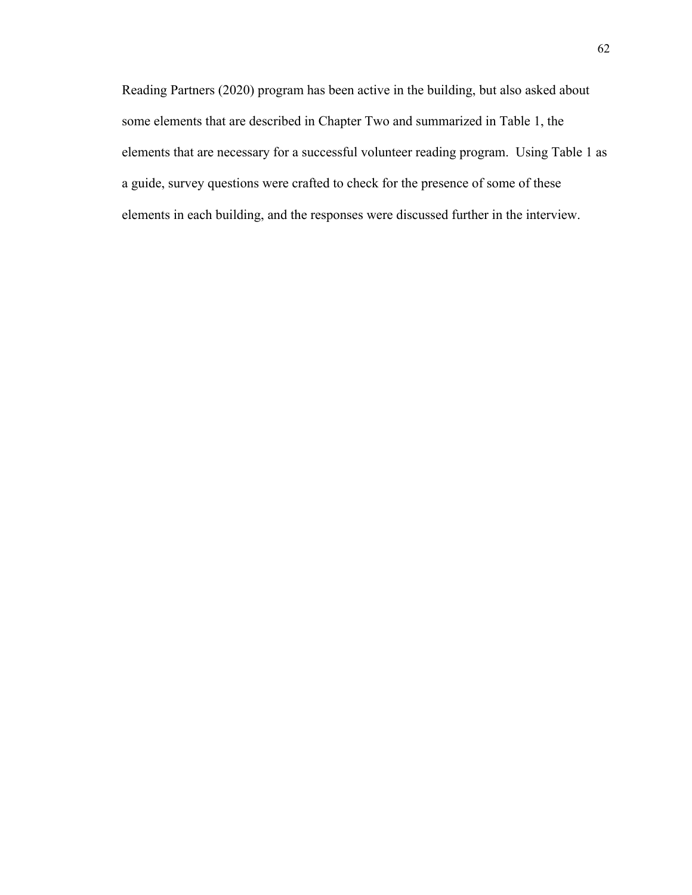Reading Partners (2020) program has been active in the building, but also asked about some elements that are described in Chapter Two and summarized in Table 1, the elements that are necessary for a successful volunteer reading program. Using Table 1 as a guide, survey questions were crafted to check for the presence of some of these elements in each building, and the responses were discussed further in the interview.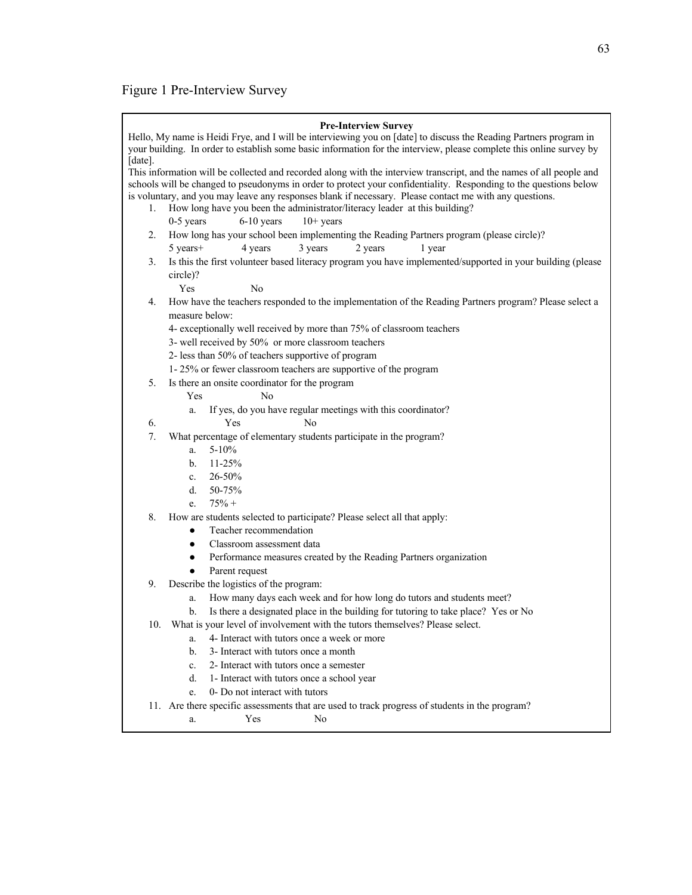# Figure 1 Pre-Interview Survey

|         | <b>Pre-Interview Survey</b><br>Hello, My name is Heidi Frye, and I will be interviewing you on [date] to discuss the Reading Partners program in |  |  |  |  |  |
|---------|--------------------------------------------------------------------------------------------------------------------------------------------------|--|--|--|--|--|
| [date]. | your building. In order to establish some basic information for the interview, please complete this online survey by                             |  |  |  |  |  |
|         | This information will be collected and recorded along with the interview transcript, and the names of all people and                             |  |  |  |  |  |
|         | schools will be changed to pseudonyms in order to protect your confidentiality. Responding to the questions below                                |  |  |  |  |  |
|         | is voluntary, and you may leave any responses blank if necessary. Please contact me with any questions.                                          |  |  |  |  |  |
| 1.      | How long have you been the administrator/literacy leader at this building?                                                                       |  |  |  |  |  |
|         | $0-5$ years<br>$6-10$ years<br>$10+$ years                                                                                                       |  |  |  |  |  |
| 2.      | How long has your school been implementing the Reading Partners program (please circle)?                                                         |  |  |  |  |  |
|         | 5 years+<br>3 years<br>4 years<br>2 years<br>1 year                                                                                              |  |  |  |  |  |
| 3.      | Is this the first volunteer based literacy program you have implemented/supported in your building (please                                       |  |  |  |  |  |
|         | circle)?                                                                                                                                         |  |  |  |  |  |
|         | Yes<br>No                                                                                                                                        |  |  |  |  |  |
| 4.      | How have the teachers responded to the implementation of the Reading Partners program? Please select a                                           |  |  |  |  |  |
|         | measure below:                                                                                                                                   |  |  |  |  |  |
|         | 4- exceptionally well received by more than 75% of classroom teachers                                                                            |  |  |  |  |  |
|         | 3- well received by 50% or more classroom teachers                                                                                               |  |  |  |  |  |
|         | 2- less than 50% of teachers supportive of program                                                                                               |  |  |  |  |  |
|         | 1-25% or fewer classroom teachers are supportive of the program                                                                                  |  |  |  |  |  |
| 5.      | Is there an onsite coordinator for the program                                                                                                   |  |  |  |  |  |
|         | Yes<br>No                                                                                                                                        |  |  |  |  |  |
|         | If yes, do you have regular meetings with this coordinator?<br>a.                                                                                |  |  |  |  |  |
| 6.      | Yes<br>No                                                                                                                                        |  |  |  |  |  |
| 7.      | What percentage of elementary students participate in the program?                                                                               |  |  |  |  |  |
|         | $5 - 10\%$<br>a.                                                                                                                                 |  |  |  |  |  |
|         | $11 - 25%$<br>b.                                                                                                                                 |  |  |  |  |  |
|         | 26-50%<br>$c_{\cdot}$                                                                                                                            |  |  |  |  |  |
|         | 50-75%<br>d.                                                                                                                                     |  |  |  |  |  |
|         | $75% +$<br>e.                                                                                                                                    |  |  |  |  |  |
| 8.      | How are students selected to participate? Please select all that apply:                                                                          |  |  |  |  |  |
|         | Teacher recommendation<br>$\bullet$                                                                                                              |  |  |  |  |  |
|         | Classroom assessment data<br>$\bullet$                                                                                                           |  |  |  |  |  |
|         | Performance measures created by the Reading Partners organization<br>$\bullet$                                                                   |  |  |  |  |  |
|         | Parent request<br>$\bullet$                                                                                                                      |  |  |  |  |  |
| 9.      | Describe the logistics of the program:                                                                                                           |  |  |  |  |  |
|         | How many days each week and for how long do tutors and students meet?<br>a.                                                                      |  |  |  |  |  |
|         | Is there a designated place in the building for tutoring to take place? Yes or No<br>b.                                                          |  |  |  |  |  |
| 10.     | What is your level of involvement with the tutors themselves? Please select.                                                                     |  |  |  |  |  |
|         | 4- Interact with tutors once a week or more<br>a.                                                                                                |  |  |  |  |  |
|         | 3- Interact with tutors once a month<br>b.                                                                                                       |  |  |  |  |  |
|         | 2- Interact with tutors once a semester<br>c.                                                                                                    |  |  |  |  |  |
|         | d.<br>1- Interact with tutors once a school year                                                                                                 |  |  |  |  |  |
|         | 0- Do not interact with tutors<br>e.                                                                                                             |  |  |  |  |  |
|         | 11. Are there specific assessments that are used to track progress of students in the program?                                                   |  |  |  |  |  |
|         | Yes<br>No<br>a.                                                                                                                                  |  |  |  |  |  |
|         |                                                                                                                                                  |  |  |  |  |  |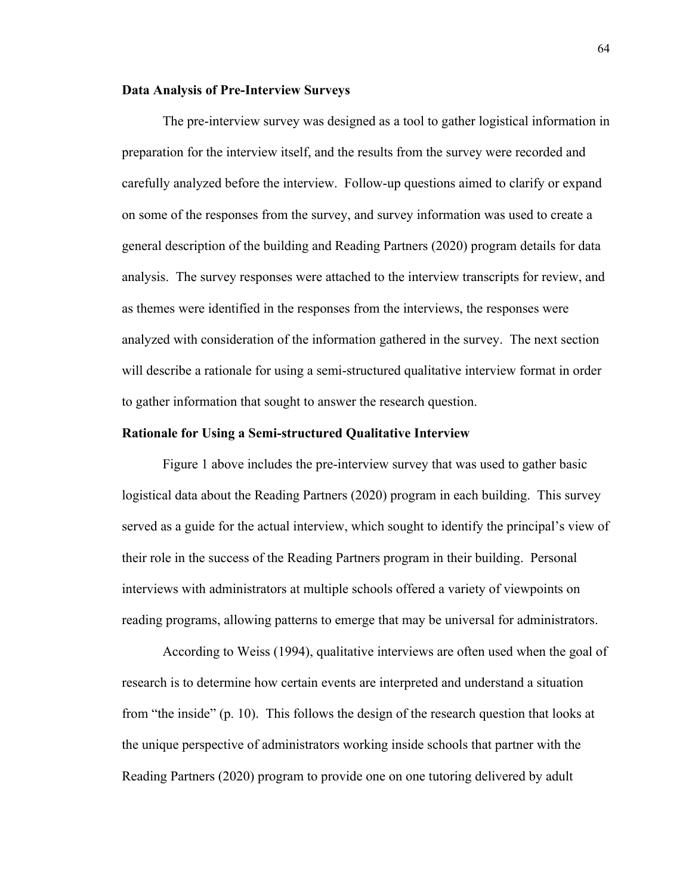## **Data Analysis of Pre-Interview Surveys**

The pre-interview survey was designed as a tool to gather logistical information in preparation for the interview itself, and the results from the survey were recorded and carefully analyzed before the interview. Follow-up questions aimed to clarify or expand on some of the responses from the survey, and survey information was used to create a general description of the building and Reading Partners (2020) program details for data analysis. The survey responses were attached to the interview transcripts for review, and as themes were identified in the responses from the interviews, the responses were analyzed with consideration of the information gathered in the survey. The next section will describe a rationale for using a semi-structured qualitative interview format in order to gather information that sought to answer the research question.

## **Rationale for Using a Semi-structured Qualitative Interview**

Figure 1 above includes the pre-interview survey that was used to gather basic logistical data about the Reading Partners (2020) program in each building. This survey served as a guide for the actual interview, which sought to identify the principal's view of their role in the success of the Reading Partners program in their building. Personal interviews with administrators at multiple schools offered a variety of viewpoints on reading programs, allowing patterns to emerge that may be universal for administrators.

According to Weiss (1994), qualitative interviews are often used when the goal of research is to determine how certain events are interpreted and understand a situation from "the inside" (p. 10). This follows the design of the research question that looks at the unique perspective of administrators working inside schools that partner with the Reading Partners (2020) program to provide one on one tutoring delivered by adult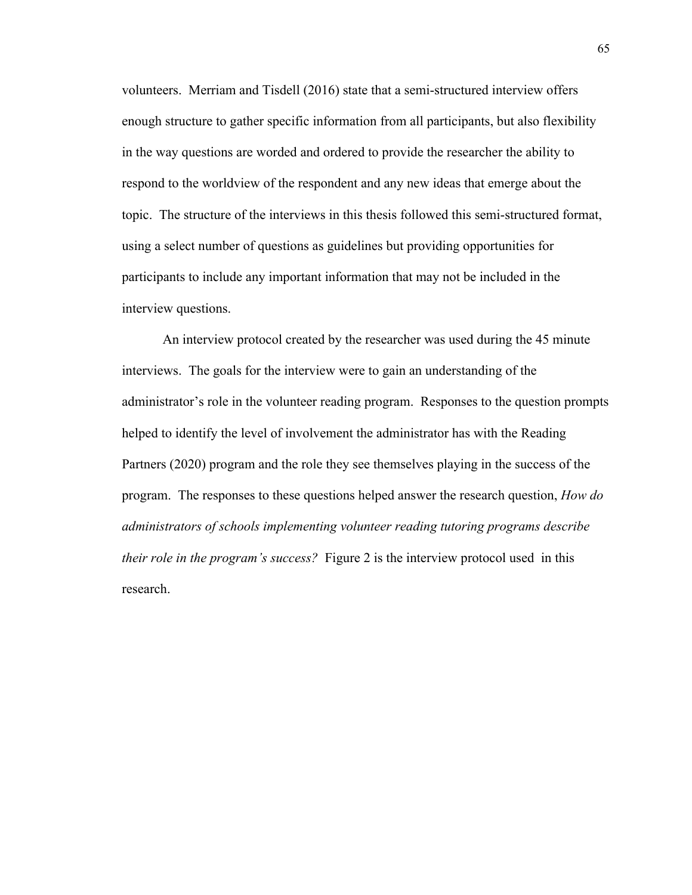volunteers. Merriam and Tisdell (2016) state that a semi-structured interview offers enough structure to gather specific information from all participants, but also flexibility in the way questions are worded and ordered to provide the researcher the ability to respond to the worldview of the respondent and any new ideas that emerge about the topic. The structure of the interviews in this thesis followed this semi-structured format, using a select number of questions as guidelines but providing opportunities for participants to include any important information that may not be included in the interview questions.

An interview protocol created by the researcher was used during the 45 minute interviews. The goals for the interview were to gain an understanding of the administrator's role in the volunteer reading program. Responses to the question prompts helped to identify the level of involvement the administrator has with the Reading Partners (2020) program and the role they see themselves playing in the success of the program. The responses to these questions helped answer the research question, *How do administrators of schools implementing volunteer reading tutoring programs describe their role in the program's success?* Figure 2 is the interview protocol used in this research.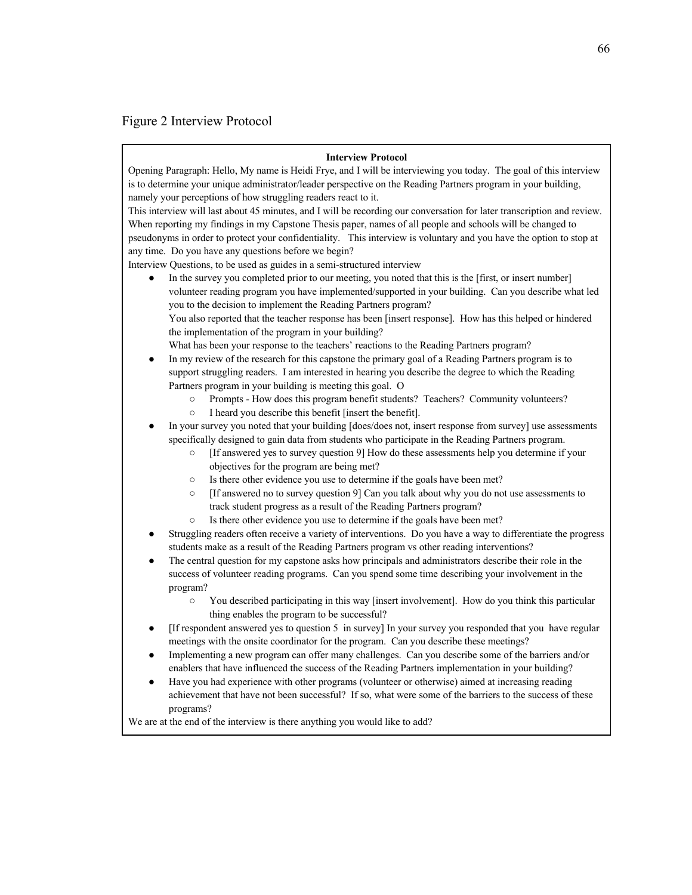# Figure 2 Interview Protocol

#### **Interview Protocol**

Opening Paragraph: Hello, My name is Heidi Frye, and I will be interviewing you today. The goal of this interview is to determine your unique administrator/leader perspective on the Reading Partners program in your building, namely your perceptions of how struggling readers react to it.

This interview will last about 45 minutes, and I will be recording our conversation for later transcription and review. When reporting my findings in my Capstone Thesis paper, names of all people and schools will be changed to pseudonyms in order to protect your confidentiality. This interview is voluntary and you have the option to stop at any time. Do you have any questions before we begin?

Interview Questions, to be used as guides in a semi-structured interview

In the survey you completed prior to our meeting, you noted that this is the [first, or insert number] volunteer reading program you have implemented/supported in your building. Can you describe what led you to the decision to implement the Reading Partners program? You also reported that the teacher response has been [insert response]. How has this helped or hindered the implementation of the program in your building?

What has been your response to the teachers' reactions to the Reading Partners program?

- In my review of the research for this capstone the primary goal of a Reading Partners program is to support struggling readers. I am interested in hearing you describe the degree to which the Reading Partners program in your building is meeting this goal. O
	- Prompts How does this program benefit students? Teachers? Community volunteers?
	- I heard you describe this benefit [insert the benefit].
- In your survey you noted that your building [does/does not, insert response from survey] use assessments specifically designed to gain data from students who participate in the Reading Partners program.
	- [If answered yes to survey question 9] How do these assessments help you determine if your objectives for the program are being met?
	- Is there other evidence you use to determine if the goals have been met?
	- [If answered no to survey question 9] Can you talk about why you do not use assessments to track student progress as a result of the Reading Partners program?
	- Is there other evidence you use to determine if the goals have been met?
- Struggling readers often receive a variety of interventions. Do you have a way to differentiate the progress students make as a result of the Reading Partners program vs other reading interventions?
- The central question for my capstone asks how principals and administrators describe their role in the success of volunteer reading programs. Can you spend some time describing your involvement in the program?
	- You described participating in this way [insert involvement]. How do you think this particular thing enables the program to be successful?
- [If respondent answered yes to question 5 in survey] In your survey you responded that you have regular meetings with the onsite coordinator for the program. Can you describe these meetings?
- Implementing a new program can offer many challenges. Can you describe some of the barriers and/or enablers that have influenced the success of the Reading Partners implementation in your building?
- Have you had experience with other programs (volunteer or otherwise) aimed at increasing reading achievement that have not been successful? If so, what were some of the barriers to the success of these programs?

We are at the end of the interview is there anything you would like to add?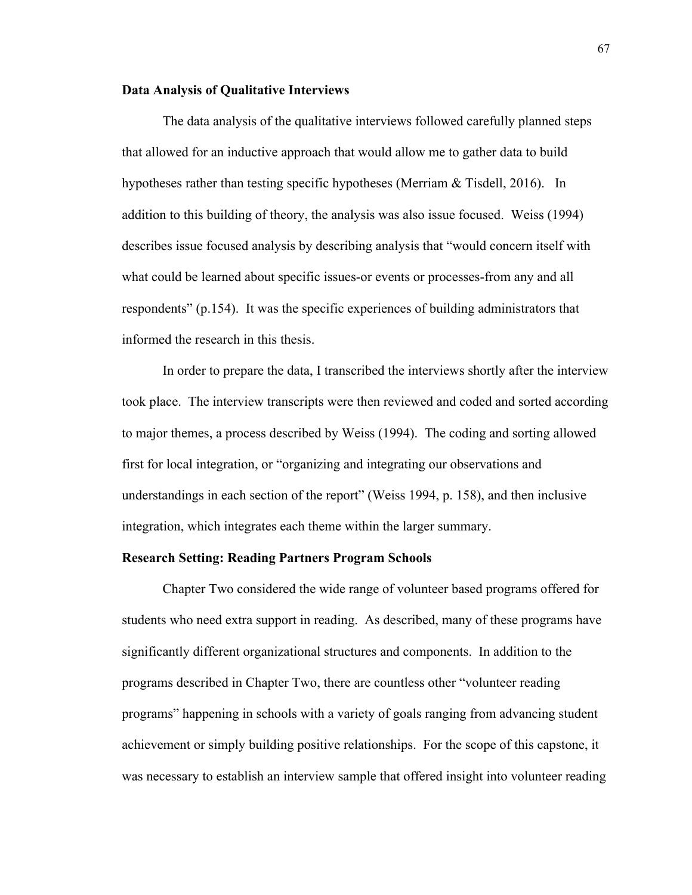## **Data Analysis of Qualitative Interviews**

The data analysis of the qualitative interviews followed carefully planned steps that allowed for an inductive approach that would allow me to gather data to build hypotheses rather than testing specific hypotheses (Merriam & Tisdell, 2016). In addition to this building of theory, the analysis was also issue focused. Weiss (1994) describes issue focused analysis by describing analysis that "would concern itself with what could be learned about specific issues-or events or processes-from any and all respondents" (p.154). It was the specific experiences of building administrators that informed the research in this thesis.

In order to prepare the data, I transcribed the interviews shortly after the interview took place. The interview transcripts were then reviewed and coded and sorted according to major themes, a process described by Weiss (1994). The coding and sorting allowed first for local integration, or "organizing and integrating our observations and understandings in each section of the report" (Weiss 1994, p. 158), and then inclusive integration, which integrates each theme within the larger summary.

#### **Research Setting: Reading Partners Program Schools**

Chapter Two considered the wide range of volunteer based programs offered for students who need extra support in reading. As described, many of these programs have significantly different organizational structures and components. In addition to the programs described in Chapter Two, there are countless other "volunteer reading programs" happening in schools with a variety of goals ranging from advancing student achievement or simply building positive relationships. For the scope of this capstone, it was necessary to establish an interview sample that offered insight into volunteer reading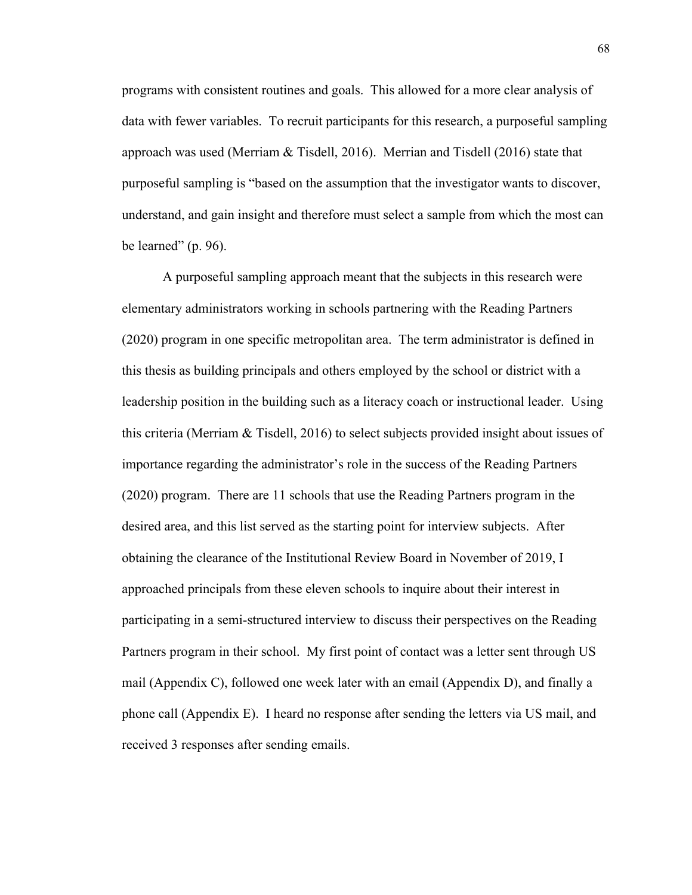programs with consistent routines and goals. This allowed for a more clear analysis of data with fewer variables. To recruit participants for this research, a purposeful sampling approach was used (Merriam & Tisdell, 2016). Merrian and Tisdell (2016) state that purposeful sampling is "based on the assumption that the investigator wants to discover, understand, and gain insight and therefore must select a sample from which the most can be learned"  $(p. 96)$ .

A purposeful sampling approach meant that the subjects in this research were elementary administrators working in schools partnering with the Reading Partners (2020) program in one specific metropolitan area. The term administrator is defined in this thesis as building principals and others employed by the school or district with a leadership position in the building such as a literacy coach or instructional leader. Using this criteria (Merriam & Tisdell, 2016) to select subjects provided insight about issues of importance regarding the administrator's role in the success of the Reading Partners (2020) program. There are 11 schools that use the Reading Partners program in the desired area, and this list served as the starting point for interview subjects. After obtaining the clearance of the Institutional Review Board in November of 2019, I approached principals from these eleven schools to inquire about their interest in participating in a semi-structured interview to discuss their perspectives on the Reading Partners program in their school. My first point of contact was a letter sent through US mail (Appendix C), followed one week later with an email (Appendix D), and finally a phone call (Appendix E). I heard no response after sending the letters via US mail, and received 3 responses after sending emails.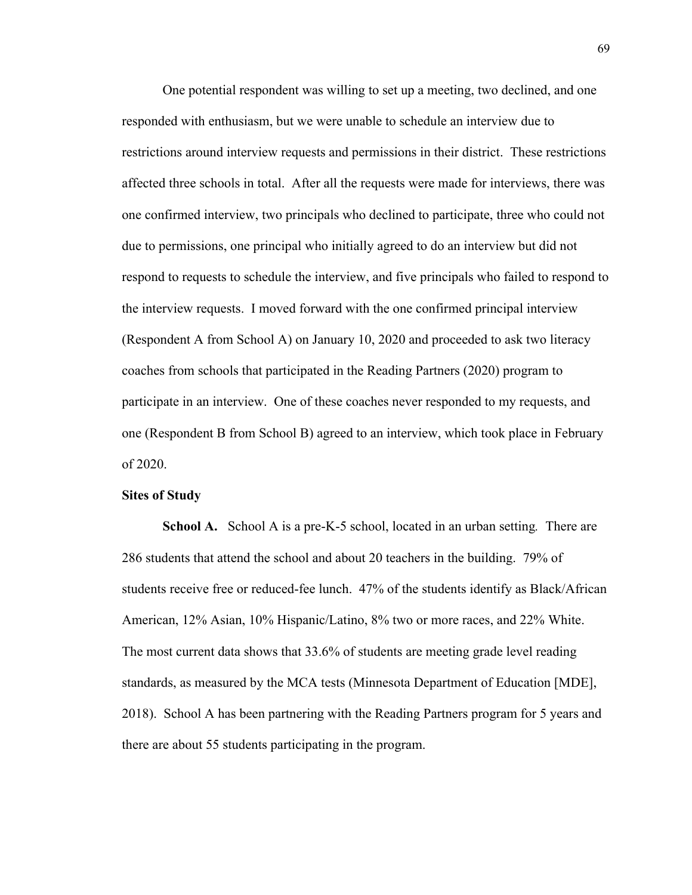One potential respondent was willing to set up a meeting, two declined, and one responded with enthusiasm, but we were unable to schedule an interview due to restrictions around interview requests and permissions in their district. These restrictions affected three schools in total. After all the requests were made for interviews, there was one confirmed interview, two principals who declined to participate, three who could not due to permissions, one principal who initially agreed to do an interview but did not respond to requests to schedule the interview, and five principals who failed to respond to the interview requests. I moved forward with the one confirmed principal interview (Respondent A from School A) on January 10, 2020 and proceeded to ask two literacy coaches from schools that participated in the Reading Partners (2020) program to participate in an interview. One of these coaches never responded to my requests, and one (Respondent B from School B) agreed to an interview, which took place in February of 2020.

## **Sites of Study**

**School A.** School A is a pre-K-5 school, located in an urban setting*.* There are 286 students that attend the school and about 20 teachers in the building. 79% of students receive free or reduced-fee lunch. 47% of the students identify as Black/African American, 12% Asian, 10% Hispanic/Latino, 8% two or more races, and 22% White. The most current data shows that 33.6% of students are meeting grade level reading standards, as measured by the MCA tests (Minnesota Department of Education [MDE], 2018). School A has been partnering with the Reading Partners program for 5 years and there are about 55 students participating in the program.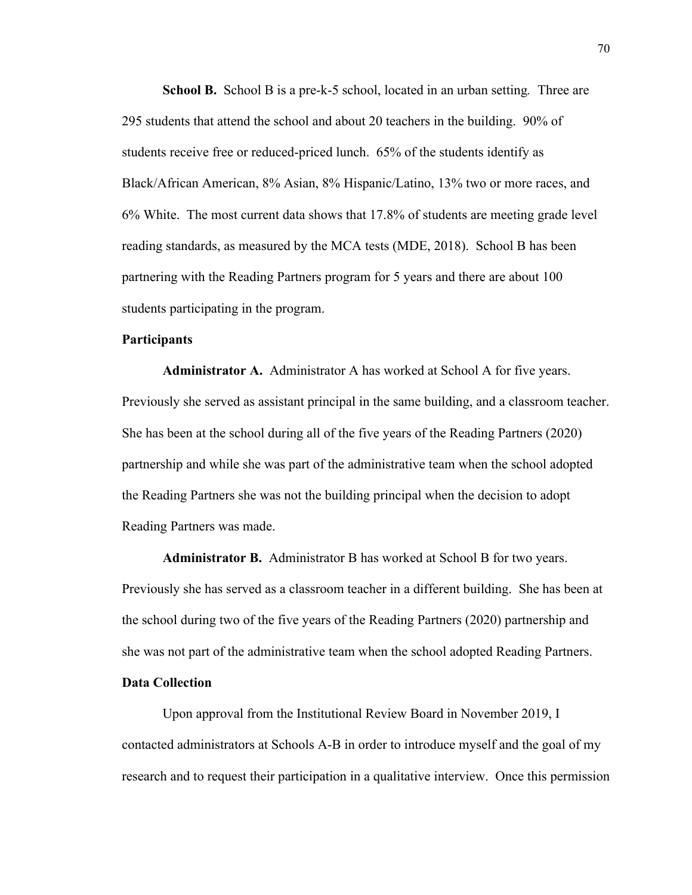**School B.** School B is a pre-k-5 school, located in an urban setting*.* Three are 295 students that attend the school and about 20 teachers in the building. 90% of students receive free or reduced-priced lunch. 65% of the students identify as Black/African American, 8% Asian, 8% Hispanic/Latino, 13% two or more races, and 6% White. The most current data shows that 17.8% of students are meeting grade level reading standards, as measured by the MCA tests (MDE, 2018). School B has been partnering with the Reading Partners program for 5 years and there are about 100 students participating in the program.

## **Participants**

**Administrator A.** Administrator A has worked at School A for five years. Previously she served as assistant principal in the same building, and a classroom teacher. She has been at the school during all of the five years of the Reading Partners (2020) partnership and while she was part of the administrative team when the school adopted the Reading Partners she was not the building principal when the decision to adopt Reading Partners was made.

**Administrator B.** Administrator B has worked at School B for two years. Previously she has served as a classroom teacher in a different building. She has been at the school during two of the five years of the Reading Partners (2020) partnership and she was not part of the administrative team when the school adopted Reading Partners.

# **Data Collection**

Upon approval from the Institutional Review Board in November 2019, I contacted administrators at Schools A-B in order to introduce myself and the goal of my research and to request their participation in a qualitative interview. Once this permission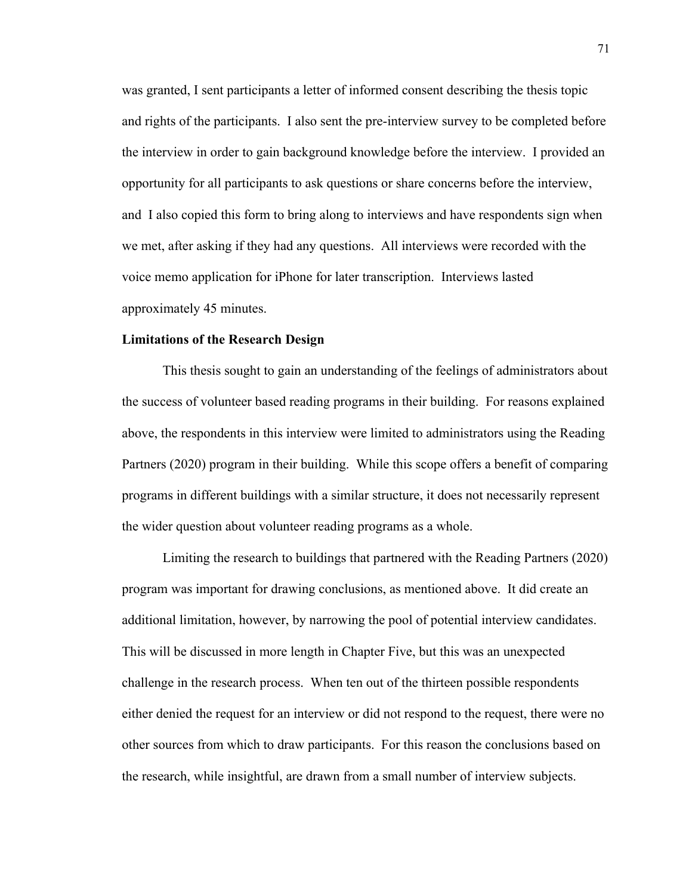was granted, I sent participants a letter of informed consent describing the thesis topic and rights of the participants. I also sent the pre-interview survey to be completed before the interview in order to gain background knowledge before the interview. I provided an opportunity for all participants to ask questions or share concerns before the interview, and I also copied this form to bring along to interviews and have respondents sign when we met, after asking if they had any questions. All interviews were recorded with the voice memo application for iPhone for later transcription. Interviews lasted approximately 45 minutes.

#### **Limitations of the Research Design**

This thesis sought to gain an understanding of the feelings of administrators about the success of volunteer based reading programs in their building. For reasons explained above, the respondents in this interview were limited to administrators using the Reading Partners (2020) program in their building. While this scope offers a benefit of comparing programs in different buildings with a similar structure, it does not necessarily represent the wider question about volunteer reading programs as a whole.

Limiting the research to buildings that partnered with the Reading Partners (2020) program was important for drawing conclusions, as mentioned above. It did create an additional limitation, however, by narrowing the pool of potential interview candidates. This will be discussed in more length in Chapter Five, but this was an unexpected challenge in the research process. When ten out of the thirteen possible respondents either denied the request for an interview or did not respond to the request, there were no other sources from which to draw participants. For this reason the conclusions based on the research, while insightful, are drawn from a small number of interview subjects.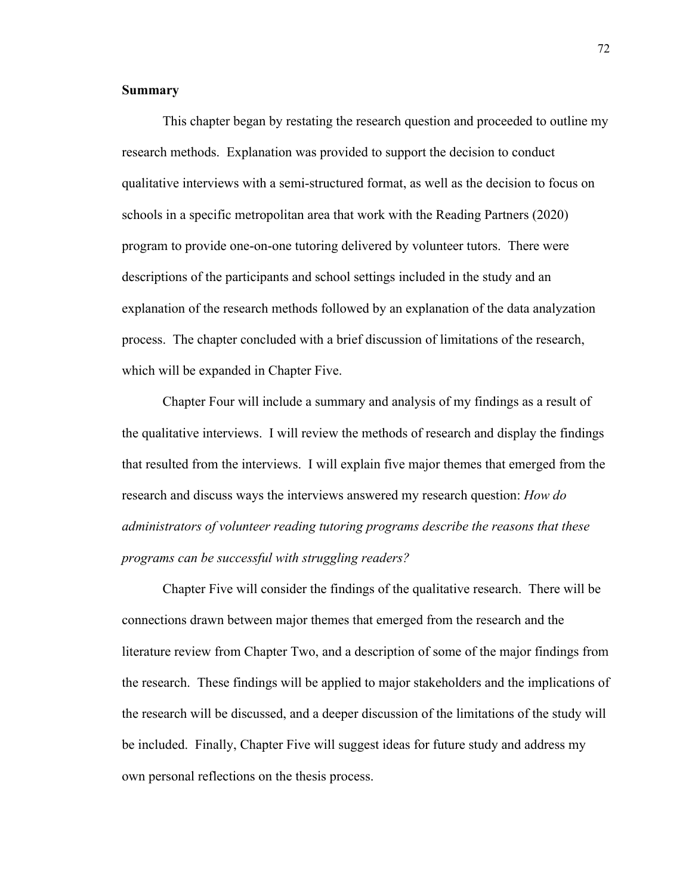# **Summary**

This chapter began by restating the research question and proceeded to outline my research methods. Explanation was provided to support the decision to conduct qualitative interviews with a semi-structured format, as well as the decision to focus on schools in a specific metropolitan area that work with the Reading Partners (2020) program to provide one-on-one tutoring delivered by volunteer tutors. There were descriptions of the participants and school settings included in the study and an explanation of the research methods followed by an explanation of the data analyzation process. The chapter concluded with a brief discussion of limitations of the research, which will be expanded in Chapter Five.

Chapter Four will include a summary and analysis of my findings as a result of the qualitative interviews. I will review the methods of research and display the findings that resulted from the interviews. I will explain five major themes that emerged from the research and discuss ways the interviews answered my research question: *How do administrators of volunteer reading tutoring programs describe the reasons that these programs can be successful with struggling readers?*

Chapter Five will consider the findings of the qualitative research. There will be connections drawn between major themes that emerged from the research and the literature review from Chapter Two, and a description of some of the major findings from the research. These findings will be applied to major stakeholders and the implications of the research will be discussed, and a deeper discussion of the limitations of the study will be included. Finally, Chapter Five will suggest ideas for future study and address my own personal reflections on the thesis process.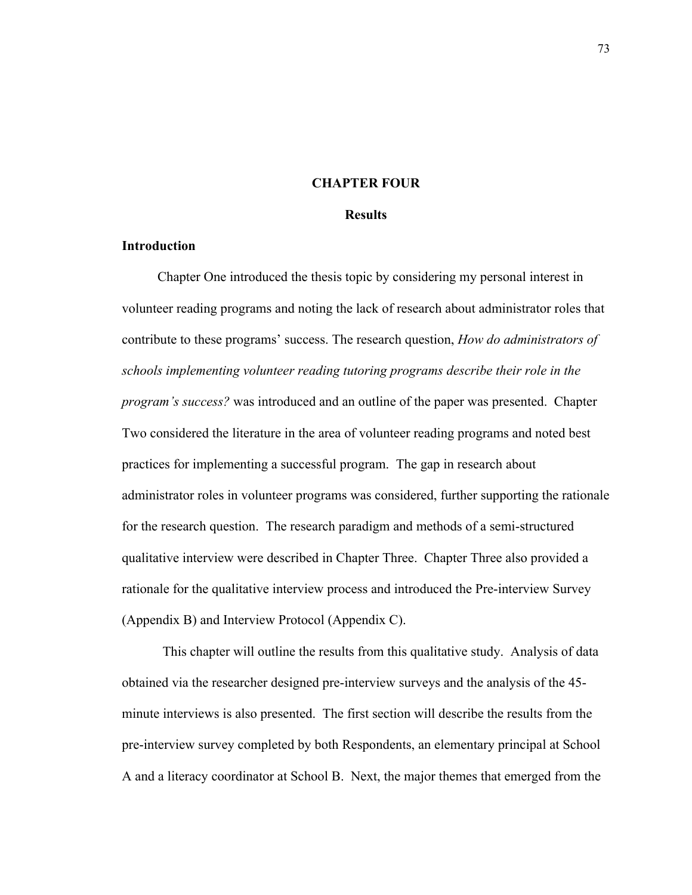## **CHAPTER FOUR**

### **Results**

# **Introduction**

Chapter One introduced the thesis topic by considering my personal interest in volunteer reading programs and noting the lack of research about administrator roles that contribute to these programs' success. The research question, *How do administrators of schools implementing volunteer reading tutoring programs describe their role in the program's success?* was introduced and an outline of the paper was presented. Chapter Two considered the literature in the area of volunteer reading programs and noted best practices for implementing a successful program. The gap in research about administrator roles in volunteer programs was considered, further supporting the rationale for the research question. The research paradigm and methods of a semi-structured qualitative interview were described in Chapter Three. Chapter Three also provided a rationale for the qualitative interview process and introduced the Pre-interview Survey (Appendix B) and Interview Protocol (Appendix C).

This chapter will outline the results from this qualitative study. Analysis of data obtained via the researcher designed pre-interview surveys and the analysis of the 45 minute interviews is also presented. The first section will describe the results from the pre-interview survey completed by both Respondents, an elementary principal at School A and a literacy coordinator at School B. Next, the major themes that emerged from the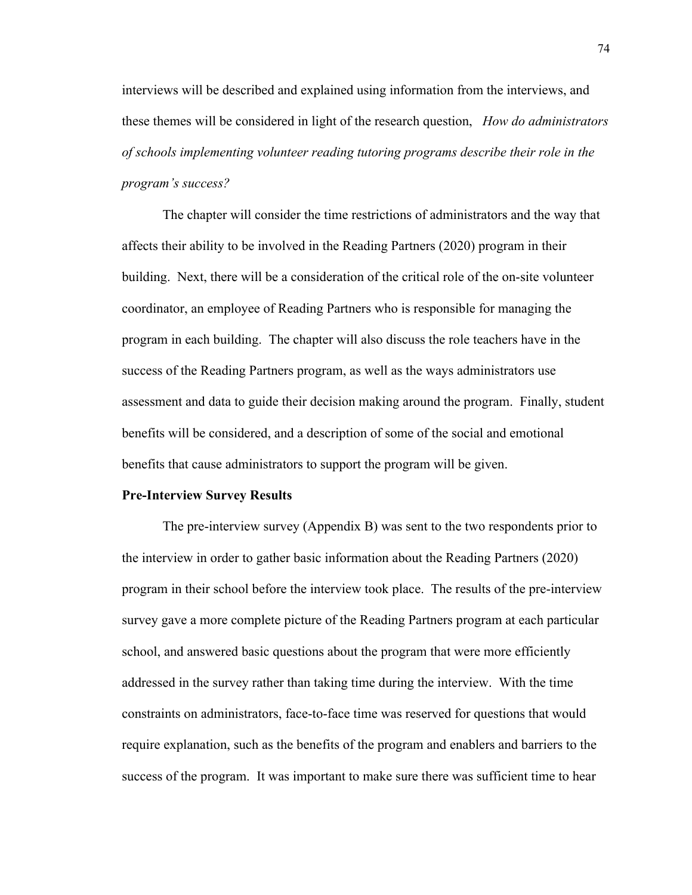interviews will be described and explained using information from the interviews, and these themes will be considered in light of the research question, *How do administrators of schools implementing volunteer reading tutoring programs describe their role in the program's success?* 

The chapter will consider the time restrictions of administrators and the way that affects their ability to be involved in the Reading Partners (2020) program in their building. Next, there will be a consideration of the critical role of the on-site volunteer coordinator, an employee of Reading Partners who is responsible for managing the program in each building. The chapter will also discuss the role teachers have in the success of the Reading Partners program, as well as the ways administrators use assessment and data to guide their decision making around the program. Finally, student benefits will be considered, and a description of some of the social and emotional benefits that cause administrators to support the program will be given.

#### **Pre-Interview Survey Results**

The pre-interview survey (Appendix B) was sent to the two respondents prior to the interview in order to gather basic information about the Reading Partners (2020) program in their school before the interview took place. The results of the pre-interview survey gave a more complete picture of the Reading Partners program at each particular school, and answered basic questions about the program that were more efficiently addressed in the survey rather than taking time during the interview. With the time constraints on administrators, face-to-face time was reserved for questions that would require explanation, such as the benefits of the program and enablers and barriers to the success of the program. It was important to make sure there was sufficient time to hear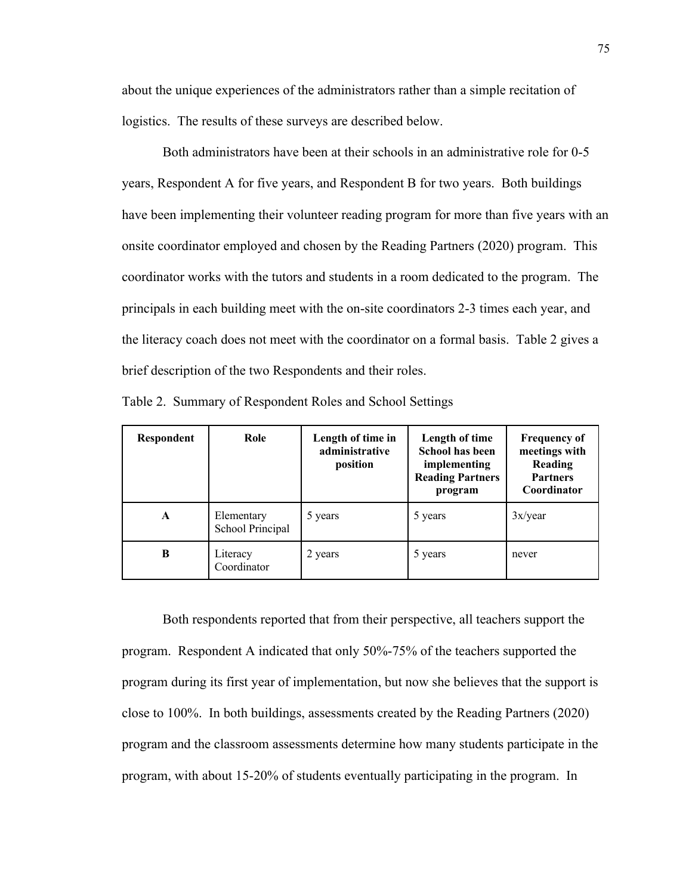about the unique experiences of the administrators rather than a simple recitation of logistics. The results of these surveys are described below.

Both administrators have been at their schools in an administrative role for 0-5 years, Respondent A for five years, and Respondent B for two years. Both buildings have been implementing their volunteer reading program for more than five years with an onsite coordinator employed and chosen by the Reading Partners (2020) program. This coordinator works with the tutors and students in a room dedicated to the program. The principals in each building meet with the on-site coordinators 2-3 times each year, and the literacy coach does not meet with the coordinator on a formal basis. Table 2 gives a brief description of the two Respondents and their roles.

| Respondent | Role                           | Length of time in<br>administrative<br>position | Length of time<br><b>School has been</b><br>implementing<br><b>Reading Partners</b><br>program | <b>Frequency of</b><br>meetings with<br>Reading<br><b>Partners</b><br>Coordinator |
|------------|--------------------------------|-------------------------------------------------|------------------------------------------------------------------------------------------------|-----------------------------------------------------------------------------------|
| A          | Elementary<br>School Principal | 5 years                                         | 5 years                                                                                        | 3x/year                                                                           |
| B          | Literacy<br>Coordinator        | 2 years                                         | 5 years                                                                                        | never                                                                             |

Table 2. Summary of Respondent Roles and School Settings

Both respondents reported that from their perspective, all teachers support the program. Respondent A indicated that only 50%-75% of the teachers supported the program during its first year of implementation, but now she believes that the support is close to 100%. In both buildings, assessments created by the Reading Partners (2020) program and the classroom assessments determine how many students participate in the program, with about 15-20% of students eventually participating in the program. In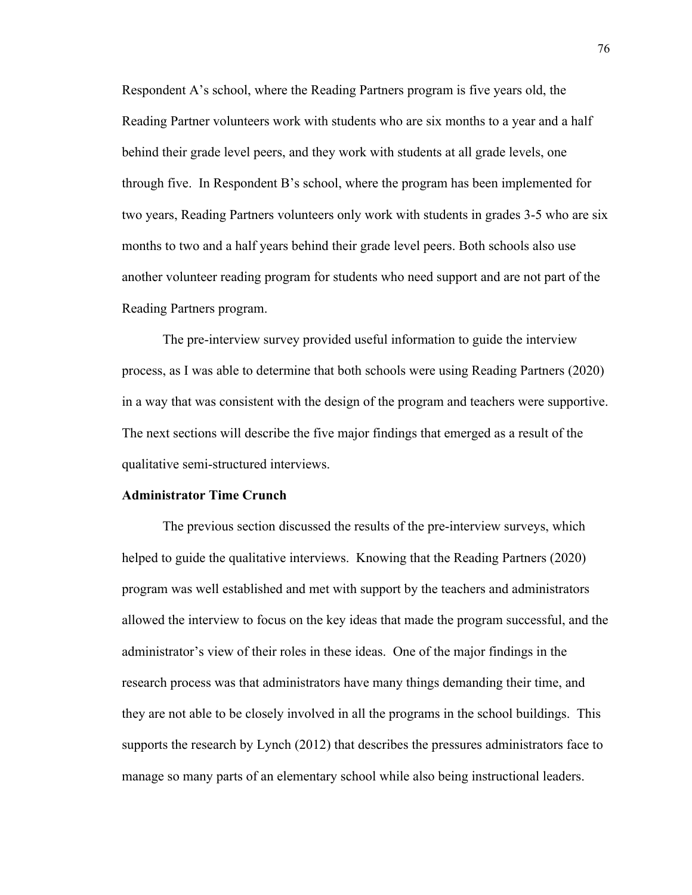Respondent A's school, where the Reading Partners program is five years old, the Reading Partner volunteers work with students who are six months to a year and a half behind their grade level peers, and they work with students at all grade levels, one through five. In Respondent B's school, where the program has been implemented for two years, Reading Partners volunteers only work with students in grades 3-5 who are six months to two and a half years behind their grade level peers. Both schools also use another volunteer reading program for students who need support and are not part of the Reading Partners program.

The pre-interview survey provided useful information to guide the interview process, as I was able to determine that both schools were using Reading Partners (2020) in a way that was consistent with the design of the program and teachers were supportive. The next sections will describe the five major findings that emerged as a result of the qualitative semi-structured interviews.

### **Administrator Time Crunch**

The previous section discussed the results of the pre-interview surveys, which helped to guide the qualitative interviews. Knowing that the Reading Partners (2020) program was well established and met with support by the teachers and administrators allowed the interview to focus on the key ideas that made the program successful, and the administrator's view of their roles in these ideas. One of the major findings in the research process was that administrators have many things demanding their time, and they are not able to be closely involved in all the programs in the school buildings. This supports the research by Lynch (2012) that describes the pressures administrators face to manage so many parts of an elementary school while also being instructional leaders.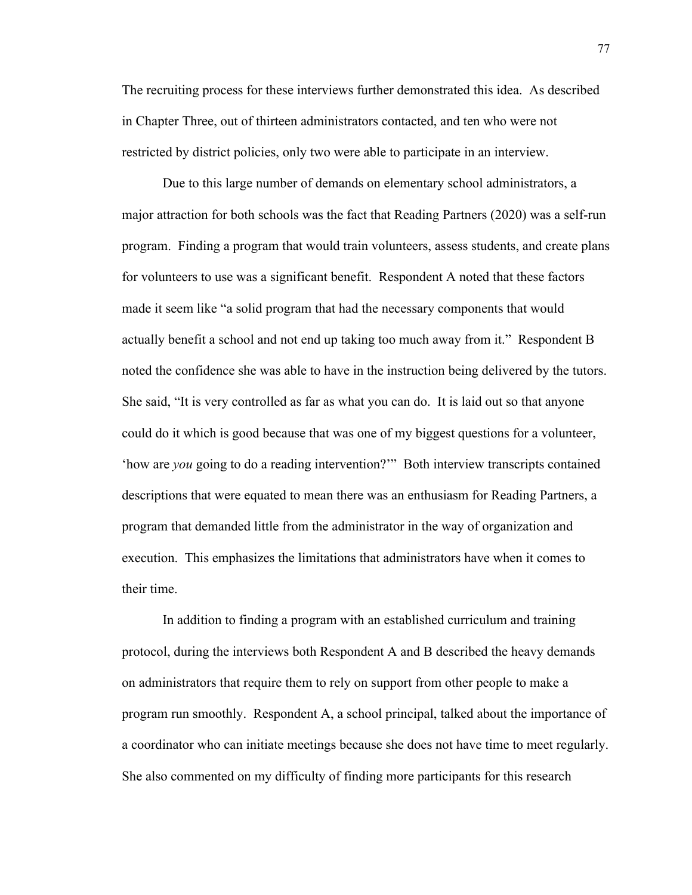The recruiting process for these interviews further demonstrated this idea. As described in Chapter Three, out of thirteen administrators contacted, and ten who were not restricted by district policies, only two were able to participate in an interview.

Due to this large number of demands on elementary school administrators, a major attraction for both schools was the fact that Reading Partners (2020) was a self-run program. Finding a program that would train volunteers, assess students, and create plans for volunteers to use was a significant benefit. Respondent A noted that these factors made it seem like "a solid program that had the necessary components that would actually benefit a school and not end up taking too much away from it." Respondent B noted the confidence she was able to have in the instruction being delivered by the tutors. She said, "It is very controlled as far as what you can do. It is laid out so that anyone could do it which is good because that was one of my biggest questions for a volunteer, 'how are *you* going to do a reading intervention?'" Both interview transcripts contained descriptions that were equated to mean there was an enthusiasm for Reading Partners, a program that demanded little from the administrator in the way of organization and execution. This emphasizes the limitations that administrators have when it comes to their time.

In addition to finding a program with an established curriculum and training protocol, during the interviews both Respondent A and B described the heavy demands on administrators that require them to rely on support from other people to make a program run smoothly. Respondent A, a school principal, talked about the importance of a coordinator who can initiate meetings because she does not have time to meet regularly. She also commented on my difficulty of finding more participants for this research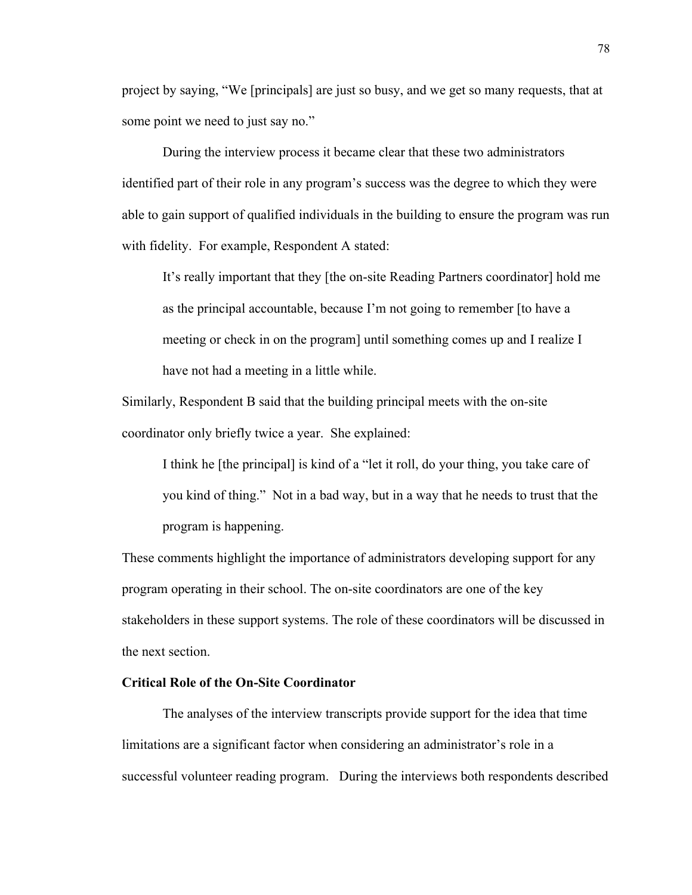project by saying, "We [principals] are just so busy, and we get so many requests, that at some point we need to just say no."

During the interview process it became clear that these two administrators identified part of their role in any program's success was the degree to which they were able to gain support of qualified individuals in the building to ensure the program was run with fidelity. For example, Respondent A stated:

It's really important that they [the on-site Reading Partners coordinator] hold me as the principal accountable, because I'm not going to remember [to have a meeting or check in on the program] until something comes up and I realize I have not had a meeting in a little while.

Similarly, Respondent B said that the building principal meets with the on-site coordinator only briefly twice a year. She explained:

I think he [the principal] is kind of a "let it roll, do your thing, you take care of you kind of thing." Not in a bad way, but in a way that he needs to trust that the program is happening.

These comments highlight the importance of administrators developing support for any program operating in their school. The on-site coordinators are one of the key stakeholders in these support systems. The role of these coordinators will be discussed in the next section.

# **Critical Role of the On-Site Coordinator**

The analyses of the interview transcripts provide support for the idea that time limitations are a significant factor when considering an administrator's role in a successful volunteer reading program. During the interviews both respondents described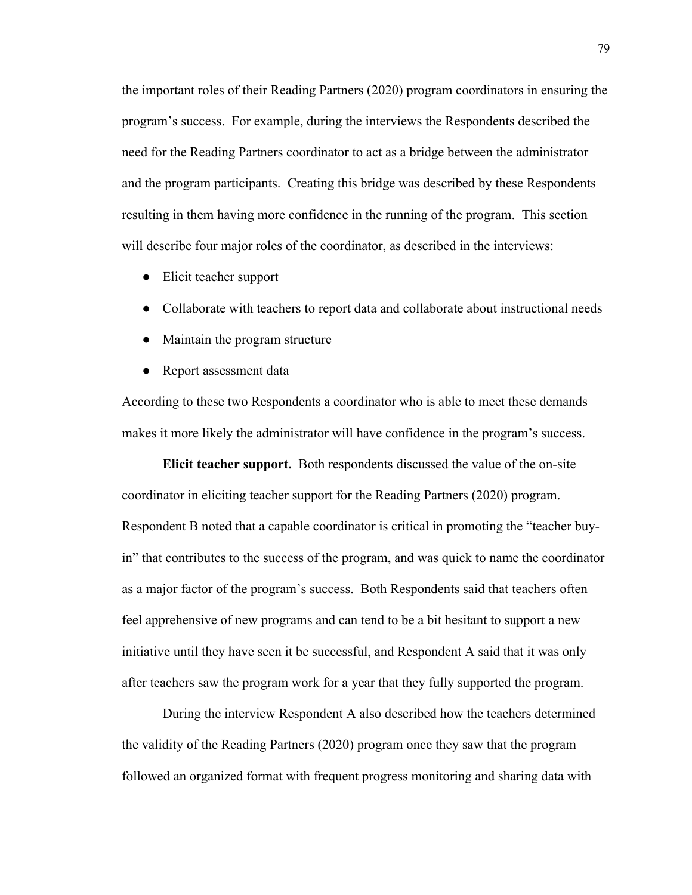the important roles of their Reading Partners (2020) program coordinators in ensuring the program's success. For example, during the interviews the Respondents described the need for the Reading Partners coordinator to act as a bridge between the administrator and the program participants. Creating this bridge was described by these Respondents resulting in them having more confidence in the running of the program. This section will describe four major roles of the coordinator, as described in the interviews:

- Elicit teacher support
- Collaborate with teachers to report data and collaborate about instructional needs
- Maintain the program structure
- Report assessment data

According to these two Respondents a coordinator who is able to meet these demands makes it more likely the administrator will have confidence in the program's success.

**Elicit teacher support.** Both respondents discussed the value of the on-site coordinator in eliciting teacher support for the Reading Partners (2020) program. Respondent B noted that a capable coordinator is critical in promoting the "teacher buyin" that contributes to the success of the program, and was quick to name the coordinator as a major factor of the program's success. Both Respondents said that teachers often feel apprehensive of new programs and can tend to be a bit hesitant to support a new initiative until they have seen it be successful, and Respondent A said that it was only after teachers saw the program work for a year that they fully supported the program.

During the interview Respondent A also described how the teachers determined the validity of the Reading Partners (2020) program once they saw that the program followed an organized format with frequent progress monitoring and sharing data with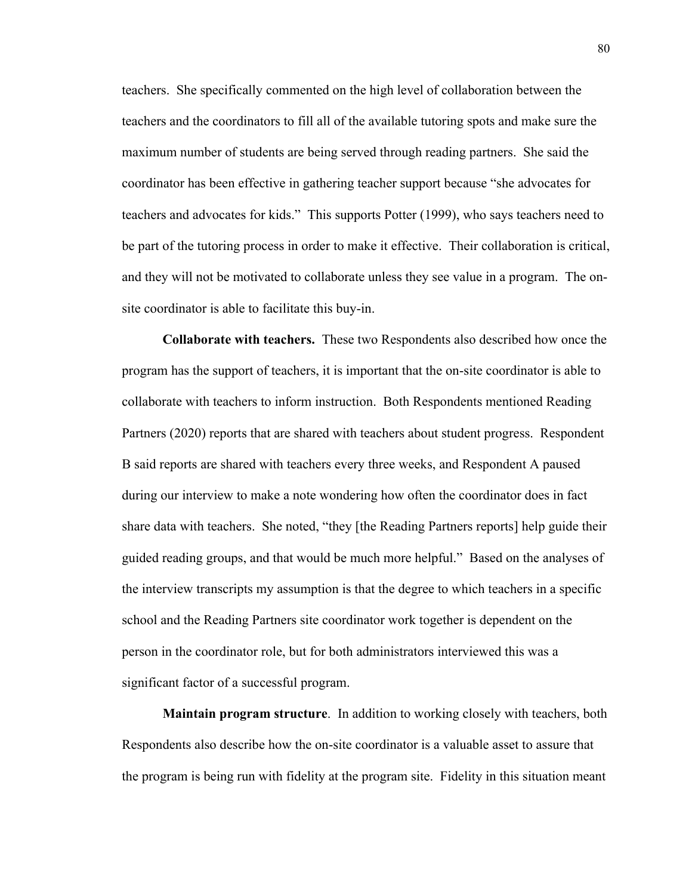teachers. She specifically commented on the high level of collaboration between the teachers and the coordinators to fill all of the available tutoring spots and make sure the maximum number of students are being served through reading partners. She said the coordinator has been effective in gathering teacher support because "she advocates for teachers and advocates for kids." This supports Potter (1999), who says teachers need to be part of the tutoring process in order to make it effective. Their collaboration is critical, and they will not be motivated to collaborate unless they see value in a program. The onsite coordinator is able to facilitate this buy-in.

**Collaborate with teachers.** These two Respondents also described how once the program has the support of teachers, it is important that the on-site coordinator is able to collaborate with teachers to inform instruction. Both Respondents mentioned Reading Partners (2020) reports that are shared with teachers about student progress. Respondent B said reports are shared with teachers every three weeks, and Respondent A paused during our interview to make a note wondering how often the coordinator does in fact share data with teachers. She noted, "they [the Reading Partners reports] help guide their guided reading groups, and that would be much more helpful." Based on the analyses of the interview transcripts my assumption is that the degree to which teachers in a specific school and the Reading Partners site coordinator work together is dependent on the person in the coordinator role, but for both administrators interviewed this was a significant factor of a successful program.

**Maintain program structure**. In addition to working closely with teachers, both Respondents also describe how the on-site coordinator is a valuable asset to assure that the program is being run with fidelity at the program site. Fidelity in this situation meant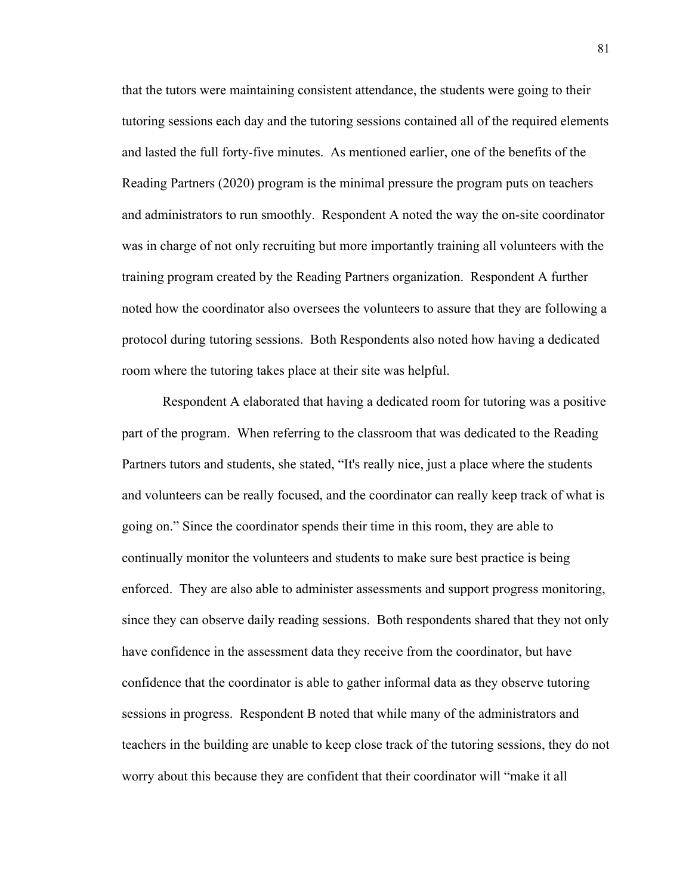that the tutors were maintaining consistent attendance, the students were going to their tutoring sessions each day and the tutoring sessions contained all of the required elements and lasted the full forty-five minutes. As mentioned earlier, one of the benefits of the Reading Partners (2020) program is the minimal pressure the program puts on teachers and administrators to run smoothly. Respondent A noted the way the on-site coordinator was in charge of not only recruiting but more importantly training all volunteers with the training program created by the Reading Partners organization. Respondent A further noted how the coordinator also oversees the volunteers to assure that they are following a protocol during tutoring sessions. Both Respondents also noted how having a dedicated room where the tutoring takes place at their site was helpful.

Respondent A elaborated that having a dedicated room for tutoring was a positive part of the program. When referring to the classroom that was dedicated to the Reading Partners tutors and students, she stated, "It's really nice, just a place where the students and volunteers can be really focused, and the coordinator can really keep track of what is going on." Since the coordinator spends their time in this room, they are able to continually monitor the volunteers and students to make sure best practice is being enforced. They are also able to administer assessments and support progress monitoring, since they can observe daily reading sessions. Both respondents shared that they not only have confidence in the assessment data they receive from the coordinator, but have confidence that the coordinator is able to gather informal data as they observe tutoring sessions in progress. Respondent B noted that while many of the administrators and teachers in the building are unable to keep close track of the tutoring sessions, they do not worry about this because they are confident that their coordinator will "make it all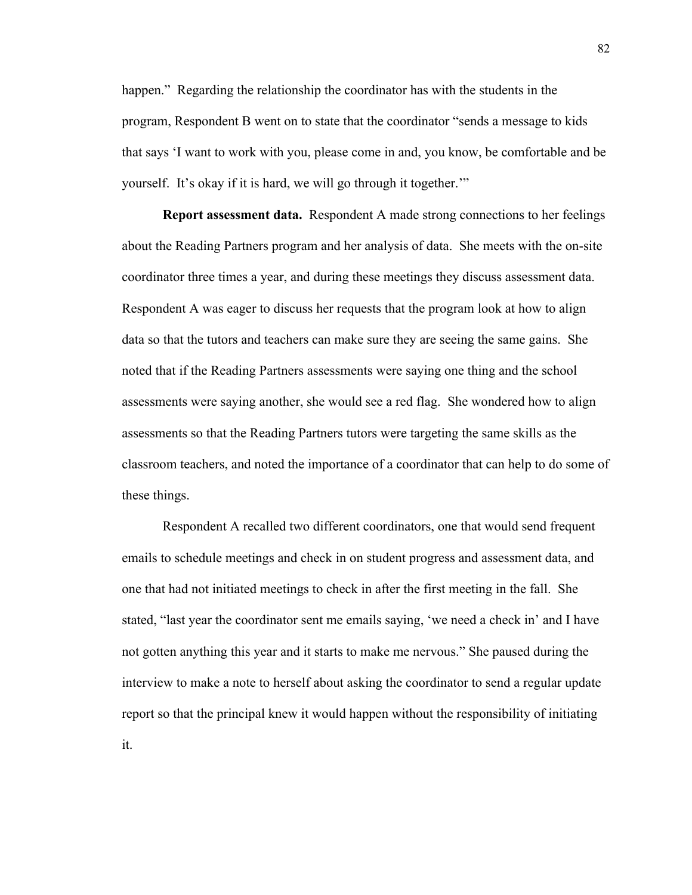happen." Regarding the relationship the coordinator has with the students in the program, Respondent B went on to state that the coordinator "sends a message to kids that says 'I want to work with you, please come in and, you know, be comfortable and be yourself. It's okay if it is hard, we will go through it together.'"

**Report assessment data.** Respondent A made strong connections to her feelings about the Reading Partners program and her analysis of data. She meets with the on-site coordinator three times a year, and during these meetings they discuss assessment data. Respondent A was eager to discuss her requests that the program look at how to align data so that the tutors and teachers can make sure they are seeing the same gains. She noted that if the Reading Partners assessments were saying one thing and the school assessments were saying another, she would see a red flag. She wondered how to align assessments so that the Reading Partners tutors were targeting the same skills as the classroom teachers, and noted the importance of a coordinator that can help to do some of these things.

Respondent A recalled two different coordinators, one that would send frequent emails to schedule meetings and check in on student progress and assessment data, and one that had not initiated meetings to check in after the first meeting in the fall. She stated, "last year the coordinator sent me emails saying, 'we need a check in' and I have not gotten anything this year and it starts to make me nervous." She paused during the interview to make a note to herself about asking the coordinator to send a regular update report so that the principal knew it would happen without the responsibility of initiating it.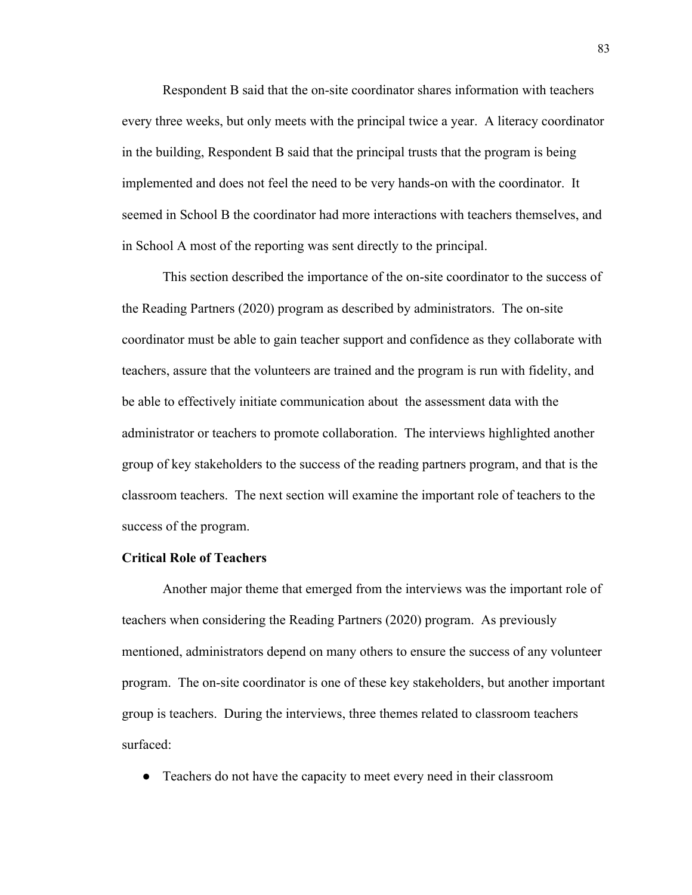Respondent B said that the on-site coordinator shares information with teachers every three weeks, but only meets with the principal twice a year. A literacy coordinator in the building, Respondent B said that the principal trusts that the program is being implemented and does not feel the need to be very hands-on with the coordinator. It seemed in School B the coordinator had more interactions with teachers themselves, and in School A most of the reporting was sent directly to the principal.

This section described the importance of the on-site coordinator to the success of the Reading Partners (2020) program as described by administrators. The on-site coordinator must be able to gain teacher support and confidence as they collaborate with teachers, assure that the volunteers are trained and the program is run with fidelity, and be able to effectively initiate communication about the assessment data with the administrator or teachers to promote collaboration. The interviews highlighted another group of key stakeholders to the success of the reading partners program, and that is the classroom teachers. The next section will examine the important role of teachers to the success of the program.

## **Critical Role of Teachers**

Another major theme that emerged from the interviews was the important role of teachers when considering the Reading Partners (2020) program. As previously mentioned, administrators depend on many others to ensure the success of any volunteer program. The on-site coordinator is one of these key stakeholders, but another important group is teachers. During the interviews, three themes related to classroom teachers surfaced:

● Teachers do not have the capacity to meet every need in their classroom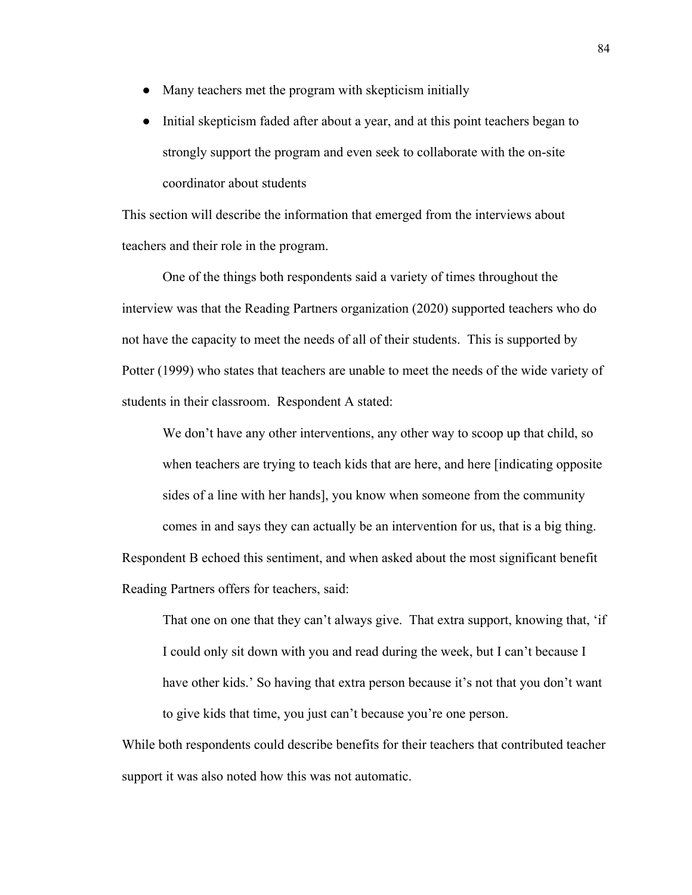- Many teachers met the program with skepticism initially
- Initial skepticism faded after about a year, and at this point teachers began to strongly support the program and even seek to collaborate with the on-site coordinator about students

This section will describe the information that emerged from the interviews about teachers and their role in the program.

One of the things both respondents said a variety of times throughout the interview was that the Reading Partners organization (2020) supported teachers who do not have the capacity to meet the needs of all of their students. This is supported by Potter (1999) who states that teachers are unable to meet the needs of the wide variety of students in their classroom. Respondent A stated:

We don't have any other interventions, any other way to scoop up that child, so when teachers are trying to teach kids that are here, and here [indicating opposite sides of a line with her hands], you know when someone from the community comes in and says they can actually be an intervention for us, that is a big thing. Respondent B echoed this sentiment, and when asked about the most significant benefit Reading Partners offers for teachers, said:

That one on one that they can't always give. That extra support, knowing that, 'if I could only sit down with you and read during the week, but I can't because I have other kids.' So having that extra person because it's not that you don't want to give kids that time, you just can't because you're one person.

While both respondents could describe benefits for their teachers that contributed teacher support it was also noted how this was not automatic.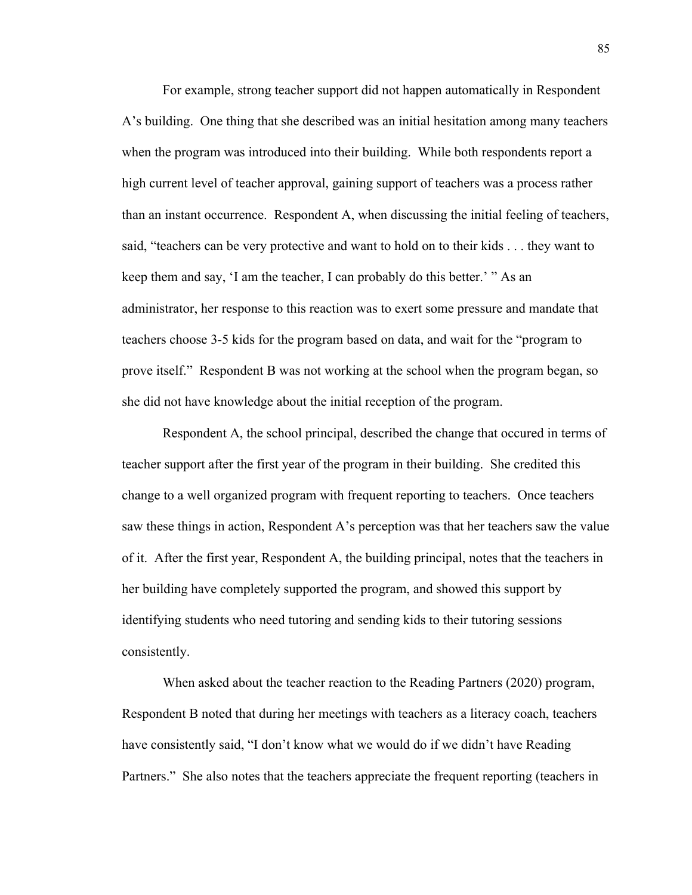For example, strong teacher support did not happen automatically in Respondent A's building. One thing that she described was an initial hesitation among many teachers when the program was introduced into their building. While both respondents report a high current level of teacher approval, gaining support of teachers was a process rather than an instant occurrence. Respondent A, when discussing the initial feeling of teachers, said, "teachers can be very protective and want to hold on to their kids . . . they want to keep them and say, 'I am the teacher, I can probably do this better.' " As an administrator, her response to this reaction was to exert some pressure and mandate that teachers choose 3-5 kids for the program based on data, and wait for the "program to prove itself." Respondent B was not working at the school when the program began, so she did not have knowledge about the initial reception of the program.

Respondent A, the school principal, described the change that occured in terms of teacher support after the first year of the program in their building. She credited this change to a well organized program with frequent reporting to teachers. Once teachers saw these things in action, Respondent A's perception was that her teachers saw the value of it. After the first year, Respondent A, the building principal, notes that the teachers in her building have completely supported the program, and showed this support by identifying students who need tutoring and sending kids to their tutoring sessions consistently.

When asked about the teacher reaction to the Reading Partners (2020) program, Respondent B noted that during her meetings with teachers as a literacy coach, teachers have consistently said, "I don't know what we would do if we didn't have Reading Partners." She also notes that the teachers appreciate the frequent reporting (teachers in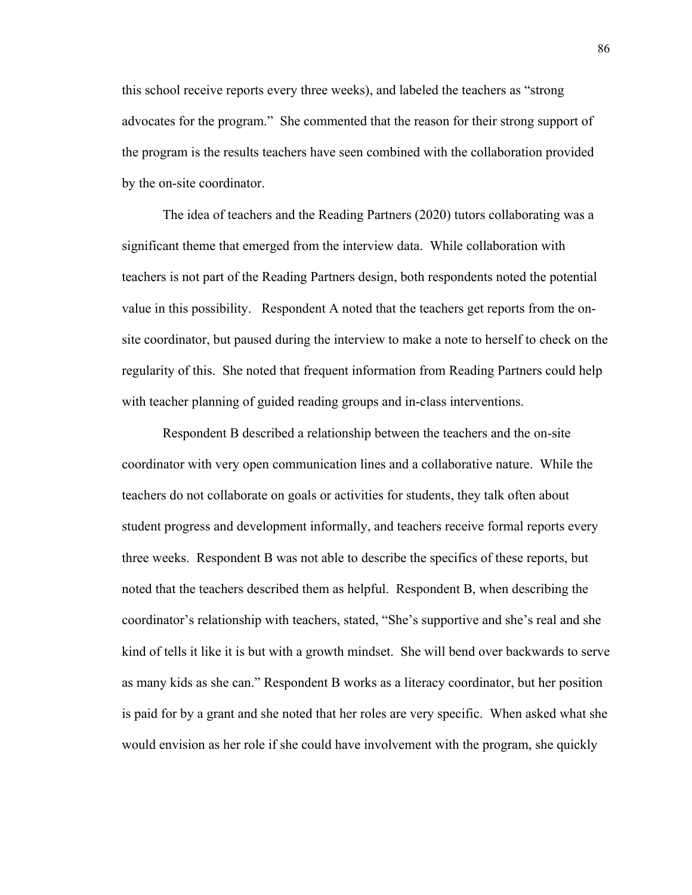this school receive reports every three weeks), and labeled the teachers as "strong advocates for the program." She commented that the reason for their strong support of the program is the results teachers have seen combined with the collaboration provided by the on-site coordinator.

The idea of teachers and the Reading Partners (2020) tutors collaborating was a significant theme that emerged from the interview data. While collaboration with teachers is not part of the Reading Partners design, both respondents noted the potential value in this possibility. Respondent A noted that the teachers get reports from the onsite coordinator, but paused during the interview to make a note to herself to check on the regularity of this. She noted that frequent information from Reading Partners could help with teacher planning of guided reading groups and in-class interventions.

Respondent B described a relationship between the teachers and the on-site coordinator with very open communication lines and a collaborative nature. While the teachers do not collaborate on goals or activities for students, they talk often about student progress and development informally, and teachers receive formal reports every three weeks. Respondent B was not able to describe the specifics of these reports, but noted that the teachers described them as helpful. Respondent B, when describing the coordinator's relationship with teachers, stated, "She's supportive and she's real and she kind of tells it like it is but with a growth mindset. She will bend over backwards to serve as many kids as she can." Respondent B works as a literacy coordinator, but her position is paid for by a grant and she noted that her roles are very specific. When asked what she would envision as her role if she could have involvement with the program, she quickly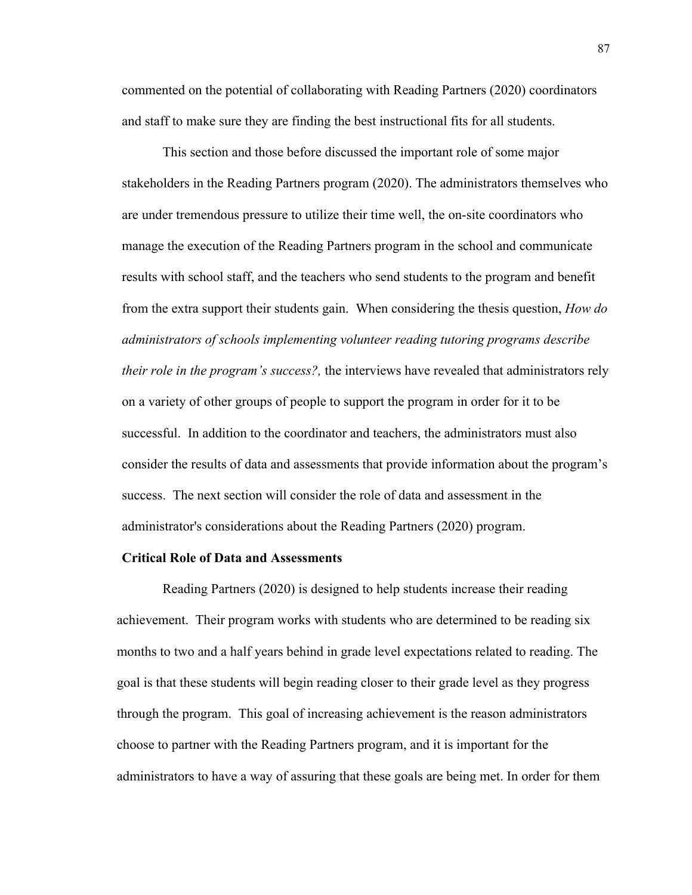commented on the potential of collaborating with Reading Partners (2020) coordinators and staff to make sure they are finding the best instructional fits for all students.

This section and those before discussed the important role of some major stakeholders in the Reading Partners program (2020). The administrators themselves who are under tremendous pressure to utilize their time well, the on-site coordinators who manage the execution of the Reading Partners program in the school and communicate results with school staff, and the teachers who send students to the program and benefit from the extra support their students gain. When considering the thesis question, *How do administrators of schools implementing volunteer reading tutoring programs describe their role in the program's success?,* the interviews have revealed that administrators rely on a variety of other groups of people to support the program in order for it to be successful. In addition to the coordinator and teachers, the administrators must also consider the results of data and assessments that provide information about the program's success. The next section will consider the role of data and assessment in the administrator's considerations about the Reading Partners (2020) program.

## **Critical Role of Data and Assessments**

Reading Partners (2020) is designed to help students increase their reading achievement. Their program works with students who are determined to be reading six months to two and a half years behind in grade level expectations related to reading. The goal is that these students will begin reading closer to their grade level as they progress through the program. This goal of increasing achievement is the reason administrators choose to partner with the Reading Partners program, and it is important for the administrators to have a way of assuring that these goals are being met. In order for them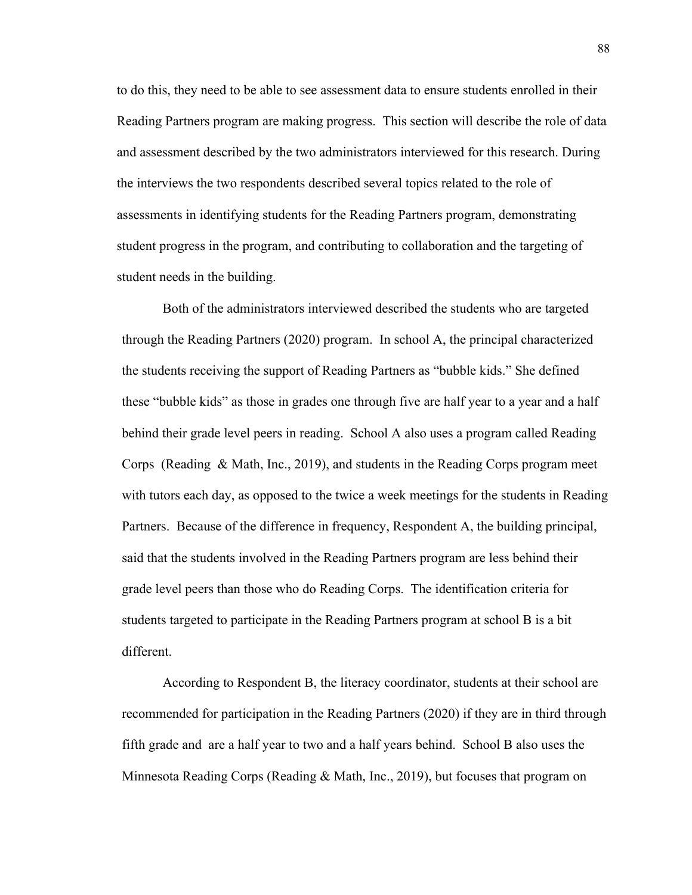to do this, they need to be able to see assessment data to ensure students enrolled in their Reading Partners program are making progress. This section will describe the role of data and assessment described by the two administrators interviewed for this research. During the interviews the two respondents described several topics related to the role of assessments in identifying students for the Reading Partners program, demonstrating student progress in the program, and contributing to collaboration and the targeting of student needs in the building.

Both of the administrators interviewed described the students who are targeted through the Reading Partners (2020) program. In school A, the principal characterized the students receiving the support of Reading Partners as "bubble kids." She defined these "bubble kids" as those in grades one through five are half year to a year and a half behind their grade level peers in reading. School A also uses a program called Reading Corps (Reading & Math, Inc., 2019), and students in the Reading Corps program meet with tutors each day, as opposed to the twice a week meetings for the students in Reading Partners. Because of the difference in frequency, Respondent A, the building principal, said that the students involved in the Reading Partners program are less behind their grade level peers than those who do Reading Corps. The identification criteria for students targeted to participate in the Reading Partners program at school B is a bit different.

According to Respondent B, the literacy coordinator, students at their school are recommended for participation in the Reading Partners (2020) if they are in third through fifth grade and are a half year to two and a half years behind. School B also uses the Minnesota Reading Corps (Reading & Math, Inc., 2019), but focuses that program on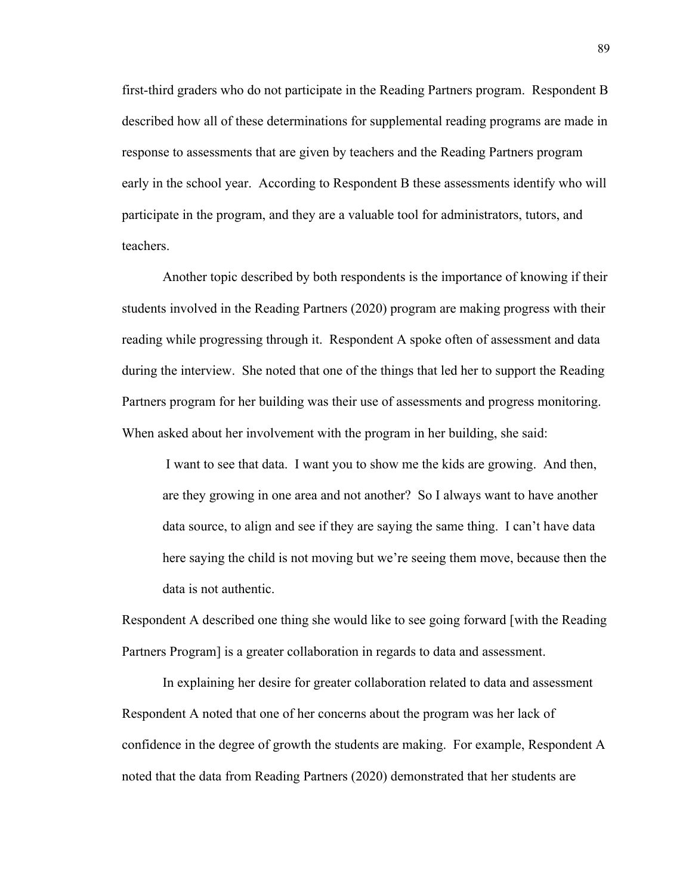first-third graders who do not participate in the Reading Partners program. Respondent B described how all of these determinations for supplemental reading programs are made in response to assessments that are given by teachers and the Reading Partners program early in the school year. According to Respondent B these assessments identify who will participate in the program, and they are a valuable tool for administrators, tutors, and teachers.

Another topic described by both respondents is the importance of knowing if their students involved in the Reading Partners (2020) program are making progress with their reading while progressing through it. Respondent A spoke often of assessment and data during the interview. She noted that one of the things that led her to support the Reading Partners program for her building was their use of assessments and progress monitoring. When asked about her involvement with the program in her building, she said:

I want to see that data. I want you to show me the kids are growing. And then, are they growing in one area and not another? So I always want to have another data source, to align and see if they are saying the same thing. I can't have data here saying the child is not moving but we're seeing them move, because then the data is not authentic.

Respondent A described one thing she would like to see going forward [with the Reading Partners Program] is a greater collaboration in regards to data and assessment.

In explaining her desire for greater collaboration related to data and assessment Respondent A noted that one of her concerns about the program was her lack of confidence in the degree of growth the students are making. For example, Respondent A noted that the data from Reading Partners (2020) demonstrated that her students are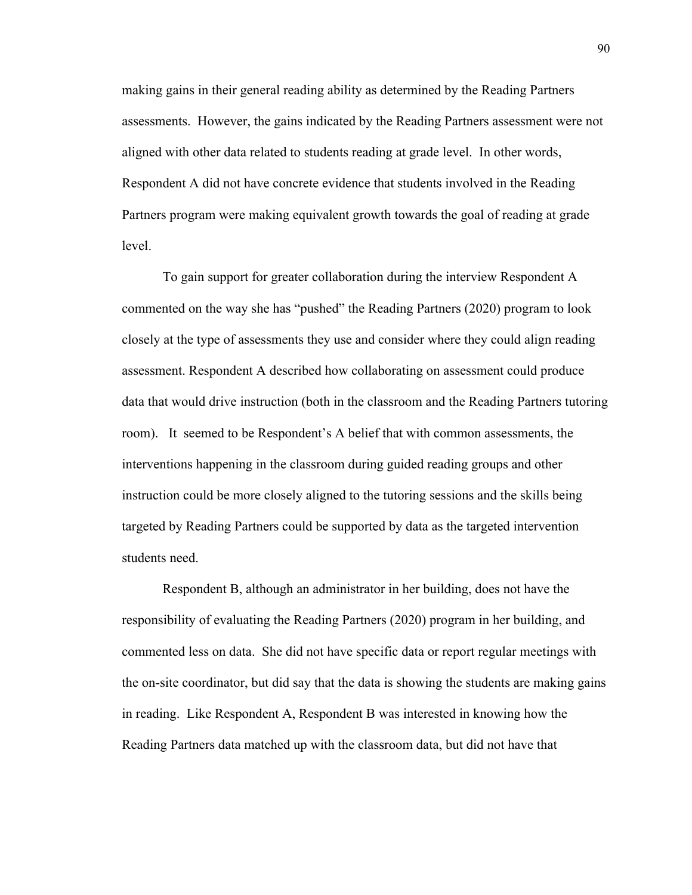making gains in their general reading ability as determined by the Reading Partners assessments. However, the gains indicated by the Reading Partners assessment were not aligned with other data related to students reading at grade level. In other words, Respondent A did not have concrete evidence that students involved in the Reading Partners program were making equivalent growth towards the goal of reading at grade level.

To gain support for greater collaboration during the interview Respondent A commented on the way she has "pushed" the Reading Partners (2020) program to look closely at the type of assessments they use and consider where they could align reading assessment. Respondent A described how collaborating on assessment could produce data that would drive instruction (both in the classroom and the Reading Partners tutoring room). It seemed to be Respondent's A belief that with common assessments, the interventions happening in the classroom during guided reading groups and other instruction could be more closely aligned to the tutoring sessions and the skills being targeted by Reading Partners could be supported by data as the targeted intervention students need.

Respondent B, although an administrator in her building, does not have the responsibility of evaluating the Reading Partners (2020) program in her building, and commented less on data. She did not have specific data or report regular meetings with the on-site coordinator, but did say that the data is showing the students are making gains in reading. Like Respondent A, Respondent B was interested in knowing how the Reading Partners data matched up with the classroom data, but did not have that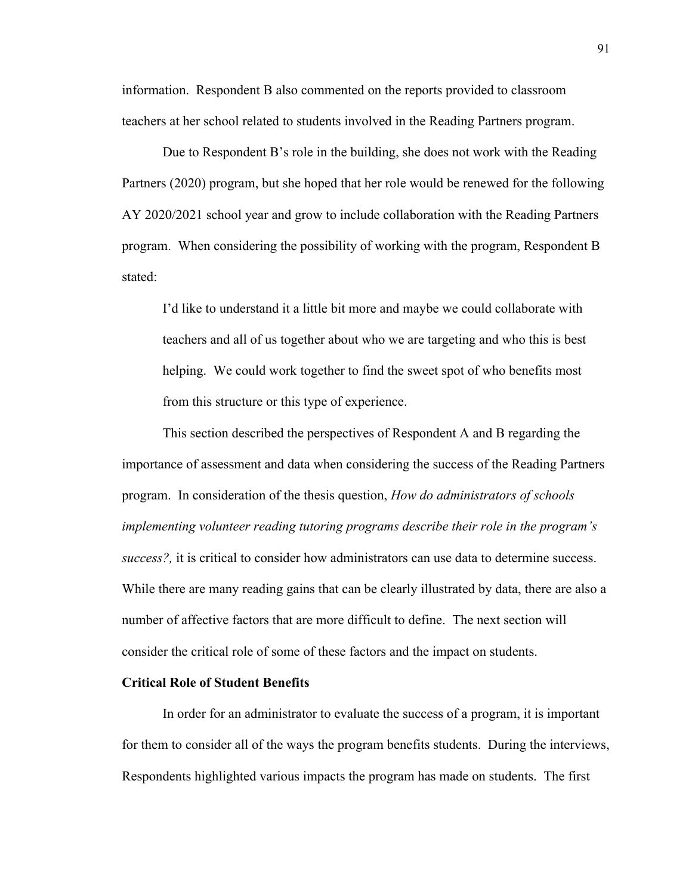information. Respondent B also commented on the reports provided to classroom teachers at her school related to students involved in the Reading Partners program.

Due to Respondent B's role in the building, she does not work with the Reading Partners (2020) program, but she hoped that her role would be renewed for the following AY 2020/2021 school year and grow to include collaboration with the Reading Partners program. When considering the possibility of working with the program, Respondent B stated:

I'd like to understand it a little bit more and maybe we could collaborate with teachers and all of us together about who we are targeting and who this is best helping. We could work together to find the sweet spot of who benefits most from this structure or this type of experience.

This section described the perspectives of Respondent A and B regarding the importance of assessment and data when considering the success of the Reading Partners program. In consideration of the thesis question, *How do administrators of schools implementing volunteer reading tutoring programs describe their role in the program's success?,* it is critical to consider how administrators can use data to determine success. While there are many reading gains that can be clearly illustrated by data, there are also a number of affective factors that are more difficult to define. The next section will consider the critical role of some of these factors and the impact on students.

## **Critical Role of Student Benefits**

In order for an administrator to evaluate the success of a program, it is important for them to consider all of the ways the program benefits students. During the interviews, Respondents highlighted various impacts the program has made on students. The first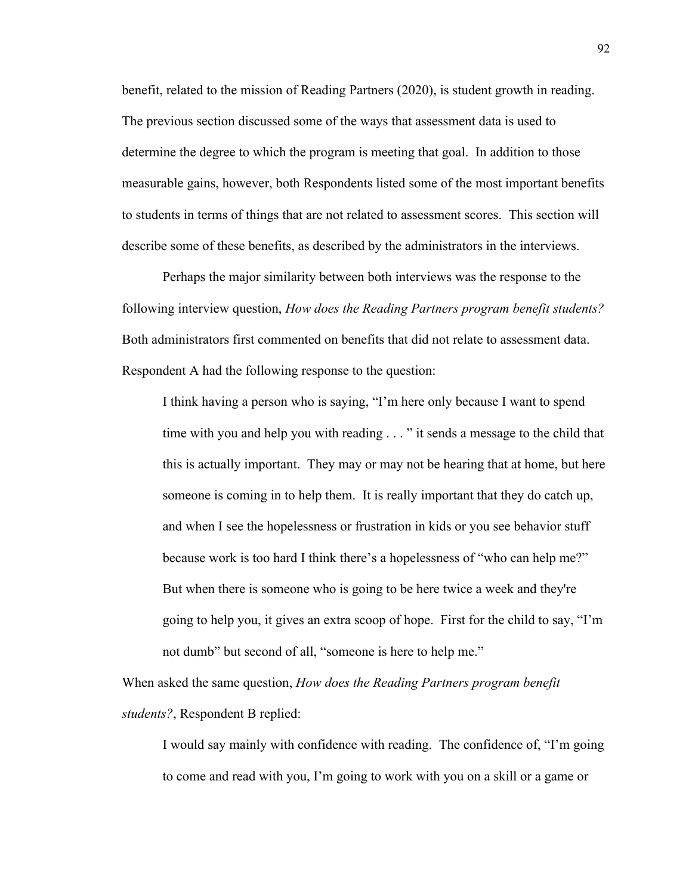benefit, related to the mission of Reading Partners (2020), is student growth in reading. The previous section discussed some of the ways that assessment data is used to determine the degree to which the program is meeting that goal. In addition to those measurable gains, however, both Respondents listed some of the most important benefits to students in terms of things that are not related to assessment scores. This section will describe some of these benefits, as described by the administrators in the interviews.

Perhaps the major similarity between both interviews was the response to the following interview question, *How does the Reading Partners program benefit students?* Both administrators first commented on benefits that did not relate to assessment data. Respondent A had the following response to the question:

I think having a person who is saying, "I'm here only because I want to spend time with you and help you with reading . . . " it sends a message to the child that this is actually important. They may or may not be hearing that at home, but here someone is coming in to help them. It is really important that they do catch up, and when I see the hopelessness or frustration in kids or you see behavior stuff because work is too hard I think there's a hopelessness of "who can help me?" But when there is someone who is going to be here twice a week and they're going to help you, it gives an extra scoop of hope. First for the child to say, "I'm not dumb" but second of all, "someone is here to help me."

When asked the same question, *How does the Reading Partners program benefit students?*, Respondent B replied:

I would say mainly with confidence with reading. The confidence of, "I'm going to come and read with you, I'm going to work with you on a skill or a game or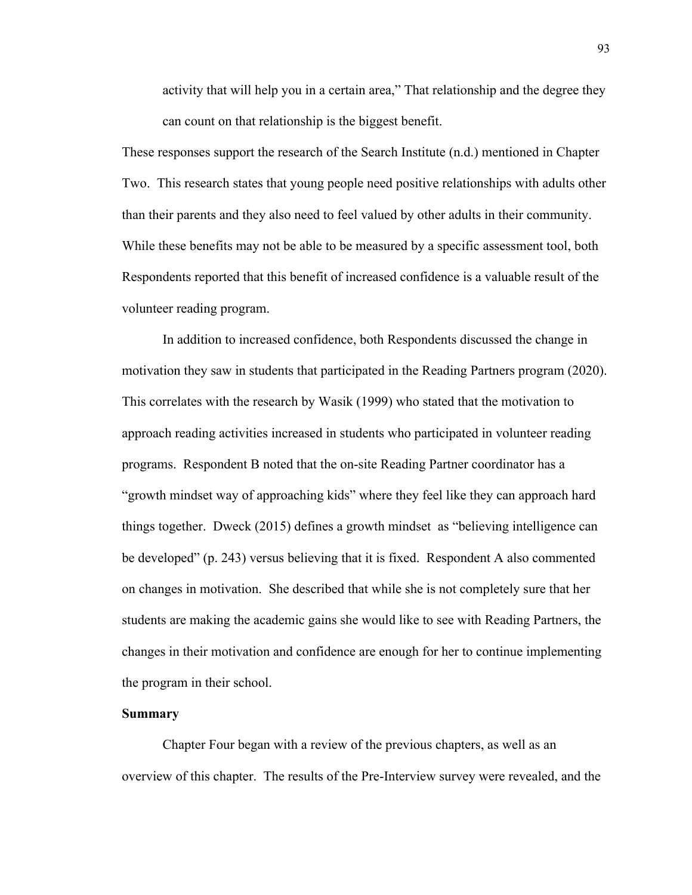activity that will help you in a certain area," That relationship and the degree they can count on that relationship is the biggest benefit.

These responses support the research of the Search Institute (n.d.) mentioned in Chapter Two. This research states that young people need positive relationships with adults other than their parents and they also need to feel valued by other adults in their community. While these benefits may not be able to be measured by a specific assessment tool, both Respondents reported that this benefit of increased confidence is a valuable result of the volunteer reading program.

In addition to increased confidence, both Respondents discussed the change in motivation they saw in students that participated in the Reading Partners program (2020). This correlates with the research by Wasik (1999) who stated that the motivation to approach reading activities increased in students who participated in volunteer reading programs. Respondent B noted that the on-site Reading Partner coordinator has a "growth mindset way of approaching kids" where they feel like they can approach hard things together. Dweck (2015) defines a growth mindset as "believing intelligence can be developed" (p. 243) versus believing that it is fixed. Respondent A also commented on changes in motivation. She described that while she is not completely sure that her students are making the academic gains she would like to see with Reading Partners, the changes in their motivation and confidence are enough for her to continue implementing the program in their school.

## **Summary**

Chapter Four began with a review of the previous chapters, as well as an overview of this chapter. The results of the Pre-Interview survey were revealed, and the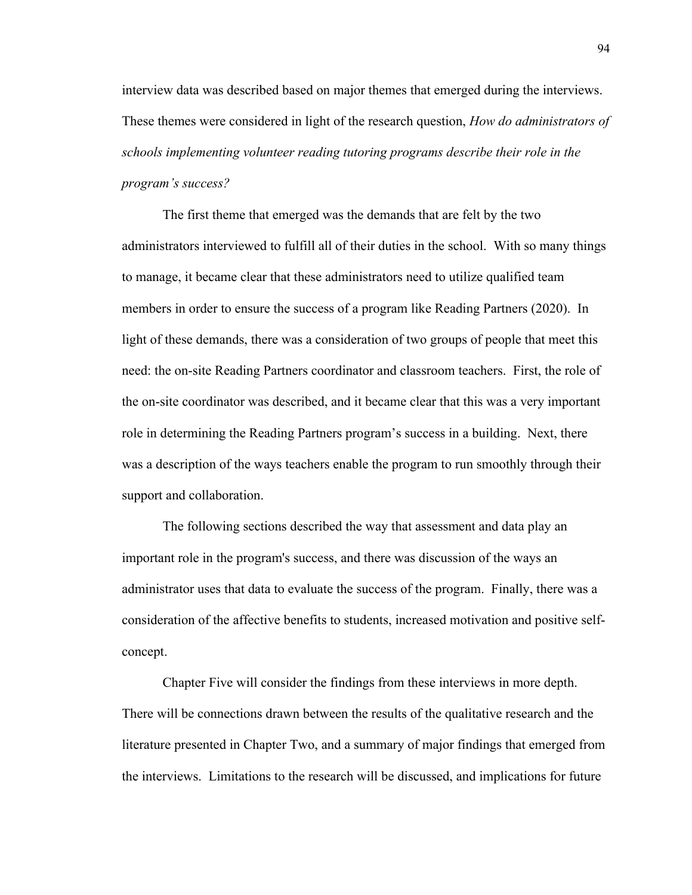interview data was described based on major themes that emerged during the interviews. These themes were considered in light of the research question, *How do administrators of schools implementing volunteer reading tutoring programs describe their role in the program's success?* 

The first theme that emerged was the demands that are felt by the two administrators interviewed to fulfill all of their duties in the school. With so many things to manage, it became clear that these administrators need to utilize qualified team members in order to ensure the success of a program like Reading Partners (2020). In light of these demands, there was a consideration of two groups of people that meet this need: the on-site Reading Partners coordinator and classroom teachers. First, the role of the on-site coordinator was described, and it became clear that this was a very important role in determining the Reading Partners program's success in a building. Next, there was a description of the ways teachers enable the program to run smoothly through their support and collaboration.

The following sections described the way that assessment and data play an important role in the program's success, and there was discussion of the ways an administrator uses that data to evaluate the success of the program. Finally, there was a consideration of the affective benefits to students, increased motivation and positive selfconcept.

Chapter Five will consider the findings from these interviews in more depth. There will be connections drawn between the results of the qualitative research and the literature presented in Chapter Two, and a summary of major findings that emerged from the interviews. Limitations to the research will be discussed, and implications for future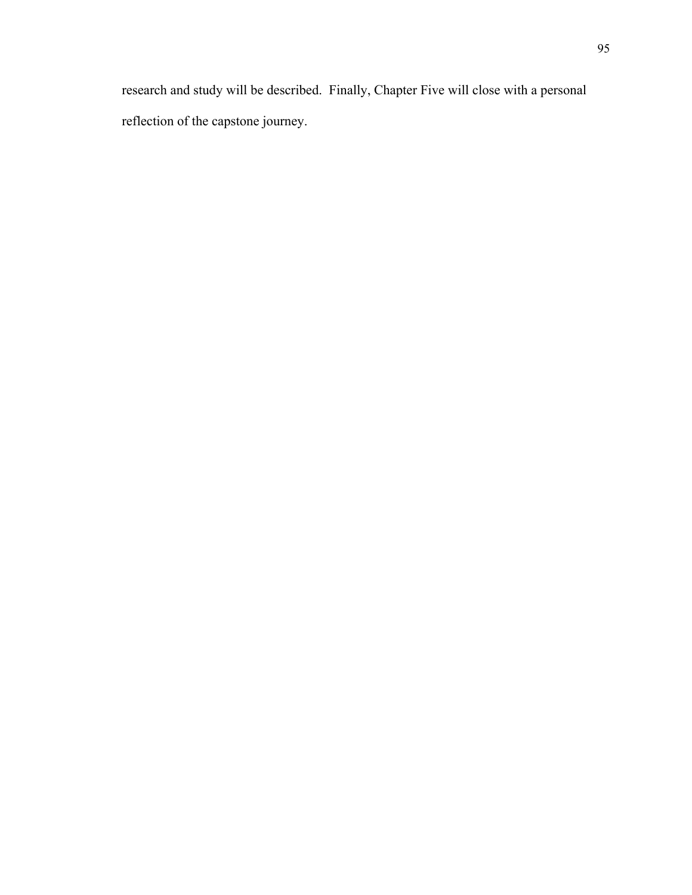research and study will be described. Finally, Chapter Five will close with a personal reflection of the capstone journey.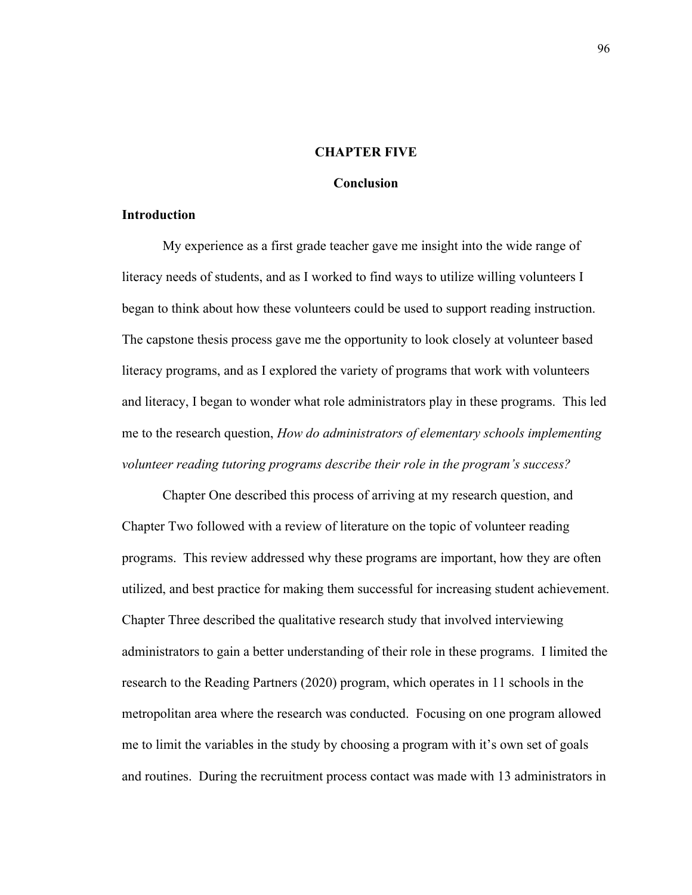### **CHAPTER FIVE**

## **Conclusion**

### **Introduction**

My experience as a first grade teacher gave me insight into the wide range of literacy needs of students, and as I worked to find ways to utilize willing volunteers I began to think about how these volunteers could be used to support reading instruction. The capstone thesis process gave me the opportunity to look closely at volunteer based literacy programs, and as I explored the variety of programs that work with volunteers and literacy, I began to wonder what role administrators play in these programs. This led me to the research question, *How do administrators of elementary schools implementing volunteer reading tutoring programs describe their role in the program's success?*

Chapter One described this process of arriving at my research question, and Chapter Two followed with a review of literature on the topic of volunteer reading programs. This review addressed why these programs are important, how they are often utilized, and best practice for making them successful for increasing student achievement. Chapter Three described the qualitative research study that involved interviewing administrators to gain a better understanding of their role in these programs. I limited the research to the Reading Partners (2020) program, which operates in 11 schools in the metropolitan area where the research was conducted. Focusing on one program allowed me to limit the variables in the study by choosing a program with it's own set of goals and routines. During the recruitment process contact was made with 13 administrators in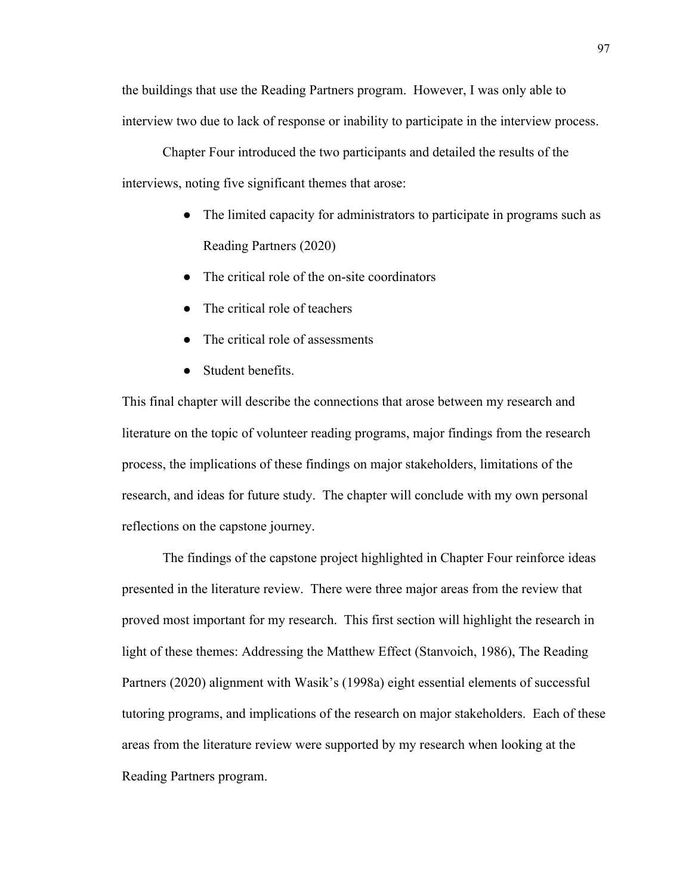the buildings that use the Reading Partners program. However, I was only able to interview two due to lack of response or inability to participate in the interview process.

Chapter Four introduced the two participants and detailed the results of the interviews, noting five significant themes that arose:

- The limited capacity for administrators to participate in programs such as Reading Partners (2020)
- The critical role of the on-site coordinators
- The critical role of teachers
- The critical role of assessments
- Student benefits.

This final chapter will describe the connections that arose between my research and literature on the topic of volunteer reading programs, major findings from the research process, the implications of these findings on major stakeholders, limitations of the research, and ideas for future study. The chapter will conclude with my own personal reflections on the capstone journey.

The findings of the capstone project highlighted in Chapter Four reinforce ideas presented in the literature review. There were three major areas from the review that proved most important for my research. This first section will highlight the research in light of these themes: Addressing the Matthew Effect (Stanvoich, 1986), The Reading Partners (2020) alignment with Wasik's (1998a) eight essential elements of successful tutoring programs, and implications of the research on major stakeholders. Each of these areas from the literature review were supported by my research when looking at the Reading Partners program.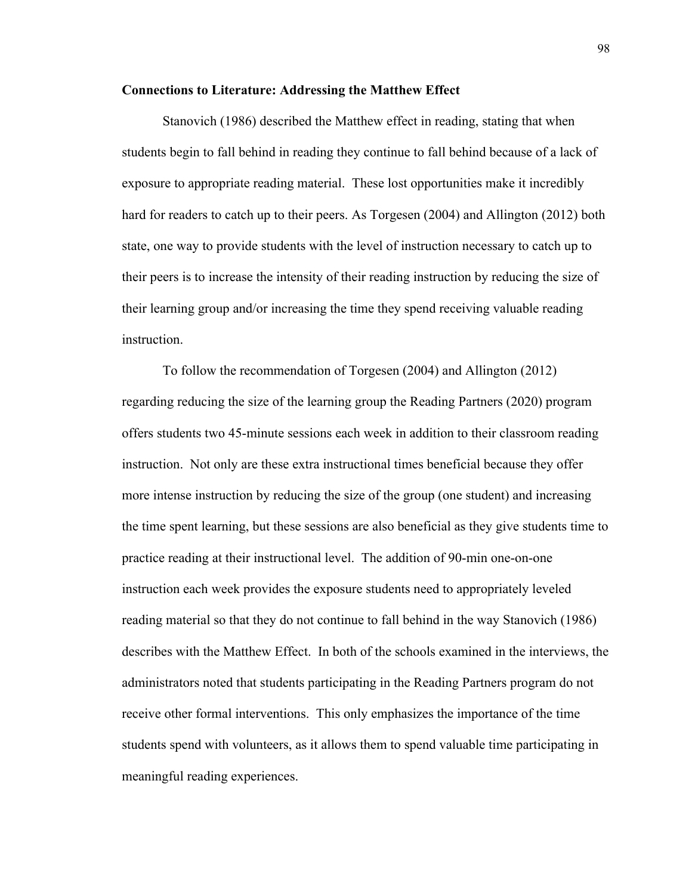### **Connections to Literature: Addressing the Matthew Effect**

Stanovich (1986) described the Matthew effect in reading, stating that when students begin to fall behind in reading they continue to fall behind because of a lack of exposure to appropriate reading material. These lost opportunities make it incredibly hard for readers to catch up to their peers. As Torgesen (2004) and Allington (2012) both state, one way to provide students with the level of instruction necessary to catch up to their peers is to increase the intensity of their reading instruction by reducing the size of their learning group and/or increasing the time they spend receiving valuable reading instruction.

To follow the recommendation of Torgesen (2004) and Allington (2012) regarding reducing the size of the learning group the Reading Partners (2020) program offers students two 45-minute sessions each week in addition to their classroom reading instruction. Not only are these extra instructional times beneficial because they offer more intense instruction by reducing the size of the group (one student) and increasing the time spent learning, but these sessions are also beneficial as they give students time to practice reading at their instructional level. The addition of 90-min one-on-one instruction each week provides the exposure students need to appropriately leveled reading material so that they do not continue to fall behind in the way Stanovich (1986) describes with the Matthew Effect. In both of the schools examined in the interviews, the administrators noted that students participating in the Reading Partners program do not receive other formal interventions. This only emphasizes the importance of the time students spend with volunteers, as it allows them to spend valuable time participating in meaningful reading experiences.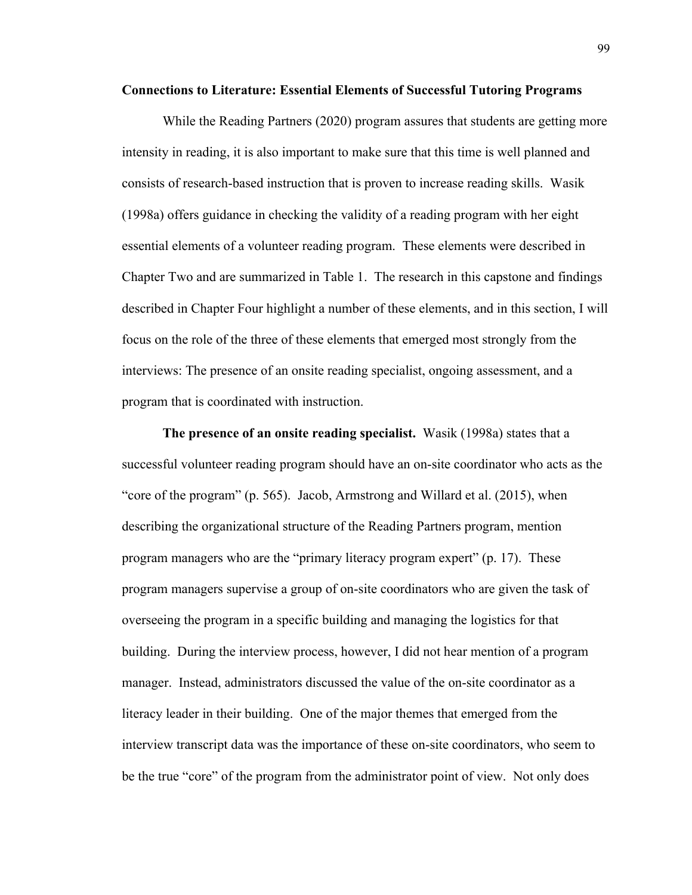#### **Connections to Literature: Essential Elements of Successful Tutoring Programs**

While the Reading Partners (2020) program assures that students are getting more intensity in reading, it is also important to make sure that this time is well planned and consists of research-based instruction that is proven to increase reading skills. Wasik (1998a) offers guidance in checking the validity of a reading program with her eight essential elements of a volunteer reading program. These elements were described in Chapter Two and are summarized in Table 1. The research in this capstone and findings described in Chapter Four highlight a number of these elements, and in this section, I will focus on the role of the three of these elements that emerged most strongly from the interviews: The presence of an onsite reading specialist, ongoing assessment, and a program that is coordinated with instruction.

**The presence of an onsite reading specialist.** Wasik (1998a) states that a successful volunteer reading program should have an on-site coordinator who acts as the "core of the program" (p. 565). Jacob, Armstrong and Willard et al. (2015), when describing the organizational structure of the Reading Partners program, mention program managers who are the "primary literacy program expert" (p. 17). These program managers supervise a group of on-site coordinators who are given the task of overseeing the program in a specific building and managing the logistics for that building. During the interview process, however, I did not hear mention of a program manager. Instead, administrators discussed the value of the on-site coordinator as a literacy leader in their building. One of the major themes that emerged from the interview transcript data was the importance of these on-site coordinators, who seem to be the true "core" of the program from the administrator point of view. Not only does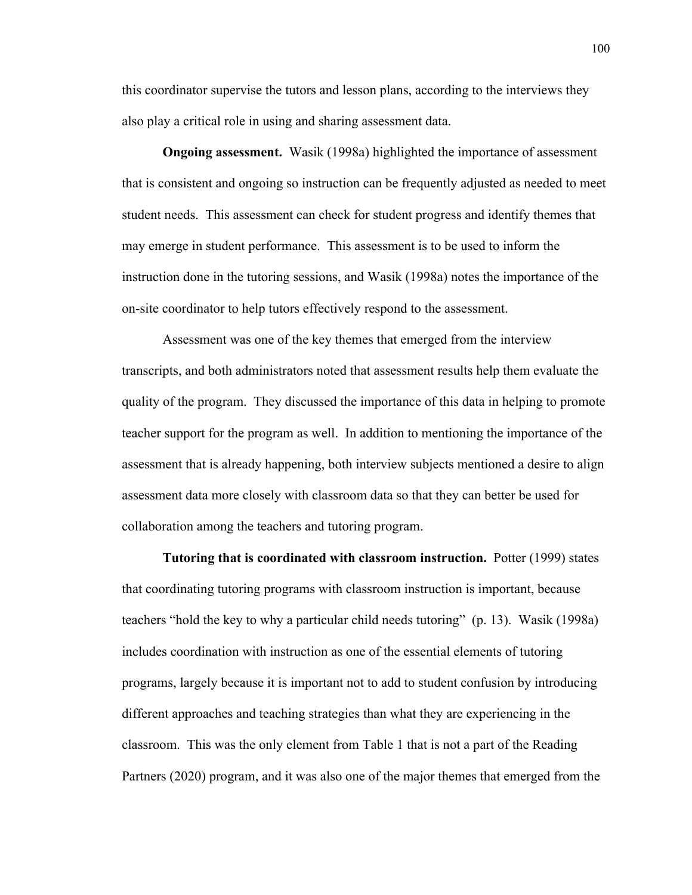this coordinator supervise the tutors and lesson plans, according to the interviews they also play a critical role in using and sharing assessment data.

**Ongoing assessment.** Wasik (1998a) highlighted the importance of assessment that is consistent and ongoing so instruction can be frequently adjusted as needed to meet student needs. This assessment can check for student progress and identify themes that may emerge in student performance. This assessment is to be used to inform the instruction done in the tutoring sessions, and Wasik (1998a) notes the importance of the on-site coordinator to help tutors effectively respond to the assessment.

Assessment was one of the key themes that emerged from the interview transcripts, and both administrators noted that assessment results help them evaluate the quality of the program. They discussed the importance of this data in helping to promote teacher support for the program as well. In addition to mentioning the importance of the assessment that is already happening, both interview subjects mentioned a desire to align assessment data more closely with classroom data so that they can better be used for collaboration among the teachers and tutoring program.

**Tutoring that is coordinated with classroom instruction.** Potter (1999) states that coordinating tutoring programs with classroom instruction is important, because teachers "hold the key to why a particular child needs tutoring" (p. 13). Wasik (1998a) includes coordination with instruction as one of the essential elements of tutoring programs, largely because it is important not to add to student confusion by introducing different approaches and teaching strategies than what they are experiencing in the classroom. This was the only element from Table 1 that is not a part of the Reading Partners (2020) program, and it was also one of the major themes that emerged from the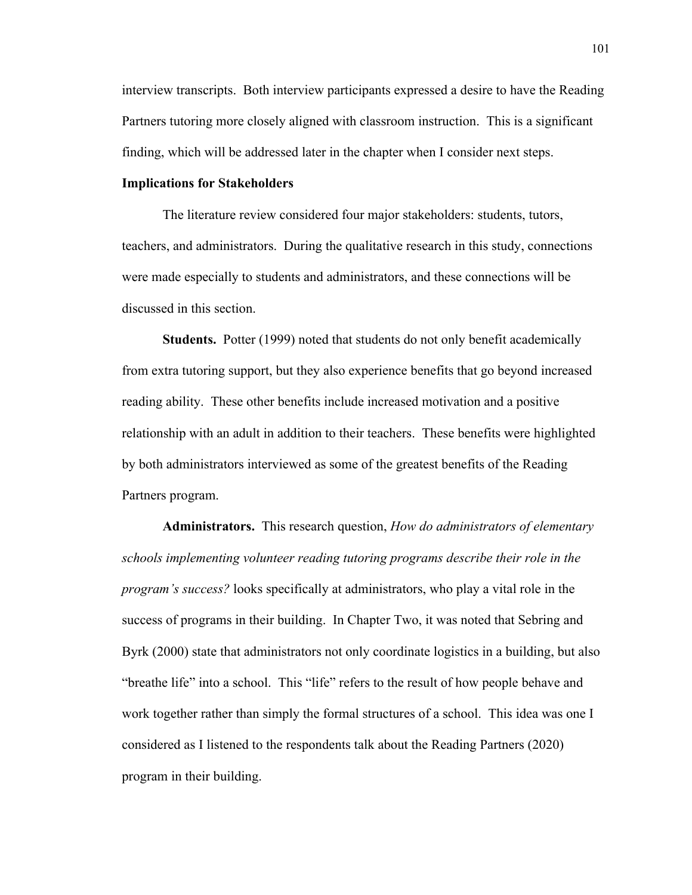interview transcripts. Both interview participants expressed a desire to have the Reading Partners tutoring more closely aligned with classroom instruction. This is a significant finding, which will be addressed later in the chapter when I consider next steps.

## **Implications for Stakeholders**

The literature review considered four major stakeholders: students, tutors, teachers, and administrators. During the qualitative research in this study, connections were made especially to students and administrators, and these connections will be discussed in this section.

**Students.** Potter (1999) noted that students do not only benefit academically from extra tutoring support, but they also experience benefits that go beyond increased reading ability. These other benefits include increased motivation and a positive relationship with an adult in addition to their teachers. These benefits were highlighted by both administrators interviewed as some of the greatest benefits of the Reading Partners program.

**Administrators.** This research question, *How do administrators of elementary schools implementing volunteer reading tutoring programs describe their role in the program's success?* looks specifically at administrators, who play a vital role in the success of programs in their building. In Chapter Two, it was noted that Sebring and Byrk (2000) state that administrators not only coordinate logistics in a building, but also "breathe life" into a school. This "life" refers to the result of how people behave and work together rather than simply the formal structures of a school. This idea was one I considered as I listened to the respondents talk about the Reading Partners (2020) program in their building.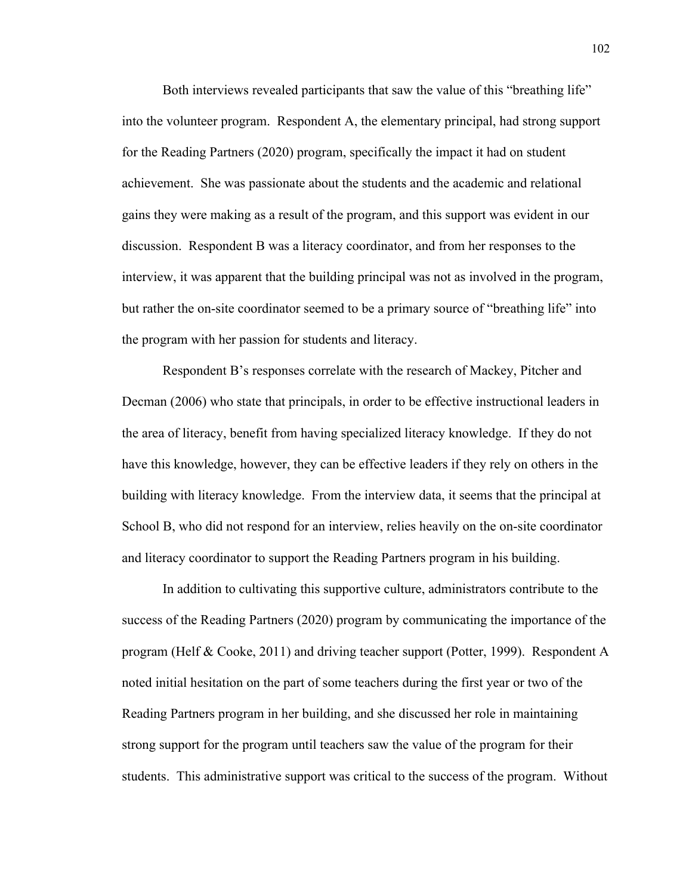Both interviews revealed participants that saw the value of this "breathing life" into the volunteer program. Respondent A, the elementary principal, had strong support for the Reading Partners (2020) program, specifically the impact it had on student achievement. She was passionate about the students and the academic and relational gains they were making as a result of the program, and this support was evident in our discussion. Respondent B was a literacy coordinator, and from her responses to the interview, it was apparent that the building principal was not as involved in the program, but rather the on-site coordinator seemed to be a primary source of "breathing life" into the program with her passion for students and literacy.

Respondent B's responses correlate with the research of Mackey, Pitcher and Decman (2006) who state that principals, in order to be effective instructional leaders in the area of literacy, benefit from having specialized literacy knowledge. If they do not have this knowledge, however, they can be effective leaders if they rely on others in the building with literacy knowledge. From the interview data, it seems that the principal at School B, who did not respond for an interview, relies heavily on the on-site coordinator and literacy coordinator to support the Reading Partners program in his building.

In addition to cultivating this supportive culture, administrators contribute to the success of the Reading Partners (2020) program by communicating the importance of the program (Helf & Cooke, 2011) and driving teacher support (Potter, 1999). Respondent A noted initial hesitation on the part of some teachers during the first year or two of the Reading Partners program in her building, and she discussed her role in maintaining strong support for the program until teachers saw the value of the program for their students. This administrative support was critical to the success of the program. Without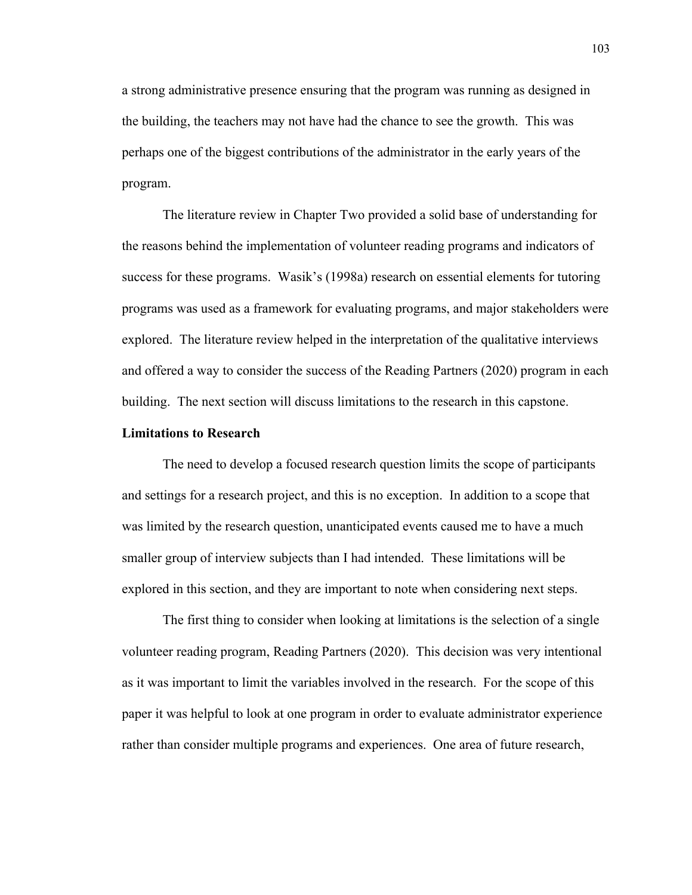a strong administrative presence ensuring that the program was running as designed in the building, the teachers may not have had the chance to see the growth. This was perhaps one of the biggest contributions of the administrator in the early years of the program.

The literature review in Chapter Two provided a solid base of understanding for the reasons behind the implementation of volunteer reading programs and indicators of success for these programs. Wasik's (1998a) research on essential elements for tutoring programs was used as a framework for evaluating programs, and major stakeholders were explored. The literature review helped in the interpretation of the qualitative interviews and offered a way to consider the success of the Reading Partners (2020) program in each building. The next section will discuss limitations to the research in this capstone.

### **Limitations to Research**

The need to develop a focused research question limits the scope of participants and settings for a research project, and this is no exception. In addition to a scope that was limited by the research question, unanticipated events caused me to have a much smaller group of interview subjects than I had intended. These limitations will be explored in this section, and they are important to note when considering next steps.

The first thing to consider when looking at limitations is the selection of a single volunteer reading program, Reading Partners (2020). This decision was very intentional as it was important to limit the variables involved in the research. For the scope of this paper it was helpful to look at one program in order to evaluate administrator experience rather than consider multiple programs and experiences. One area of future research,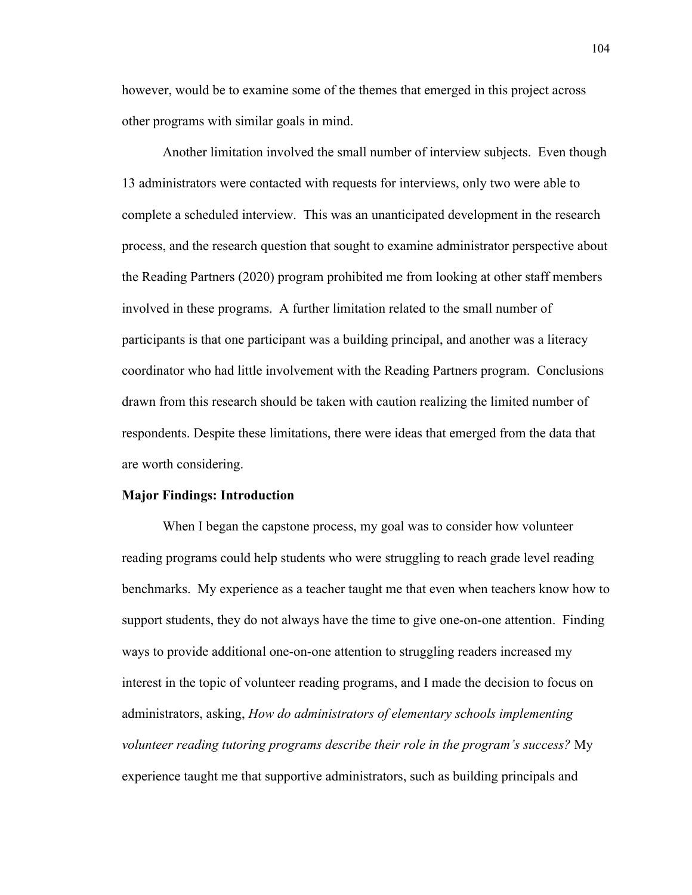however, would be to examine some of the themes that emerged in this project across other programs with similar goals in mind.

Another limitation involved the small number of interview subjects. Even though 13 administrators were contacted with requests for interviews, only two were able to complete a scheduled interview. This was an unanticipated development in the research process, and the research question that sought to examine administrator perspective about the Reading Partners (2020) program prohibited me from looking at other staff members involved in these programs. A further limitation related to the small number of participants is that one participant was a building principal, and another was a literacy coordinator who had little involvement with the Reading Partners program. Conclusions drawn from this research should be taken with caution realizing the limited number of respondents. Despite these limitations, there were ideas that emerged from the data that are worth considering.

#### **Major Findings: Introduction**

When I began the capstone process, my goal was to consider how volunteer reading programs could help students who were struggling to reach grade level reading benchmarks. My experience as a teacher taught me that even when teachers know how to support students, they do not always have the time to give one-on-one attention. Finding ways to provide additional one-on-one attention to struggling readers increased my interest in the topic of volunteer reading programs, and I made the decision to focus on administrators, asking, *How do administrators of elementary schools implementing volunteer reading tutoring programs describe their role in the program's success?* My experience taught me that supportive administrators, such as building principals and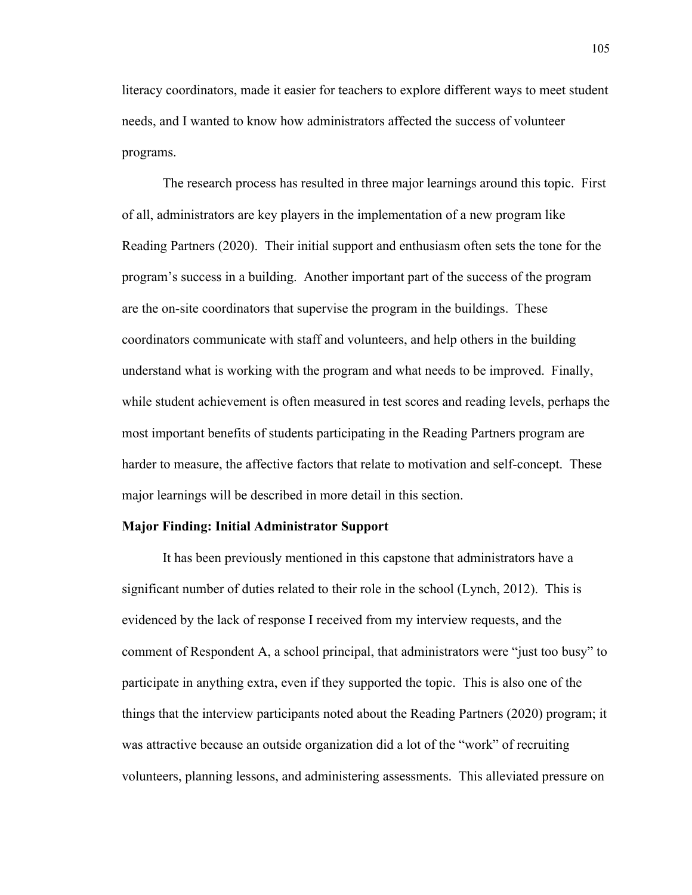literacy coordinators, made it easier for teachers to explore different ways to meet student needs, and I wanted to know how administrators affected the success of volunteer programs.

The research process has resulted in three major learnings around this topic. First of all, administrators are key players in the implementation of a new program like Reading Partners (2020). Their initial support and enthusiasm often sets the tone for the program's success in a building. Another important part of the success of the program are the on-site coordinators that supervise the program in the buildings. These coordinators communicate with staff and volunteers, and help others in the building understand what is working with the program and what needs to be improved. Finally, while student achievement is often measured in test scores and reading levels, perhaps the most important benefits of students participating in the Reading Partners program are harder to measure, the affective factors that relate to motivation and self-concept. These major learnings will be described in more detail in this section.

# **Major Finding: Initial Administrator Support**

It has been previously mentioned in this capstone that administrators have a significant number of duties related to their role in the school (Lynch, 2012). This is evidenced by the lack of response I received from my interview requests, and the comment of Respondent A, a school principal, that administrators were "just too busy" to participate in anything extra, even if they supported the topic. This is also one of the things that the interview participants noted about the Reading Partners (2020) program; it was attractive because an outside organization did a lot of the "work" of recruiting volunteers, planning lessons, and administering assessments. This alleviated pressure on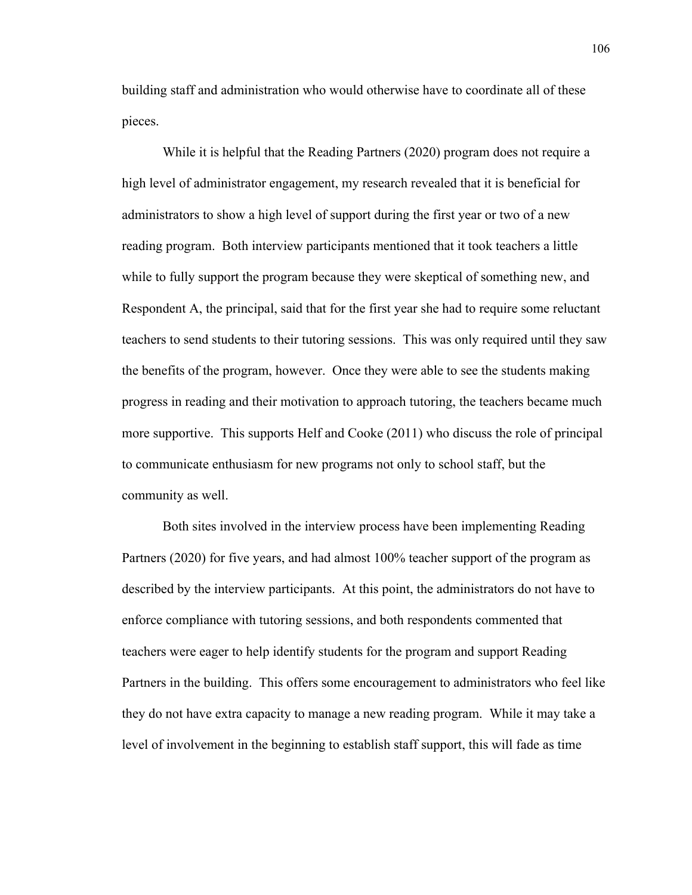building staff and administration who would otherwise have to coordinate all of these pieces.

While it is helpful that the Reading Partners (2020) program does not require a high level of administrator engagement, my research revealed that it is beneficial for administrators to show a high level of support during the first year or two of a new reading program. Both interview participants mentioned that it took teachers a little while to fully support the program because they were skeptical of something new, and Respondent A, the principal, said that for the first year she had to require some reluctant teachers to send students to their tutoring sessions. This was only required until they saw the benefits of the program, however. Once they were able to see the students making progress in reading and their motivation to approach tutoring, the teachers became much more supportive. This supports Helf and Cooke (2011) who discuss the role of principal to communicate enthusiasm for new programs not only to school staff, but the community as well.

Both sites involved in the interview process have been implementing Reading Partners (2020) for five years, and had almost 100% teacher support of the program as described by the interview participants. At this point, the administrators do not have to enforce compliance with tutoring sessions, and both respondents commented that teachers were eager to help identify students for the program and support Reading Partners in the building. This offers some encouragement to administrators who feel like they do not have extra capacity to manage a new reading program. While it may take a level of involvement in the beginning to establish staff support, this will fade as time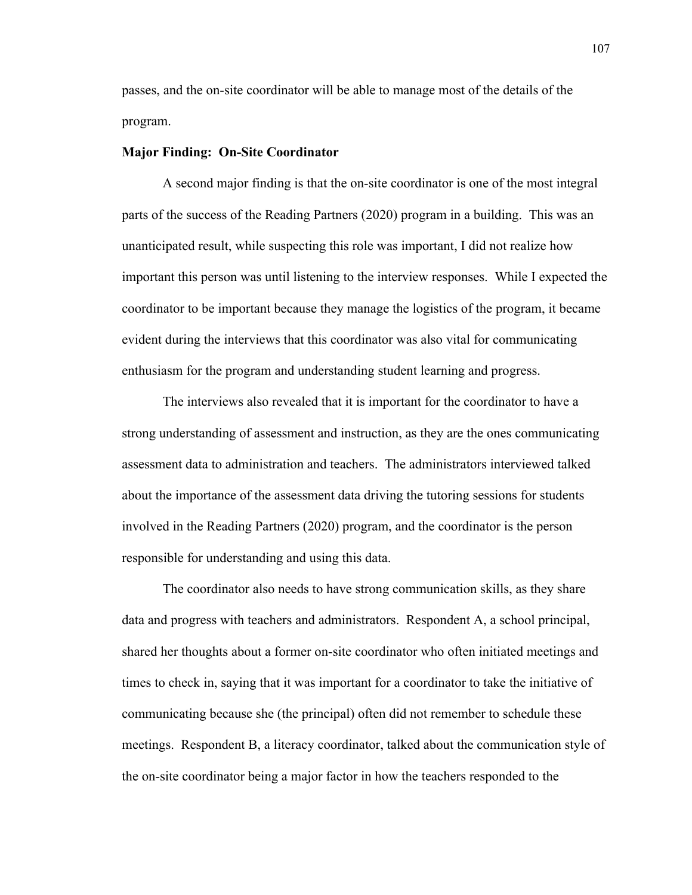passes, and the on-site coordinator will be able to manage most of the details of the program.

### **Major Finding: On-Site Coordinator**

A second major finding is that the on-site coordinator is one of the most integral parts of the success of the Reading Partners (2020) program in a building. This was an unanticipated result, while suspecting this role was important, I did not realize how important this person was until listening to the interview responses. While I expected the coordinator to be important because they manage the logistics of the program, it became evident during the interviews that this coordinator was also vital for communicating enthusiasm for the program and understanding student learning and progress.

The interviews also revealed that it is important for the coordinator to have a strong understanding of assessment and instruction, as they are the ones communicating assessment data to administration and teachers. The administrators interviewed talked about the importance of the assessment data driving the tutoring sessions for students involved in the Reading Partners (2020) program, and the coordinator is the person responsible for understanding and using this data.

The coordinator also needs to have strong communication skills, as they share data and progress with teachers and administrators. Respondent A, a school principal, shared her thoughts about a former on-site coordinator who often initiated meetings and times to check in, saying that it was important for a coordinator to take the initiative of communicating because she (the principal) often did not remember to schedule these meetings. Respondent B, a literacy coordinator, talked about the communication style of the on-site coordinator being a major factor in how the teachers responded to the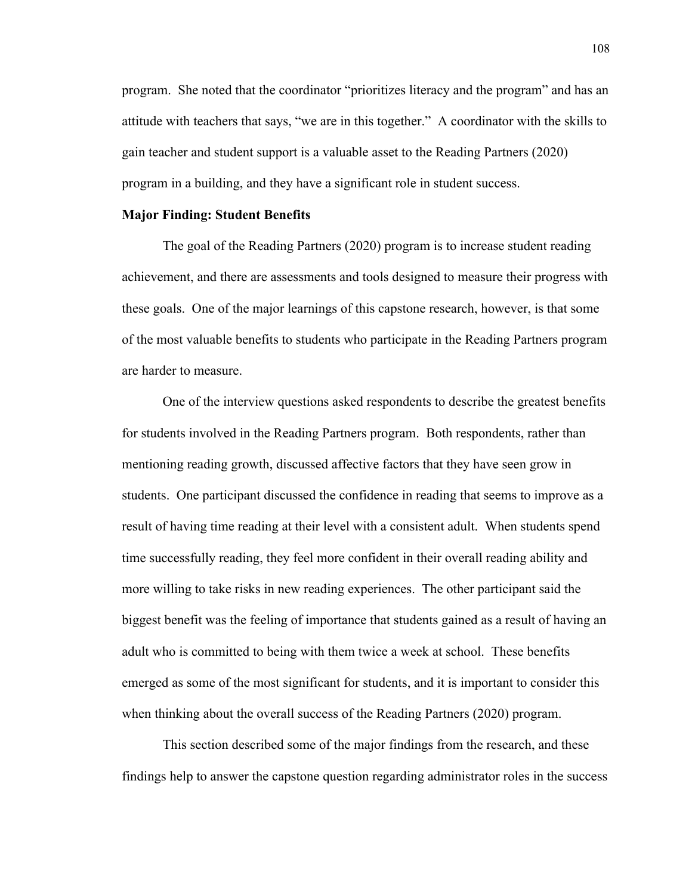program. She noted that the coordinator "prioritizes literacy and the program" and has an attitude with teachers that says, "we are in this together." A coordinator with the skills to gain teacher and student support is a valuable asset to the Reading Partners (2020) program in a building, and they have a significant role in student success.

## **Major Finding: Student Benefits**

The goal of the Reading Partners (2020) program is to increase student reading achievement, and there are assessments and tools designed to measure their progress with these goals. One of the major learnings of this capstone research, however, is that some of the most valuable benefits to students who participate in the Reading Partners program are harder to measure.

One of the interview questions asked respondents to describe the greatest benefits for students involved in the Reading Partners program. Both respondents, rather than mentioning reading growth, discussed affective factors that they have seen grow in students. One participant discussed the confidence in reading that seems to improve as a result of having time reading at their level with a consistent adult. When students spend time successfully reading, they feel more confident in their overall reading ability and more willing to take risks in new reading experiences. The other participant said the biggest benefit was the feeling of importance that students gained as a result of having an adult who is committed to being with them twice a week at school. These benefits emerged as some of the most significant for students, and it is important to consider this when thinking about the overall success of the Reading Partners (2020) program.

This section described some of the major findings from the research, and these findings help to answer the capstone question regarding administrator roles in the success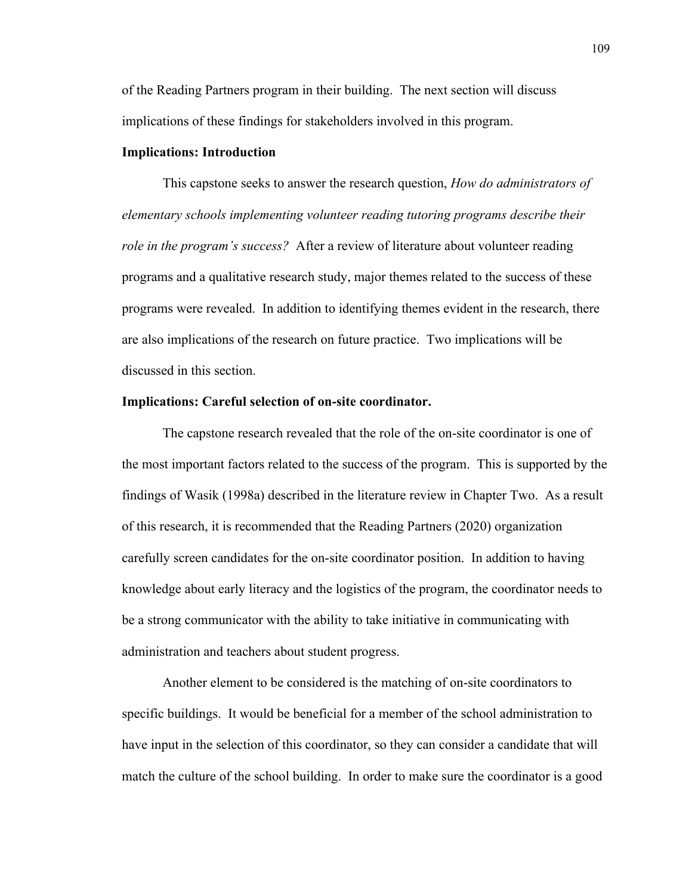of the Reading Partners program in their building. The next section will discuss implications of these findings for stakeholders involved in this program.

## **Implications: Introduction**

This capstone seeks to answer the research question, *How do administrators of elementary schools implementing volunteer reading tutoring programs describe their role in the program's success?* After a review of literature about volunteer reading programs and a qualitative research study, major themes related to the success of these programs were revealed. In addition to identifying themes evident in the research, there are also implications of the research on future practice. Two implications will be discussed in this section.

#### **Implications: Careful selection of on-site coordinator.**

The capstone research revealed that the role of the on-site coordinator is one of the most important factors related to the success of the program. This is supported by the findings of Wasik (1998a) described in the literature review in Chapter Two. As a result of this research, it is recommended that the Reading Partners (2020) organization carefully screen candidates for the on-site coordinator position. In addition to having knowledge about early literacy and the logistics of the program, the coordinator needs to be a strong communicator with the ability to take initiative in communicating with administration and teachers about student progress.

Another element to be considered is the matching of on-site coordinators to specific buildings. It would be beneficial for a member of the school administration to have input in the selection of this coordinator, so they can consider a candidate that will match the culture of the school building. In order to make sure the coordinator is a good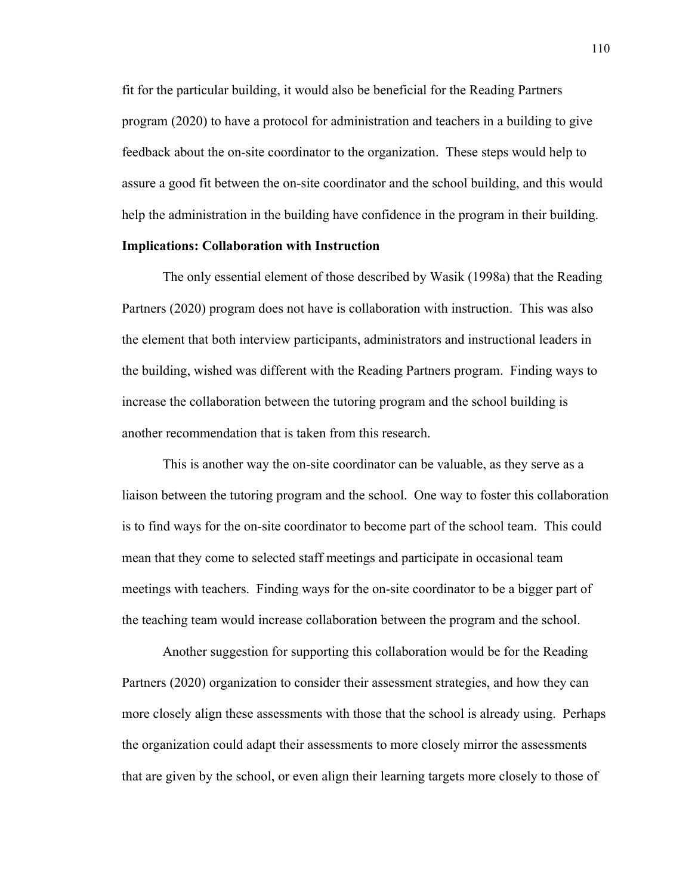fit for the particular building, it would also be beneficial for the Reading Partners program (2020) to have a protocol for administration and teachers in a building to give feedback about the on-site coordinator to the organization. These steps would help to assure a good fit between the on-site coordinator and the school building, and this would help the administration in the building have confidence in the program in their building.

## **Implications: Collaboration with Instruction**

The only essential element of those described by Wasik (1998a) that the Reading Partners (2020) program does not have is collaboration with instruction. This was also the element that both interview participants, administrators and instructional leaders in the building, wished was different with the Reading Partners program. Finding ways to increase the collaboration between the tutoring program and the school building is another recommendation that is taken from this research.

This is another way the on-site coordinator can be valuable, as they serve as a liaison between the tutoring program and the school. One way to foster this collaboration is to find ways for the on-site coordinator to become part of the school team. This could mean that they come to selected staff meetings and participate in occasional team meetings with teachers. Finding ways for the on-site coordinator to be a bigger part of the teaching team would increase collaboration between the program and the school.

Another suggestion for supporting this collaboration would be for the Reading Partners (2020) organization to consider their assessment strategies, and how they can more closely align these assessments with those that the school is already using. Perhaps the organization could adapt their assessments to more closely mirror the assessments that are given by the school, or even align their learning targets more closely to those of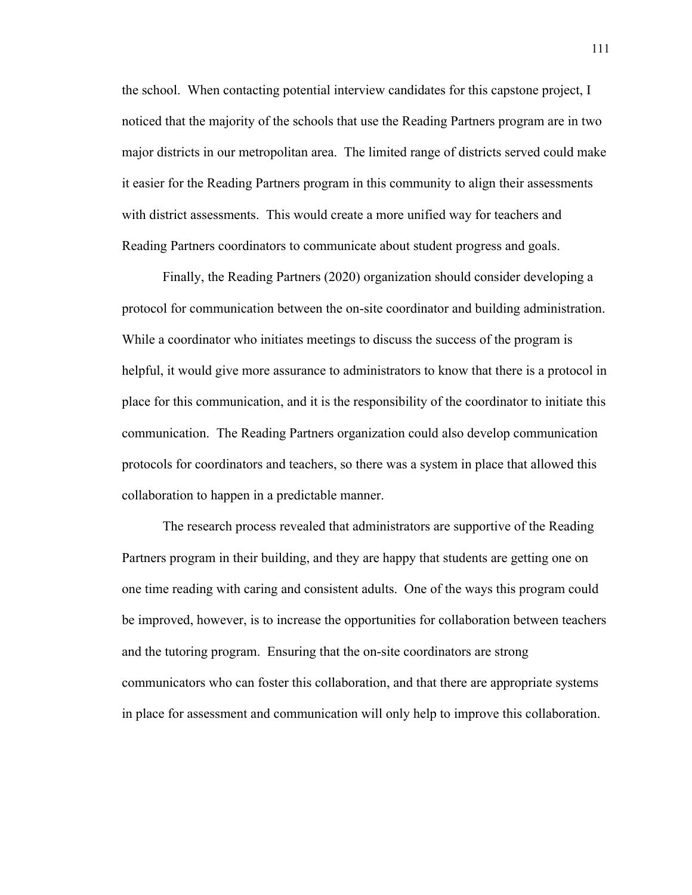the school. When contacting potential interview candidates for this capstone project, I noticed that the majority of the schools that use the Reading Partners program are in two major districts in our metropolitan area. The limited range of districts served could make it easier for the Reading Partners program in this community to align their assessments with district assessments. This would create a more unified way for teachers and Reading Partners coordinators to communicate about student progress and goals.

Finally, the Reading Partners (2020) organization should consider developing a protocol for communication between the on-site coordinator and building administration. While a coordinator who initiates meetings to discuss the success of the program is helpful, it would give more assurance to administrators to know that there is a protocol in place for this communication, and it is the responsibility of the coordinator to initiate this communication. The Reading Partners organization could also develop communication protocols for coordinators and teachers, so there was a system in place that allowed this collaboration to happen in a predictable manner.

The research process revealed that administrators are supportive of the Reading Partners program in their building, and they are happy that students are getting one on one time reading with caring and consistent adults. One of the ways this program could be improved, however, is to increase the opportunities for collaboration between teachers and the tutoring program. Ensuring that the on-site coordinators are strong communicators who can foster this collaboration, and that there are appropriate systems in place for assessment and communication will only help to improve this collaboration.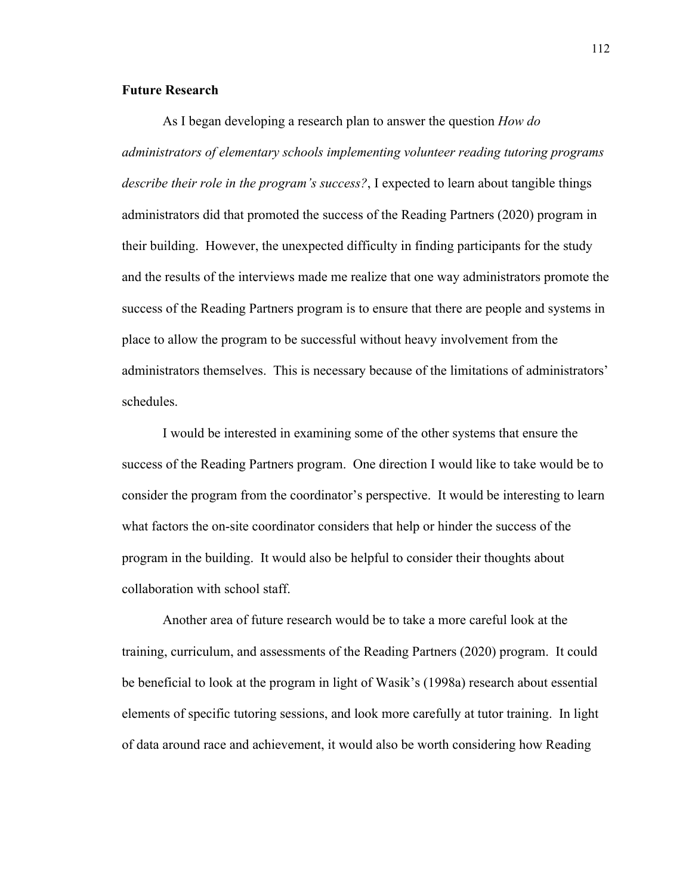## **Future Research**

As I began developing a research plan to answer the question *How do administrators of elementary schools implementing volunteer reading tutoring programs describe their role in the program's success?*, I expected to learn about tangible things administrators did that promoted the success of the Reading Partners (2020) program in their building. However, the unexpected difficulty in finding participants for the study and the results of the interviews made me realize that one way administrators promote the success of the Reading Partners program is to ensure that there are people and systems in place to allow the program to be successful without heavy involvement from the administrators themselves. This is necessary because of the limitations of administrators' schedules.

I would be interested in examining some of the other systems that ensure the success of the Reading Partners program. One direction I would like to take would be to consider the program from the coordinator's perspective. It would be interesting to learn what factors the on-site coordinator considers that help or hinder the success of the program in the building. It would also be helpful to consider their thoughts about collaboration with school staff.

Another area of future research would be to take a more careful look at the training, curriculum, and assessments of the Reading Partners (2020) program. It could be beneficial to look at the program in light of Wasik's (1998a) research about essential elements of specific tutoring sessions, and look more carefully at tutor training. In light of data around race and achievement, it would also be worth considering how Reading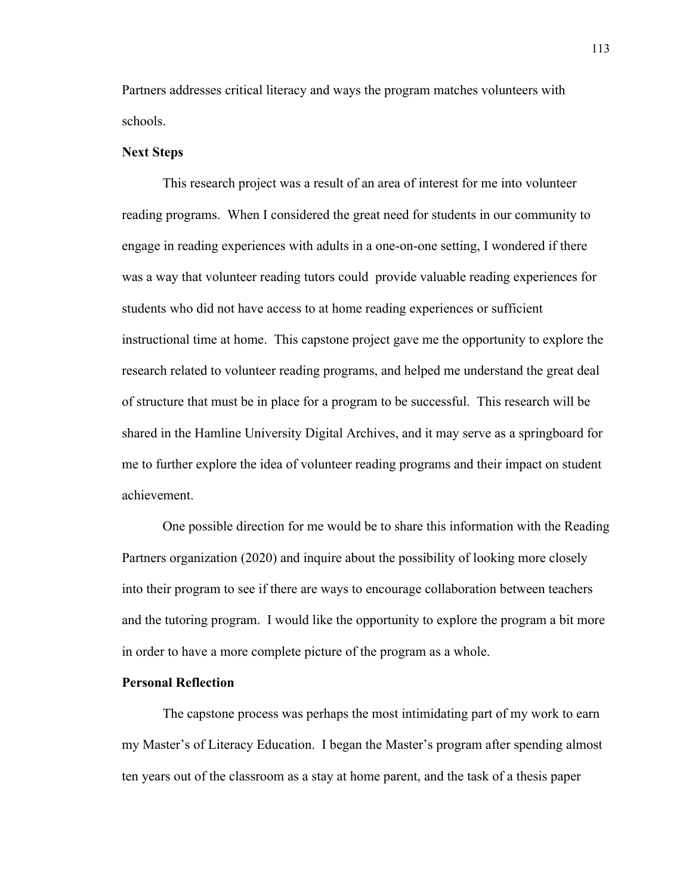Partners addresses critical literacy and ways the program matches volunteers with schools.

## **Next Steps**

This research project was a result of an area of interest for me into volunteer reading programs. When I considered the great need for students in our community to engage in reading experiences with adults in a one-on-one setting, I wondered if there was a way that volunteer reading tutors could provide valuable reading experiences for students who did not have access to at home reading experiences or sufficient instructional time at home. This capstone project gave me the opportunity to explore the research related to volunteer reading programs, and helped me understand the great deal of structure that must be in place for a program to be successful. This research will be shared in the Hamline University Digital Archives, and it may serve as a springboard for me to further explore the idea of volunteer reading programs and their impact on student achievement.

One possible direction for me would be to share this information with the Reading Partners organization (2020) and inquire about the possibility of looking more closely into their program to see if there are ways to encourage collaboration between teachers and the tutoring program. I would like the opportunity to explore the program a bit more in order to have a more complete picture of the program as a whole.

## **Personal Reflection**

The capstone process was perhaps the most intimidating part of my work to earn my Master's of Literacy Education. I began the Master's program after spending almost ten years out of the classroom as a stay at home parent, and the task of a thesis paper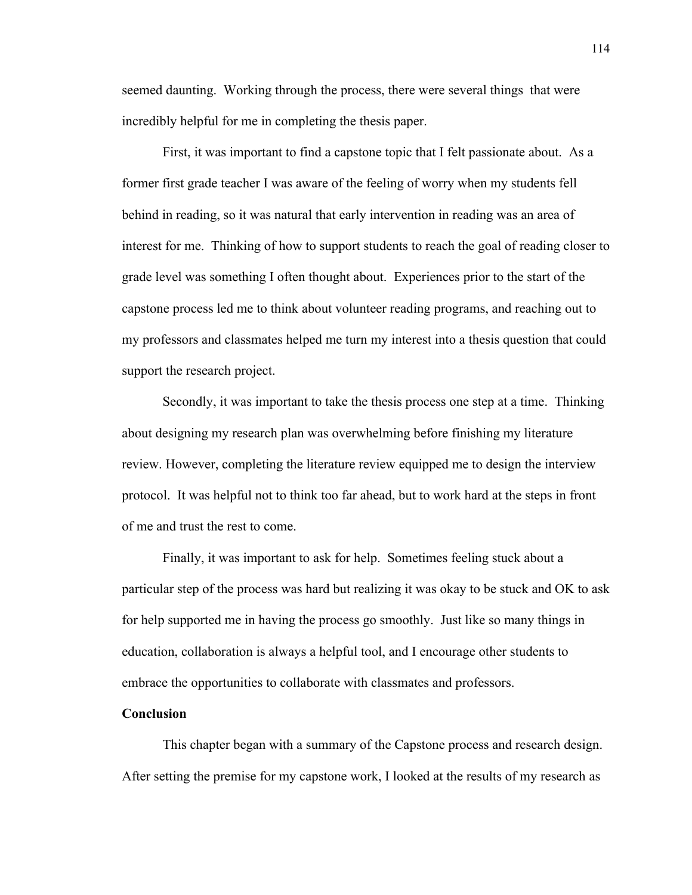seemed daunting. Working through the process, there were several things that were incredibly helpful for me in completing the thesis paper.

First, it was important to find a capstone topic that I felt passionate about. As a former first grade teacher I was aware of the feeling of worry when my students fell behind in reading, so it was natural that early intervention in reading was an area of interest for me. Thinking of how to support students to reach the goal of reading closer to grade level was something I often thought about. Experiences prior to the start of the capstone process led me to think about volunteer reading programs, and reaching out to my professors and classmates helped me turn my interest into a thesis question that could support the research project.

Secondly, it was important to take the thesis process one step at a time. Thinking about designing my research plan was overwhelming before finishing my literature review. However, completing the literature review equipped me to design the interview protocol. It was helpful not to think too far ahead, but to work hard at the steps in front of me and trust the rest to come.

Finally, it was important to ask for help. Sometimes feeling stuck about a particular step of the process was hard but realizing it was okay to be stuck and OK to ask for help supported me in having the process go smoothly. Just like so many things in education, collaboration is always a helpful tool, and I encourage other students to embrace the opportunities to collaborate with classmates and professors.

## **Conclusion**

This chapter began with a summary of the Capstone process and research design. After setting the premise for my capstone work, I looked at the results of my research as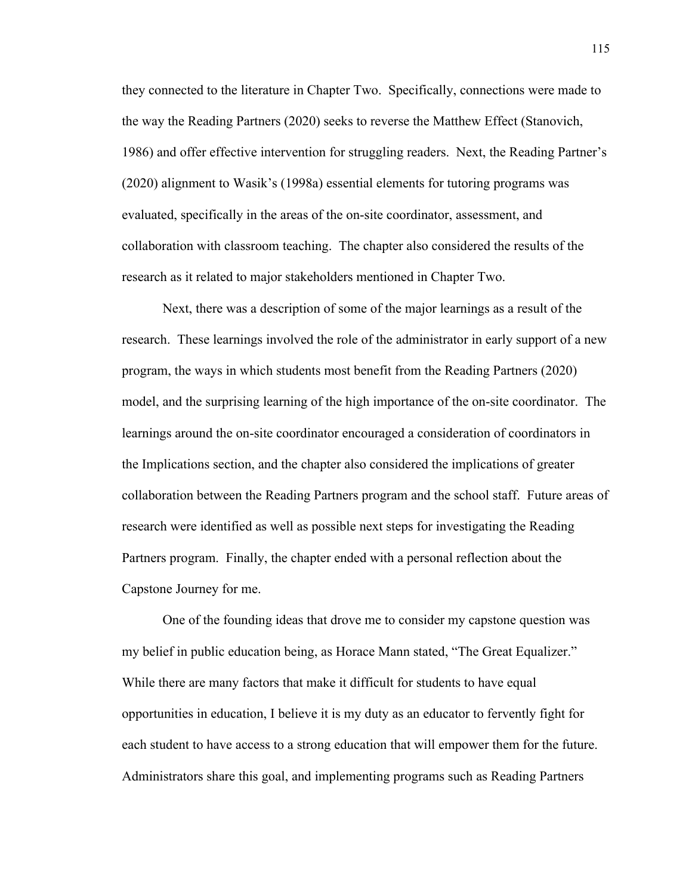they connected to the literature in Chapter Two. Specifically, connections were made to the way the Reading Partners (2020) seeks to reverse the Matthew Effect (Stanovich, 1986) and offer effective intervention for struggling readers. Next, the Reading Partner's (2020) alignment to Wasik's (1998a) essential elements for tutoring programs was evaluated, specifically in the areas of the on-site coordinator, assessment, and collaboration with classroom teaching. The chapter also considered the results of the research as it related to major stakeholders mentioned in Chapter Two.

Next, there was a description of some of the major learnings as a result of the research. These learnings involved the role of the administrator in early support of a new program, the ways in which students most benefit from the Reading Partners (2020) model, and the surprising learning of the high importance of the on-site coordinator. The learnings around the on-site coordinator encouraged a consideration of coordinators in the Implications section, and the chapter also considered the implications of greater collaboration between the Reading Partners program and the school staff. Future areas of research were identified as well as possible next steps for investigating the Reading Partners program. Finally, the chapter ended with a personal reflection about the Capstone Journey for me.

One of the founding ideas that drove me to consider my capstone question was my belief in public education being, as Horace Mann stated, "The Great Equalizer." While there are many factors that make it difficult for students to have equal opportunities in education, I believe it is my duty as an educator to fervently fight for each student to have access to a strong education that will empower them for the future. Administrators share this goal, and implementing programs such as Reading Partners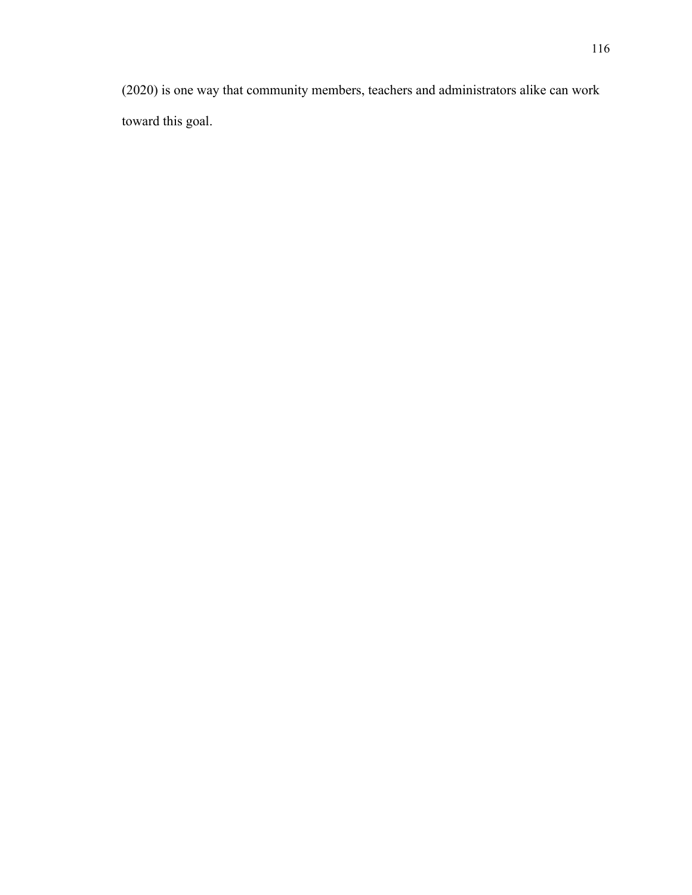(2020) is one way that community members, teachers and administrators alike can work toward this goal.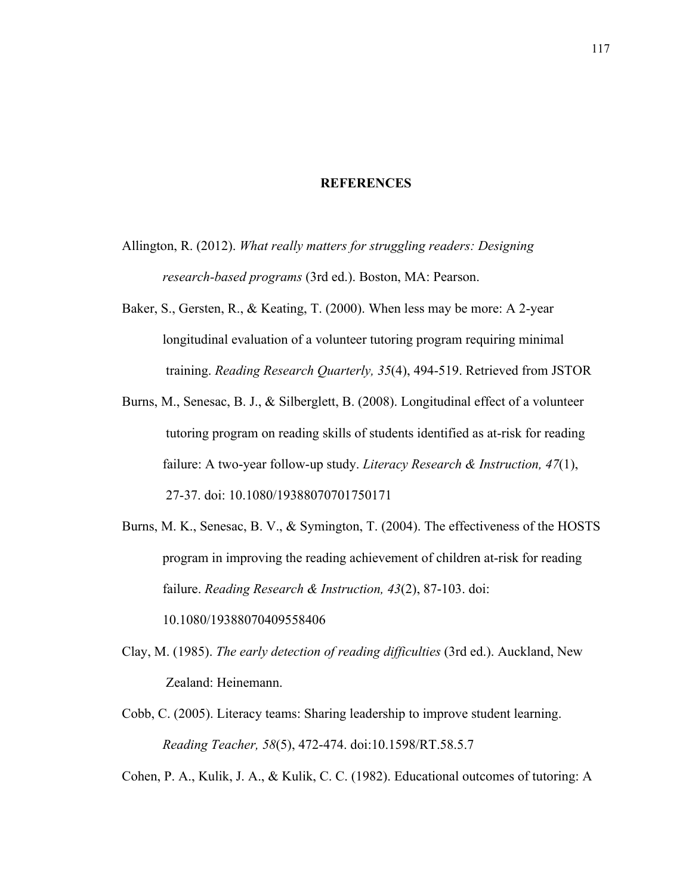## **REFERENCES**

- Allington, R. (2012). *What really matters for struggling readers: Designing research-based programs* (3rd ed.). Boston, MA: Pearson.
- Baker, S., Gersten, R., & Keating, T. (2000). When less may be more: A 2-year longitudinal evaluation of a volunteer tutoring program requiring minimal training. *Reading Research Quarterly, 35*(4), 494-519. Retrieved from JSTOR
- Burns, M., Senesac, B. J., & Silberglett, B. (2008). Longitudinal effect of a volunteer tutoring program on reading skills of students identified as at-risk for reading failure: A two-year follow-up study. *Literacy Research & Instruction, 47*(1), 27-37. doi: 10.1080/19388070701750171
- Burns, M. K., Senesac, B. V., & Symington, T. (2004). The effectiveness of the HOSTS program in improving the reading achievement of children at-risk for reading failure. *Reading Research & Instruction, 43*(2), 87-103. doi: 10.1080/19388070409558406
- Clay, M. (1985). *The early detection of reading difficulties* (3rd ed.). Auckland, New Zealand: Heinemann.
- Cobb, C. (2005). Literacy teams: Sharing leadership to improve student learning. *Reading Teacher, 58*(5), 472-474. doi:10.1598/RT.58.5.7

Cohen, P. A., Kulik, J. A., & Kulik, C. C. (1982). Educational outcomes of tutoring: A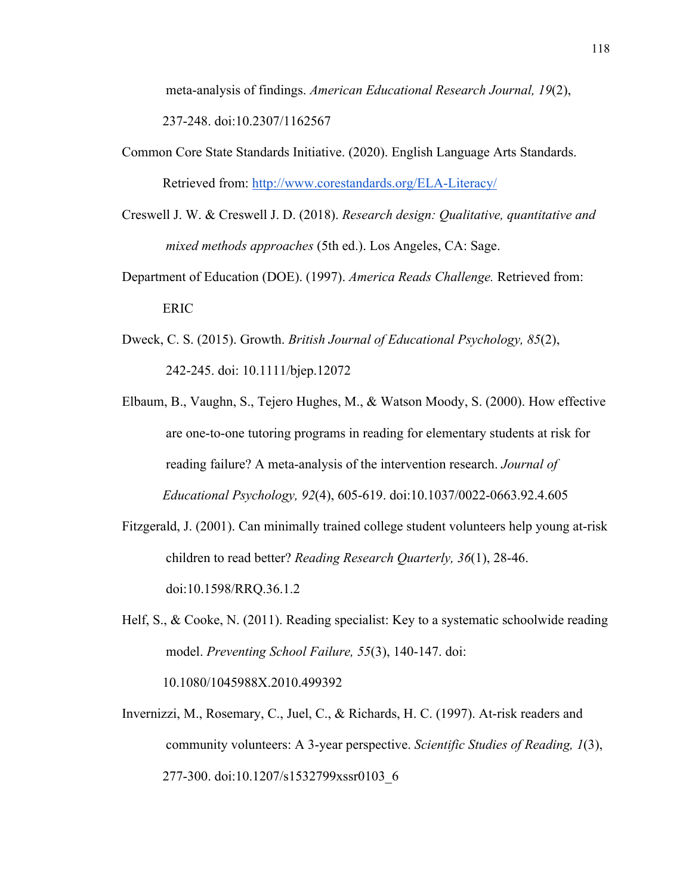meta-analysis of findings. *American Educational Research Journal, 19*(2), 237-248. doi:10.2307/1162567

- Common Core State Standards Initiative. (2020). English Language Arts Standards. Retrieved from: http://www.corestandards.org/ELA-Literacy/
- Creswell J. W. & Creswell J. D. (2018). *Research design: Qualitative, quantitative and mixed methods approaches* (5th ed.). Los Angeles, CA: Sage.
- Department of Education (DOE). (1997). *America Reads Challenge.* Retrieved from: ERIC
- Dweck, C. S. (2015). Growth. *British Journal of Educational Psychology, 85*(2), 242-245. doi: 10.1111/bjep.12072
- Elbaum, B., Vaughn, S., Tejero Hughes, M., & Watson Moody, S. (2000). How effective are one-to-one tutoring programs in reading for elementary students at risk for reading failure? A meta-analysis of the intervention research. *Journal of Educational Psychology, 92*(4), 605-619. doi:10.1037/0022-0663.92.4.605
- Fitzgerald, J. (2001). Can minimally trained college student volunteers help young at-risk children to read better? *Reading Research Quarterly, 36*(1), 28-46. doi:10.1598/RRQ.36.1.2
- Helf, S., & Cooke, N. (2011). Reading specialist: Key to a systematic schoolwide reading model. *Preventing School Failure, 55*(3), 140-147. doi: 10.1080/1045988X.2010.499392
- Invernizzi, M., Rosemary, C., Juel, C., & Richards, H. C. (1997). At-risk readers and community volunteers: A 3-year perspective. *Scientific Studies of Reading, 1*(3), 277-300. doi:10.1207/s1532799xssr0103\_6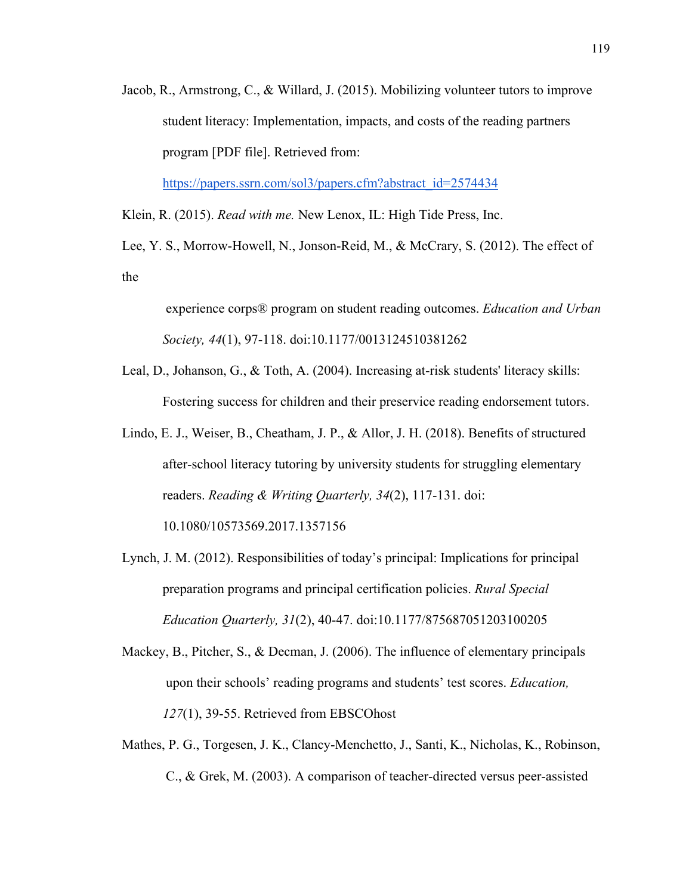Jacob, R., Armstrong, C., & Willard, J. (2015). Mobilizing volunteer tutors to improve student literacy: Implementation, impacts, and costs of the reading partners program [PDF file]. Retrieved from:

https://papers.ssrn.com/sol3/papers.cfm?abstract\_id=2574434

Klein, R. (2015). *Read with me.* New Lenox, IL: High Tide Press, Inc.

Lee, Y. S., Morrow-Howell, N., Jonson-Reid, M., & McCrary, S. (2012). The effect of the

experience corps® program on student reading outcomes. *Education and Urban Society, 44*(1), 97-118. doi:10.1177/0013124510381262

- Leal, D., Johanson, G., & Toth, A. (2004). Increasing at-risk students' literacy skills: Fostering success for children and their preservice reading endorsement tutors.
- Lindo, E. J., Weiser, B., Cheatham, J. P., & Allor, J. H. (2018). Benefits of structured after-school literacy tutoring by university students for struggling elementary readers. *Reading & Writing Quarterly, 34*(2), 117-131. doi:

10.1080/10573569.2017.1357156

- Lynch, J. M. (2012). Responsibilities of today's principal: Implications for principal preparation programs and principal certification policies. *Rural Special Education Quarterly, 31*(2), 40-47. doi:10.1177/875687051203100205
- Mackey, B., Pitcher, S., & Decman, J. (2006). The influence of elementary principals upon their schools' reading programs and students' test scores. *Education, 127*(1), 39-55. Retrieved from EBSCOhost
- Mathes, P. G., Torgesen, J. K., Clancy-Menchetto, J., Santi, K., Nicholas, K., Robinson, C., & Grek, M. (2003). A comparison of teacher-directed versus peer-assisted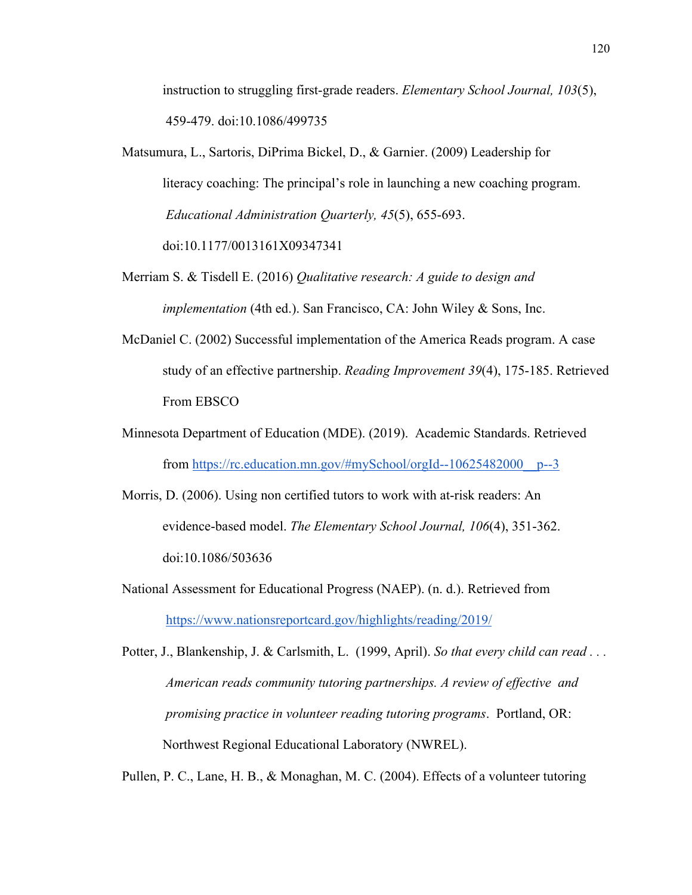instruction to struggling first-grade readers. *Elementary School Journal, 103*(5), 459-479. doi:10.1086/499735

- Matsumura, L., Sartoris, DiPrima Bickel, D., & Garnier. (2009) Leadership for literacy coaching: The principal's role in launching a new coaching program. *Educational Administration Quarterly, 45*(5), 655-693. doi:10.1177/0013161X09347341
- Merriam S. & Tisdell E. (2016) *Qualitative research: A guide to design and implementation* (4th ed.). San Francisco, CA: John Wiley & Sons, Inc.
- McDaniel C. (2002) Successful implementation of the America Reads program. A case study of an effective partnership. *Reading Improvement 39*(4), 175-185. Retrieved From EBSCO
- Minnesota Department of Education (MDE). (2019). Academic Standards. Retrieved from https://rc.education.mn.gov/#mySchool/orgId--10625482000\_\_p--3
- Morris, D. (2006). Using non certified tutors to work with at‐risk readers: An evidence‐based model. *The Elementary School Journal, 106*(4), 351-362. doi:10.1086/503636
- National Assessment for Educational Progress (NAEP). (n. d.). Retrieved from https://www.nationsreportcard.gov/highlights/reading/2019/

Potter, J., Blankenship, J. & Carlsmith, L. (1999, April). *So that every child can read . . . American reads community tutoring partnerships. A review of effective and promising practice in volunteer reading tutoring programs*. Portland, OR: Northwest Regional Educational Laboratory (NWREL).

Pullen, P. C., Lane, H. B., & Monaghan, M. C. (2004). Effects of a volunteer tutoring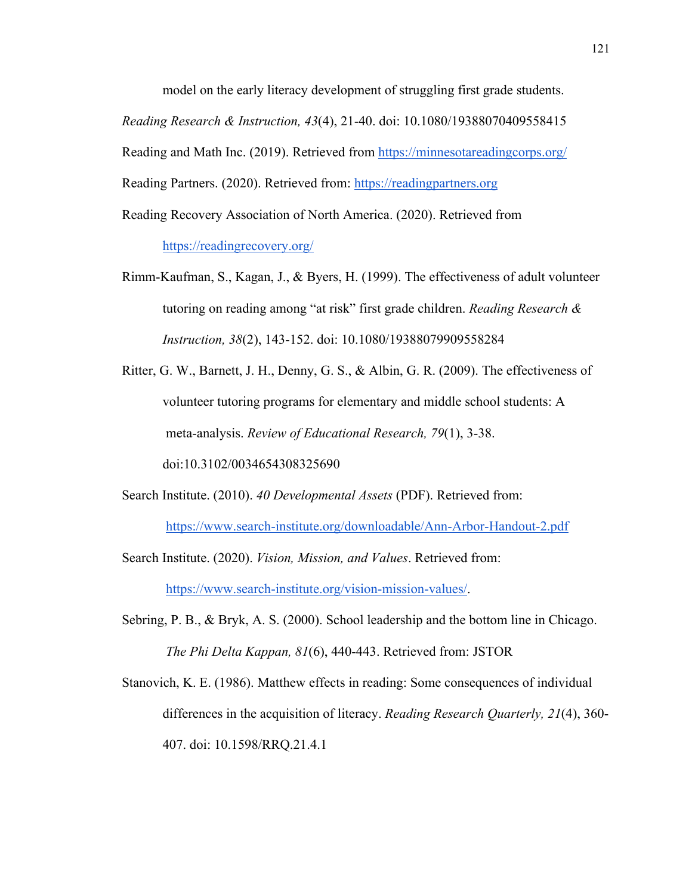model on the early literacy development of struggling first grade students.

*Reading Research & Instruction, 43*(4), 21-40. doi: 10.1080/19388070409558415

Reading and Math Inc. (2019). Retrieved from https://minnesotareadingcorps.org/

Reading Partners. (2020). Retrieved from: https://readingpartners.org

Reading Recovery Association of North America. (2020). Retrieved from https://readingrecovery.org/

- Rimm-Kaufman, S., Kagan, J., & Byers, H. (1999). The effectiveness of adult volunteer tutoring on reading among "at risk" first grade children. *Reading Research & Instruction, 38*(2), 143-152. doi: 10.1080/19388079909558284
- Ritter, G. W., Barnett, J. H., Denny, G. S., & Albin, G. R. (2009). The effectiveness of volunteer tutoring programs for elementary and middle school students: A meta-analysis. *Review of Educational Research, 79*(1), 3-38. doi:10.3102/0034654308325690

Search Institute. (2010). *40 Developmental Assets* (PDF). Retrieved from: https://www.search-institute.org/downloadable/Ann-Arbor-Handout-2.pdf

- Search Institute. (2020). *Vision, Mission, and Values*. Retrieved from: https://www.search-institute.org/vision-mission-values/.
- Sebring, P. B., & Bryk, A. S. (2000). School leadership and the bottom line in Chicago. *The Phi Delta Kappan, 81*(6), 440-443. Retrieved from: JSTOR

Stanovich, K. E. (1986). Matthew effects in reading: Some consequences of individual differences in the acquisition of literacy. *Reading Research Quarterly, 21*(4), 360- 407. doi: 10.1598/RRQ.21.4.1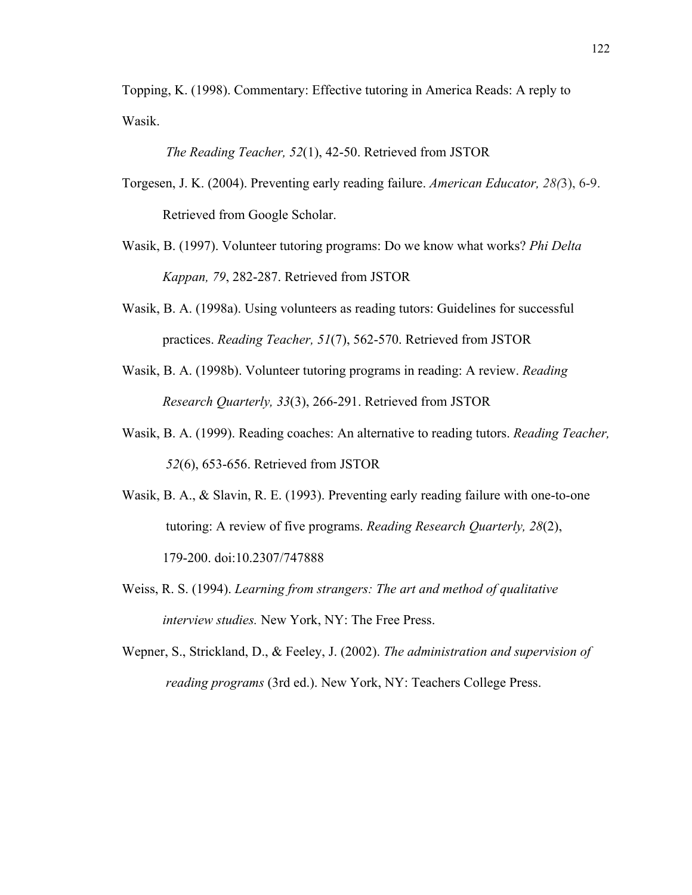Topping, K. (1998). Commentary: Effective tutoring in America Reads: A reply to Wasik.

*The Reading Teacher, 52*(1), 42-50. Retrieved from JSTOR

- Torgesen, J. K. (2004). Preventing early reading failure. *American Educator, 28(*3), 6-9. Retrieved from Google Scholar.
- Wasik, B. (1997). Volunteer tutoring programs: Do we know what works? *Phi Delta Kappan, 79*, 282-287. Retrieved from JSTOR
- Wasik, B. A. (1998a). Using volunteers as reading tutors: Guidelines for successful practices. *Reading Teacher, 51*(7), 562-570. Retrieved from JSTOR
- Wasik, B. A. (1998b). Volunteer tutoring programs in reading: A review. *Reading Research Quarterly, 33*(3), 266-291. Retrieved from JSTOR
- Wasik, B. A. (1999). Reading coaches: An alternative to reading tutors. *Reading Teacher, 52*(6), 653-656. Retrieved from JSTOR
- Wasik, B. A., & Slavin, R. E. (1993). Preventing early reading failure with one-to-one tutoring: A review of five programs. *Reading Research Quarterly, 28*(2), 179-200. doi:10.2307/747888
- Weiss, R. S. (1994). *Learning from strangers: The art and method of qualitative interview studies.* New York, NY: The Free Press.
- Wepner, S., Strickland, D., & Feeley, J. (2002). *The administration and supervision of reading programs* (3rd ed.). New York, NY: Teachers College Press.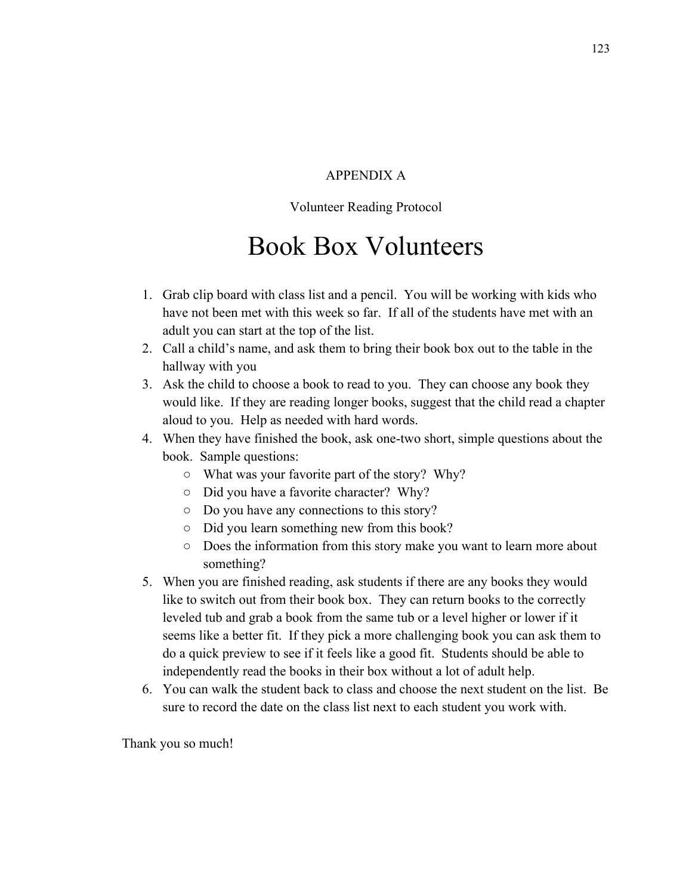## APPENDIX A

## Volunteer Reading Protocol

# Book Box Volunteers

- 1. Grab clip board with class list and a pencil. You will be working with kids who have not been met with this week so far. If all of the students have met with an adult you can start at the top of the list.
- 2. Call a child's name, and ask them to bring their book box out to the table in the hallway with you
- 3. Ask the child to choose a book to read to you. They can choose any book they would like. If they are reading longer books, suggest that the child read a chapter aloud to you. Help as needed with hard words.
- 4. When they have finished the book, ask one-two short, simple questions about the book. Sample questions:
	- What was your favorite part of the story? Why?
	- Did you have a favorite character? Why?
	- Do you have any connections to this story?
	- Did you learn something new from this book?
	- Does the information from this story make you want to learn more about something?
- 5. When you are finished reading, ask students if there are any books they would like to switch out from their book box. They can return books to the correctly leveled tub and grab a book from the same tub or a level higher or lower if it seems like a better fit. If they pick a more challenging book you can ask them to do a quick preview to see if it feels like a good fit. Students should be able to independently read the books in their box without a lot of adult help.
- 6. You can walk the student back to class and choose the next student on the list. Be sure to record the date on the class list next to each student you work with.

Thank you so much!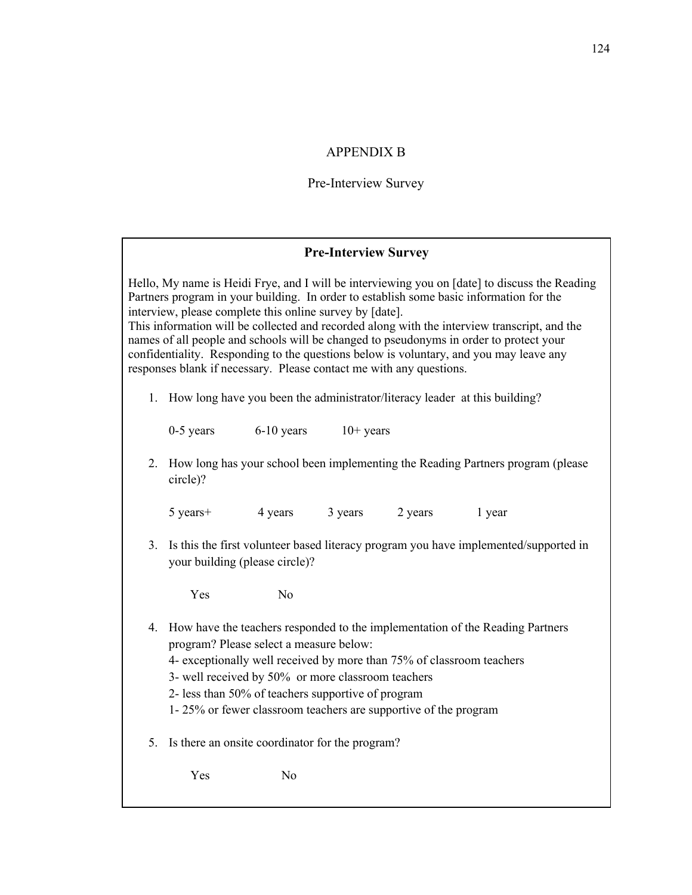## APPENDIX B

# Pre-Interview Survey

## **Pre-Interview Survey**

|    | interview, please complete this online survey by [date].<br>responses blank if necessary. Please contact me with any questions.                                                                                                                                                                                                                                                     |    |  |  | Hello, My name is Heidi Frye, and I will be interviewing you on [date] to discuss the Reading<br>Partners program in your building. In order to establish some basic information for the<br>This information will be collected and recorded along with the interview transcript, and the<br>names of all people and schools will be changed to pseudonyms in order to protect your<br>confidentiality. Responding to the questions below is voluntary, and you may leave any |  |
|----|-------------------------------------------------------------------------------------------------------------------------------------------------------------------------------------------------------------------------------------------------------------------------------------------------------------------------------------------------------------------------------------|----|--|--|------------------------------------------------------------------------------------------------------------------------------------------------------------------------------------------------------------------------------------------------------------------------------------------------------------------------------------------------------------------------------------------------------------------------------------------------------------------------------|--|
|    | 1. How long have you been the administrator/literacy leader at this building?                                                                                                                                                                                                                                                                                                       |    |  |  |                                                                                                                                                                                                                                                                                                                                                                                                                                                                              |  |
|    | $0-5$ years $6-10$ years $10+$ years                                                                                                                                                                                                                                                                                                                                                |    |  |  |                                                                                                                                                                                                                                                                                                                                                                                                                                                                              |  |
| 2. | How long has your school been implementing the Reading Partners program (please<br>circle)?                                                                                                                                                                                                                                                                                         |    |  |  |                                                                                                                                                                                                                                                                                                                                                                                                                                                                              |  |
|    | 5 years + 4 years 3 years 2 years 1 year                                                                                                                                                                                                                                                                                                                                            |    |  |  |                                                                                                                                                                                                                                                                                                                                                                                                                                                                              |  |
| 3. | Is this the first volunteer based literacy program you have implemented/supported in<br>your building (please circle)?                                                                                                                                                                                                                                                              |    |  |  |                                                                                                                                                                                                                                                                                                                                                                                                                                                                              |  |
|    | Yes                                                                                                                                                                                                                                                                                                                                                                                 | No |  |  |                                                                                                                                                                                                                                                                                                                                                                                                                                                                              |  |
|    | 4. How have the teachers responded to the implementation of the Reading Partners<br>program? Please select a measure below:<br>4- exceptionally well received by more than 75% of classroom teachers<br>3- well received by 50% or more classroom teachers<br>2- less than 50% of teachers supportive of program<br>1-25% or fewer classroom teachers are supportive of the program |    |  |  |                                                                                                                                                                                                                                                                                                                                                                                                                                                                              |  |
| 5. | Is there an onsite coordinator for the program?                                                                                                                                                                                                                                                                                                                                     |    |  |  |                                                                                                                                                                                                                                                                                                                                                                                                                                                                              |  |
|    | Yes                                                                                                                                                                                                                                                                                                                                                                                 | No |  |  |                                                                                                                                                                                                                                                                                                                                                                                                                                                                              |  |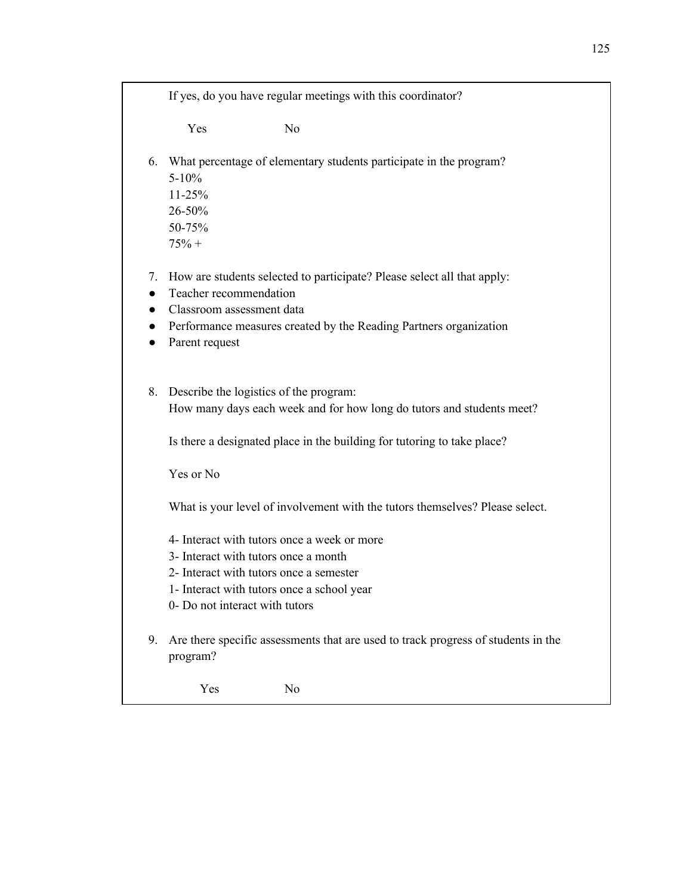If yes, do you have regular meetings with this coordinator?

Yes No

- 6. What percentage of elementary students participate in the program? 5-10% 11-25% 26-50%
	- 50-75%  $75% +$
- 7. How are students selected to participate? Please select all that apply:
- Teacher recommendation
- Classroom assessment data
- Performance measures created by the Reading Partners organization
- Parent request
- 8. Describe the logistics of the program: How many days each week and for how long do tutors and students meet?

Is there a designated place in the building for tutoring to take place?

Yes or No

What is your level of involvement with the tutors themselves? Please select.

- 4- Interact with tutors once a week or more
- 3- Interact with tutors once a month
- 2- Interact with tutors once a semester
- 1- Interact with tutors once a school year
- 0- Do not interact with tutors
- 9. Are there specific assessments that are used to track progress of students in the program?

Yes No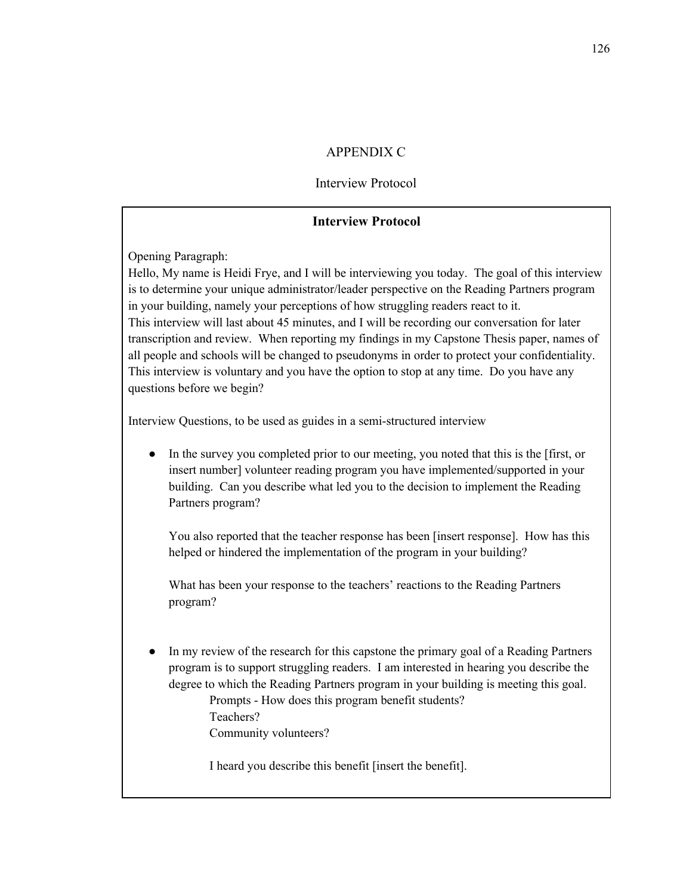## APPENDIX C

## Interview Protocol

## **Interview Protocol**

Opening Paragraph:

Hello, My name is Heidi Frye, and I will be interviewing you today. The goal of this interview is to determine your unique administrator/leader perspective on the Reading Partners program in your building, namely your perceptions of how struggling readers react to it. This interview will last about 45 minutes, and I will be recording our conversation for later transcription and review. When reporting my findings in my Capstone Thesis paper, names of all people and schools will be changed to pseudonyms in order to protect your confidentiality. This interview is voluntary and you have the option to stop at any time. Do you have any questions before we begin?

Interview Questions, to be used as guides in a semi-structured interview

● In the survey you completed prior to our meeting, you noted that this is the [first, or insert number] volunteer reading program you have implemented/supported in your building. Can you describe what led you to the decision to implement the Reading Partners program?

You also reported that the teacher response has been [insert response]. How has this helped or hindered the implementation of the program in your building?

What has been your response to the teachers' reactions to the Reading Partners program?

In my review of the research for this capstone the primary goal of a Reading Partners program is to support struggling readers. I am interested in hearing you describe the degree to which the Reading Partners program in your building is meeting this goal. Prompts - How does this program benefit students? Teachers? Community volunteers?

I heard you describe this benefit [insert the benefit].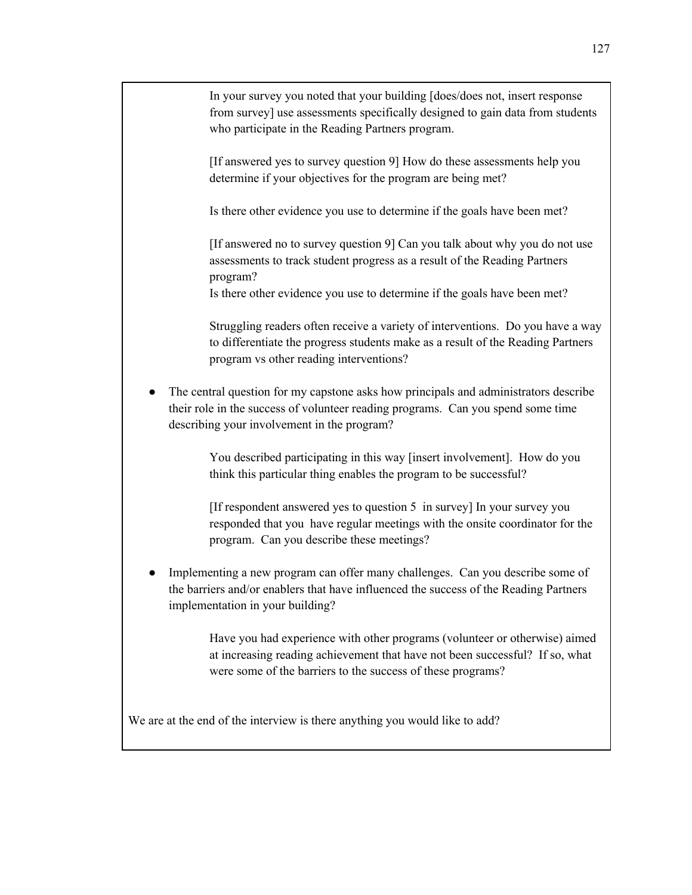In your survey you noted that your building [does/does not, insert response from survey] use assessments specifically designed to gain data from students who participate in the Reading Partners program.

[If answered yes to survey question 9] How do these assessments help you determine if your objectives for the program are being met?

Is there other evidence you use to determine if the goals have been met?

[If answered no to survey question 9] Can you talk about why you do not use assessments to track student progress as a result of the Reading Partners program?

Is there other evidence you use to determine if the goals have been met?

Struggling readers often receive a variety of interventions. Do you have a way to differentiate the progress students make as a result of the Reading Partners program vs other reading interventions?

The central question for my capstone asks how principals and administrators describe their role in the success of volunteer reading programs. Can you spend some time describing your involvement in the program?

> You described participating in this way [insert involvement]. How do you think this particular thing enables the program to be successful?

[If respondent answered yes to question 5 in survey] In your survey you responded that you have regular meetings with the onsite coordinator for the program. Can you describe these meetings?

Implementing a new program can offer many challenges. Can you describe some of the barriers and/or enablers that have influenced the success of the Reading Partners implementation in your building?

> Have you had experience with other programs (volunteer or otherwise) aimed at increasing reading achievement that have not been successful? If so, what were some of the barriers to the success of these programs?

We are at the end of the interview is there anything you would like to add?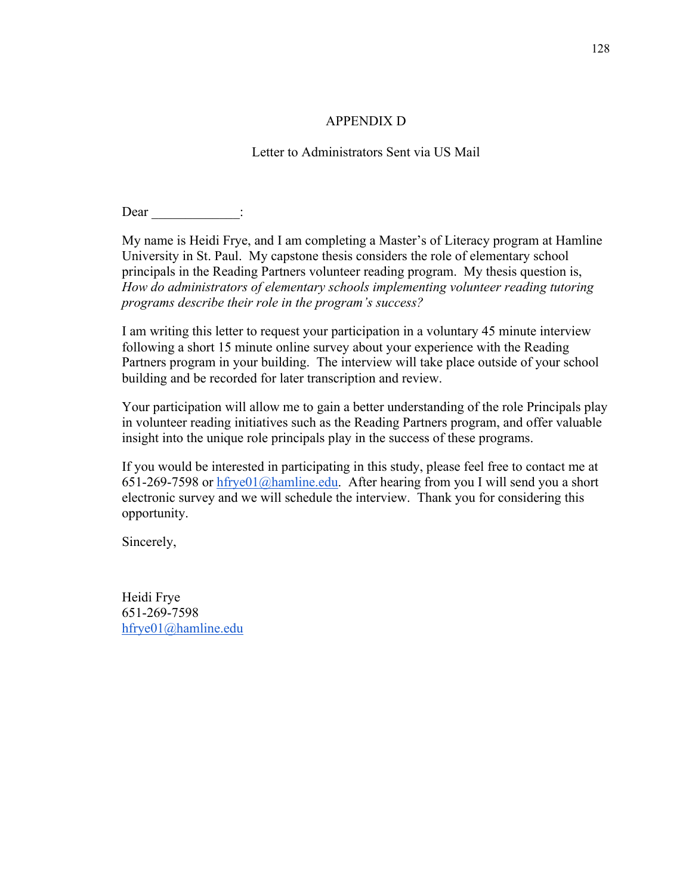## APPENDIX D

## Letter to Administrators Sent via US Mail

Dear :

My name is Heidi Frye, and I am completing a Master's of Literacy program at Hamline University in St. Paul. My capstone thesis considers the role of elementary school principals in the Reading Partners volunteer reading program. My thesis question is, *How do administrators of elementary schools implementing volunteer reading tutoring programs describe their role in the program's success?*

I am writing this letter to request your participation in a voluntary 45 minute interview following a short 15 minute online survey about your experience with the Reading Partners program in your building. The interview will take place outside of your school building and be recorded for later transcription and review.

Your participation will allow me to gain a better understanding of the role Principals play in volunteer reading initiatives such as the Reading Partners program, and offer valuable insight into the unique role principals play in the success of these programs.

If you would be interested in participating in this study, please feel free to contact me at 651-269-7598 or  $h f y e 01$  ( $\partial h$ amline.edu. After hearing from you I will send you a short electronic survey and we will schedule the interview. Thank you for considering this opportunity.

Sincerely,

Heidi Frye 651-269-7598 hfrye01@hamline.edu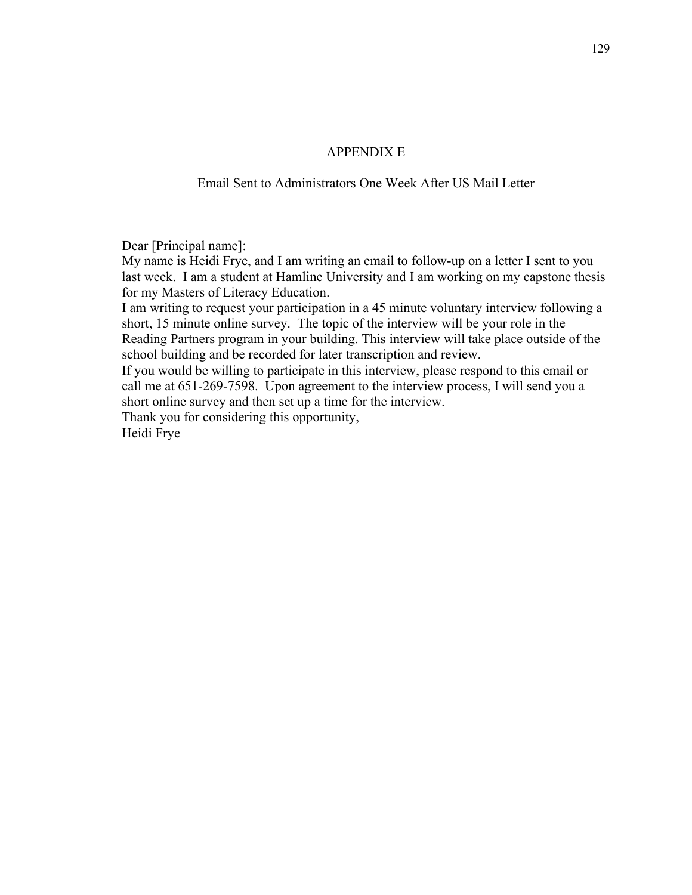## APPENDIX E

## Email Sent to Administrators One Week After US Mail Letter

Dear [Principal name]:

My name is Heidi Frye, and I am writing an email to follow-up on a letter I sent to you last week. I am a student at Hamline University and I am working on my capstone thesis for my Masters of Literacy Education.

I am writing to request your participation in a 45 minute voluntary interview following a short, 15 minute online survey. The topic of the interview will be your role in the Reading Partners program in your building. This interview will take place outside of the school building and be recorded for later transcription and review.

If you would be willing to participate in this interview, please respond to this email or call me at 651-269-7598. Upon agreement to the interview process, I will send you a short online survey and then set up a time for the interview.

Thank you for considering this opportunity,

Heidi Frye